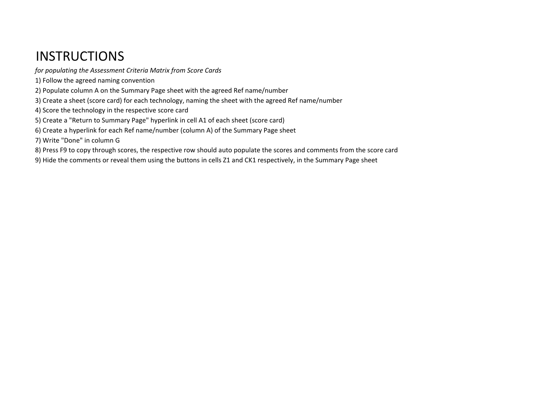# **INSTRUCTIONS**

- *for populating the Assessment Criteria Matrix from Score Cards*
- 1) Follow the agreed naming convention
- 2) Populate column A on the Summary Page sheet with the agreed Ref name/number
- 3) Create a sheet (score card) for each technology, naming the sheet with the agreed Ref name/number
- 4) Score the technology in the respective score card
- 5) Create a "Return to Summary Page" hyperlink in cell A1 of each sheet (score card)
- 6) Create a hyperlink for each Ref name/number (column A) of the Summary Page sheet
- 7) Write "Done" in column G
- 8) Press F9 to copy through scores, the respective row should auto populate the scores and comments from the score card
- 9) Hide the comments or reveal them using the buttons in cells Z1 and CK1 respectively, in the Summary Page sheet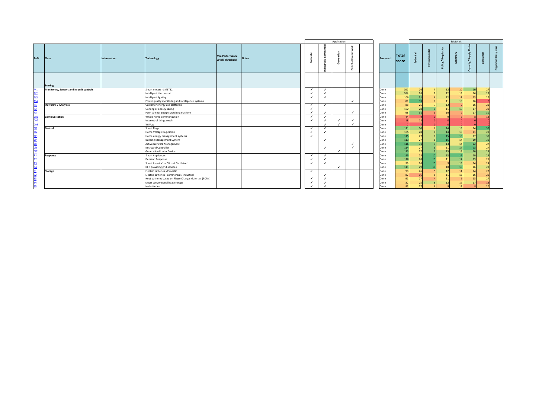|                                                                       |                                               |              |                                                                                                                                                                                               |                                           |              |                        |                   | Application |                                          |                                                      |                                               |                                  |    | Subtotals      |    |  |
|-----------------------------------------------------------------------|-----------------------------------------------|--------------|-----------------------------------------------------------------------------------------------------------------------------------------------------------------------------------------------|-------------------------------------------|--------------|------------------------|-------------------|-------------|------------------------------------------|------------------------------------------------------|-----------------------------------------------|----------------------------------|----|----------------|----|--|
| Ref#                                                                  | <b>Class</b>                                  | Intervention | <b>Technology</b>                                                                                                                                                                             | <b>Min Performance</b><br>Level/Threshold | <b>Notes</b> |                        |                   |             | c<br>ă                                   | <b>Scorecard</b>                                     | <b>Total</b><br>score                         |                                  |    |                |    |  |
|                                                                       | Scoring                                       |              |                                                                                                                                                                                               |                                           |              |                        |                   |             |                                          |                                                      |                                               |                                  |    |                |    |  |
| M2<br><u>M3</u><br>M <sub>4</sub>                                     | Monitoring, Sensors and in-built controls     |              | Smart meters - SMETS2<br>Intelligent thermostat<br>Intelligent lighting<br>Power quality monitoring and intelligence systems                                                                  |                                           |              | $\checkmark$           | ✓                 |             | $\checkmark$                             | Done<br>Done<br>Done<br>Done                         | 102<br>104<br>100<br>81                       | 26<br>28<br>31                   | 12 | 10<br>11<br>15 | 20 |  |
| Cn1                                                                   | <b>Platforms / Analytics</b><br>Communication |              | Customer energy use platforms<br>Gaming of energy saving<br>Peer-to-Peer Energy Matching Platform<br>Whole home communication                                                                 |                                           |              | $\checkmark$<br>✓      | $\checkmark$<br>✓ |             | $\checkmark$                             | Done<br>Done<br>Done<br>Done                         | 88<br>102<br>98<br>44                         | 25<br>28<br>31                   |    |                |    |  |
| Cn2<br>Cn3                                                            | Control                                       |              | Internet of things mesh<br>WiMax<br><b>Smart Plugs</b>                                                                                                                                        |                                           |              | ┙                      | ✓                 |             | ✓<br>$\checkmark$                        | Done<br>Done                                         | 18                                            | 30                               |    |                |    |  |
| CL2<br>C <sub>13</sub><br>C14<br><b>CLS</b><br>C16<br>C <sub>17</sub> |                                               |              | Home Voltage Regulation<br>Home energy management systems<br><b>Building Management System</b><br><b>Active Network Management</b><br>Microgrid Controller<br><b>Generation Router Device</b> |                                           |              |                        | ✓                 |             | $\checkmark$<br>$\overline{\phantom{a}}$ | Done<br>Done<br>Done<br>Done<br>Done<br>Done<br>Done | 111<br>105<br>115<br>113<br>116<br>114<br>113 | 28<br>27<br>27<br>31<br>27<br>27 |    |                |    |  |
|                                                                       | Response                                      |              | <b>Smart Appliances</b><br><b>Demand Response</b><br>Smart Invertor' or 'Virtual Oscillator'<br>DER providing grid services                                                                   |                                           |              | ┙<br>┙<br>$\checkmark$ | ✓<br>$\checkmark$ |             |                                          | Done<br>Done<br>Done<br>Done                         | 115<br>110<br>99<br>111                       | 25<br>28<br>26<br>29             |    |                |    |  |
|                                                                       | <b>Storage</b>                                |              | Electric batteries, domestic<br>Electric batteries - commercial / industrial<br>Heat batteries based on Phase Change Materials (PCMs)<br>smart conventional heat storage<br>Ice batteries     |                                           |              | ✓                      |                   |             |                                          | Done<br>Done<br>Done<br>Done<br>Done                 | 90<br>82<br>91<br>87                          | 26<br>16<br>27<br>25             |    |                |    |  |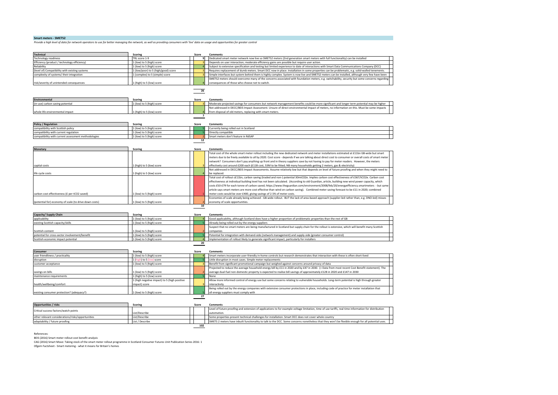**Smart meters - SMETS2**<br>Provide a high level of data for network operators to use for better managing the network, as well as providing consumers with 'live' data on usage and opportunities for greater control

| <b>Technical</b>                               | Scoring                             | Score |  | <b>Comments</b>                                                                                                                                |  |  |
|------------------------------------------------|-------------------------------------|-------|--|------------------------------------------------------------------------------------------------------------------------------------------------|--|--|
| Technology readiness                           | TRL score 1-9                       |       |  | Dedicated smart meter network now live so SMETS2 meters (2nd generation smart meters with full functionality) can be installed                 |  |  |
| Efficiency (product / technology efficiency)   | 1 (low) to 5 (high) score           |       |  | Depends on user interaction; moderate efficiency gains are possible but require user action.                                                   |  |  |
| Reliability                                    | 1 (low) to 5 (high) score           |       |  | Subject to extensive specification and testing but limited experience to date of interactions with Smart Data Communications Company (DCC)     |  |  |
| (level of) Compatibility with existing systems | 1 (low/poor) to 5 (high/good) score |       |  | Requires replacement of dumb meters. Smart DCC now in place. Installation in some properties can be problematic, e.g. solid-walled tenements.  |  |  |
| complexity of systems/ their integration       | 1 (complex) to 5 (simple) score     |       |  | Simple interfaces but system behind them is highly complex. System is now live and SMETS2 meters can be installed, although very few have been |  |  |
|                                                |                                     |       |  | SMETS2 meters should overcome many of the concerns associated with foundation meters, e.g. switchability, security but some concerns regarding |  |  |
| risk/severity of unintended consequences       | 1 (high) to 5 (low) score           |       |  | consequences of those who choose not to switch.                                                                                                |  |  |

| <b>Environmental</b>             | Scoring                   | Score | Comments                                                                                                                                    |  |  |  |  |  |
|----------------------------------|---------------------------|-------|---------------------------------------------------------------------------------------------------------------------------------------------|--|--|--|--|--|
| (in-use) carbon saving potential | 1 (low) to 5 (high) score |       | Moderate projected savings for consumers but network management benefits could be more significant and longer term potential may be higher  |  |  |  |  |  |
|                                  |                           |       | Not addressed in DECC/BEIS Impact Assessment. Unsure of direct environmental impact of meters, no information on this. Must be some impacts |  |  |  |  |  |
| whole life environmental impact  | 1 (high) to 5 (low) score |       | from disposal of old meters, replacing with smart meters.                                                                                   |  |  |  |  |  |
|                                  |                           |       |                                                                                                                                             |  |  |  |  |  |

**26**

| <b>Policy / Regulation</b>                          | Scoring                   | <b>Score</b> |  | Comments                               |  |  |  |
|-----------------------------------------------------|---------------------------|--------------|--|----------------------------------------|--|--|--|
| compatibility with Scottish policy                  | 1 (low) to 5 (high) score |              |  | Currently being rolled out in Scotland |  |  |  |
| compatibility with current regulation               | 1 (low) to 5 (high) score |              |  | Directly compatible                    |  |  |  |
| compatibility with current assessment methodologies | 1 (low) to 5 (high) score |              |  | Smart meters don't feature in RdSAP    |  |  |  |
|                                                     |                           |              |  |                                        |  |  |  |

| Monetary                                               | Scoring                   | Score | <b>Comments</b>                                                                                                                                        |  |  |  |  |  |
|--------------------------------------------------------|---------------------------|-------|--------------------------------------------------------------------------------------------------------------------------------------------------------|--|--|--|--|--|
|                                                        |                           |       | Total cost of the whole smart meter rollout including the new dedicated network and meter installations estimated at £11bn GB-wide but smart           |  |  |  |  |  |
|                                                        |                           |       | meters due to be freely available to all by 2020. Cost score - depends if we are talking about direct cost to consumer or overall costs of smart meter |  |  |  |  |  |
|                                                        |                           |       | network? Consumers don't pay anything up front and in theory suppliers save by not having to pay for meter readers. However, the meters                |  |  |  |  |  |
| capital costs                                          | 1 (high) to 5 (low) score |       | effectively cost around £200 each (£11B cost, 53M to be fitted; NB many households getting 2 meters, gas & electricity)                                |  |  |  |  |  |
|                                                        |                           |       | Not addressed in DECC/BEIS Impact Assessments. Assume relatively low but that depends on level of future proofing and when they might need to          |  |  |  |  |  |
| life cycle costs                                       | 1 (high) to 5 (low) score |       | be replaced.                                                                                                                                           |  |  |  |  |  |
|                                                        |                           |       | Total cost of rollout c£11bn, carbon saving (traded and non-) potential 30mtC02e. Implies carbon cost effectiveness of £367/tCO2e. Carbon cost         |  |  |  |  |  |
|                                                        |                           |       | effectiveness at individual building level has not been calculated. (According to old Guardian, article, building new wind power capacity, which       |  |  |  |  |  |
|                                                        |                           |       | costs £50-£79 for each tonne of carbon saved; https://www.theguardian.com/environment/2008/feb/20/energyefficiency.smartmeters - but same              |  |  |  |  |  |
|                                                        |                           |       | article says smart meters are more cost effective than wind on carbon saving). Combined meter saving forecast to be £11 in 2020; combined              |  |  |  |  |  |
| carbon cost effectiveness (£ per tCO2 saved)           | 1 (low) to 5 (high) score |       | meter costs would be over £400, giving savings of 2.5% of meter costs.                                                                                 |  |  |  |  |  |
|                                                        |                           |       | Economies of scale already being achieved - GB-wide rollout. BUT the lack of area-based approach (supplier-led rather than, e.g. DNO-led) misses       |  |  |  |  |  |
| (potential for) economy of scale (to drive down costs) | 1 (low) to 5 (high) score |       | economy of scale opportunities.                                                                                                                        |  |  |  |  |  |
|                                                        |                           |       |                                                                                                                                                        |  |  |  |  |  |

| Capacity/ Supply Chain                         | <b>Scoring</b>            | Score |  | <b>Comments</b>                                                                                                                                 |
|------------------------------------------------|---------------------------|-------|--|-------------------------------------------------------------------------------------------------------------------------------------------------|
| applicability                                  | 1 (low) to 5 (high) score |       |  | Good applicability, although Scotland does have a higher proportion of problematic properties than the rest of GB                               |
| existing Scottish capacity/skills              | 1 (low) to 5 (high) score |       |  | Already being rolled out by the energy suppliers                                                                                                |
|                                                |                           |       |  | Suspect that no smart meters are being manufactured in Scotland but supply chain for the rollout is extensive, which will benefit many Scottish |
| Scottish content                               | 1 (low) to 5 (high) score |       |  | companies                                                                                                                                       |
| potential for cross-sector involvement/benefit | 1 (low) to 5 (high) score |       |  | Potential for integration with demand-side (network management) and supply-side (greater consumer control)                                      |
| Scottish economic impact potential             | 1 (low) to 5 (high) score |       |  | Implementation of rollout likely to generate significant impact, particularly for installers                                                    |
|                                                |                           |       |  |                                                                                                                                                 |

| <b>Consumer</b>                           | <b>Scoring</b>                               | Score | <b>Comments</b>                                                                                                                                |  |  |  |  |
|-------------------------------------------|----------------------------------------------|-------|------------------------------------------------------------------------------------------------------------------------------------------------|--|--|--|--|
| user friendliness / practicality          | 1 (low) to 5 (high) score                    |       | Smart meters incorporate user-friendly in-home controls but research demonstrates that interaction with these is often short-lived             |  |  |  |  |
| disruption                                | 1 (high) to 5 (low) score                    |       | Little disruption in most cases. Simple meter replacements                                                                                     |  |  |  |  |
| customer acceptance                       | 1 (low) to 5 (high) score                    |       | Benefit from significant promotional campaign but weighed against concerns around privacy of data                                              |  |  |  |  |
|                                           |                                              |       | Projected to reduce the average household energy bill by £11 in 2020 and by £47 in 2030. (= Data from most recent Cost Benefit statement). The |  |  |  |  |
| savings on bills                          | 1 (low) to 5 (high) score                    |       | average dual-fuel non-domestic property is expected to realise bill savings of approximately £128 in 2020 and £147 in 2030                     |  |  |  |  |
| maintenance requirements                  | 1 (high) to 5 (low) score                    |       | None                                                                                                                                           |  |  |  |  |
|                                           | 1 (high negative impact) to 5 (high positive |       | Allow more informed control of energy use but some concerns relating to vulnerable households. Long-term potential is high through greater     |  |  |  |  |
| health/wellbeing/comfort                  | impact) score                                |       | interactivity                                                                                                                                  |  |  |  |  |
|                                           |                                              |       | Being rolled out by the energy companies with extensive consumer protections in place, including code of practice for meter installation that  |  |  |  |  |
| existing consumer protection? (adequacy?) | 1 (low) to 5 (high) score                    |       | all energy suppliers must comply with                                                                                                          |  |  |  |  |
|                                           |                                              |       |                                                                                                                                                |  |  |  |  |

| <b>Opportunities / risks</b>                                                                                                                                                                            | Scoring       | Score | Comments                                                                                                                                              |  |  |  |
|---------------------------------------------------------------------------------------------------------------------------------------------------------------------------------------------------------|---------------|-------|-------------------------------------------------------------------------------------------------------------------------------------------------------|--|--|--|
| Critical success factors/watch points                                                                                                                                                                   |               |       | Level of future proofing and extension of applications to for example voltage limitation, time of use tariffs, real time information for distribution |  |  |  |
|                                                                                                                                                                                                         | List/Describe |       | automation.                                                                                                                                           |  |  |  |
| other relevant considerations/risks/opportunities                                                                                                                                                       | List/Describe |       | Some properties present technical challenges for installation. Smart DCC does not cover whole country                                                 |  |  |  |
| SMETS 2 meters have inbuilt functionality to talk to the DCC. Some concerns nonetheless that they won't be flexible enough for all potential uses.<br>List / Describe<br>adaptability / future proofing |               |       |                                                                                                                                                       |  |  |  |
|                                                                                                                                                                                                         |               |       |                                                                                                                                                       |  |  |  |

References:

BEIS (2016) Smart meter rollout cost benefit analysis

CAG (2016) Smart Move: Taking stock of the smart meter rollout programme in Scotland Consumer Futures Unit Publication Series 2016: 1<br>Ofgem Factsheet - Smart metering - what it means for Britain's homes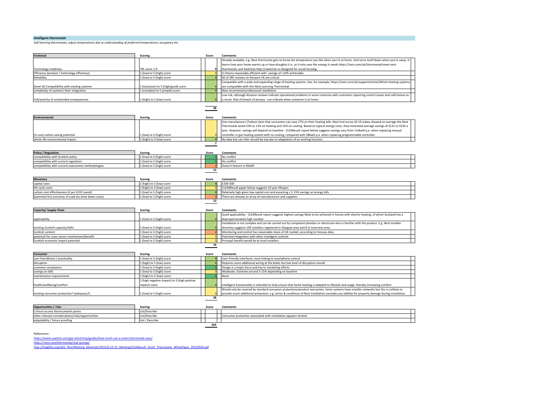#### **Intelligent thermostat**

*Self-learning thermostats, adjust temperatures due to understanding of preferred temperatures, occupancy etc.*

| <b>Technical</b>                               | <b>Scoring</b>                      | Score | <b>Comments</b>                                                                                                                               |
|------------------------------------------------|-------------------------------------|-------|-----------------------------------------------------------------------------------------------------------------------------------------------|
|                                                |                                     |       | Already available, e.g. Nest thermostat gets to know the temperature you like when you're at home. And turns itself down when you're away. It |
|                                                |                                     |       | learns how your home warms up or how draughty it is, so it only uses the energy it needs https://nest.com/uk/thermostat/meet-nest-            |
| Technology readiness                           | TRI score 1-9                       |       | thermostat; and Switchee http://switchee.co designed for social housing                                                                       |
| Efficiency (product / technology efficiency)   | 1 (low) to 5 (high) score           |       | In theory reasonably efficient with savings of >10% achievable.                                                                               |
| Reliability                                    | 1 (low) to 5 (high) score           |       | 60 of 285 reviews on Amazon UK are critical                                                                                                   |
|                                                |                                     |       | Compatible with a wide and expanding range of heating systems. See, for example, https://nest.com/uk/support/article/Which-heating-systems-   |
| (level of) Compatibility with existing systems | 1 (low/poor) to 5 (high/good) score |       | are-compatible-with-the-Nest-Learning-Thermostat                                                                                              |
| complexity of systems/ their integration       | 1 (complex) to 5 (simple) score     |       | Nest recommend professional installation                                                                                                      |
|                                                |                                     |       | Low risk, although Amazon reviews indicate operational problems in some instances with customers reporting control issues and cold homes as   |
| risk/severity of unintended consequences       | 1 (high) to 5 (low) score           |       | a result. Risk of breach of privacy - can indicate when someone is at home.                                                                   |

# **28**

| <b>Environmental</b>             | <b>Scoring</b>            | Score | <b>Comments</b>                                                                                                                              |
|----------------------------------|---------------------------|-------|----------------------------------------------------------------------------------------------------------------------------------------------|
|                                  |                           |       | One manufacturer (Tadoo) claim that consumers can save 27% on their heating bills. Nest trial across 42 US states showed on average the Nest |
|                                  |                           |       | Thermostat saved 10% to 12% on heating and 15% on cooling. Based on typical energy costs, they estimated average savings of \$131 to \$145 a |
|                                  |                           |       | year. However, savings will depend on baseline - CLEAResult report below suggests savings vary from 114kwH p.a. when replacing manual        |
| (in-use) carbon saving potential | 1 (low) to 5 (high) score |       | controller in gas heating system with no cooling, compared with 58kwH p.a. when replacing programmable controller.                           |
| whole life environmental impact  | (high) to 5 (low) score   |       | No data but can infer should be low due to adaptation of an existing function.                                                               |
|                                  |                           |       |                                                                                                                                              |

| <b>Policy / Regulation</b>                          | Scoring                   | Score | Comments                 |
|-----------------------------------------------------|---------------------------|-------|--------------------------|
| compatibility with Scottish policy                  | 1 (low) to 5 (high) score |       | No conflict              |
| compatibility with current regulation               | 1 (low) to 5 (high) score |       | No conflict              |
| compatibility with current assessment methodologies | 1 (low) to 5 (high) score |       | Doesn't feature in RdSAP |
|                                                     |                           |       |                          |

| Monetary                                               | Scoring                   | Score | <b>Comments</b>                                                                     |
|--------------------------------------------------------|---------------------------|-------|-------------------------------------------------------------------------------------|
| capital costs                                          | 1 (high) to 5 (low) score |       | £200-300                                                                            |
| life cycle costs                                       | 1 (high) to 5 (low) score |       | CLEARResult paper below suggests 10 year lifespan                                   |
| carbon cost effectiveness (£ per tCO2 saved)           | 1 (low) to 5 (high) score |       | Relatively high given low capital cost and assuming c.5-15% savings on energy bills |
| (potential for) economy of scale (to drive down costs) | 1 (low) to 5 (high) score |       | There are already an array of manufacturers and suppliers                           |
|                                                        |                           |       |                                                                                     |

| Capacity/ Supply Chain                         | <b>Scoring</b>            | Score | <b>Comments</b>                                                                                                                               |
|------------------------------------------------|---------------------------|-------|-----------------------------------------------------------------------------------------------------------------------------------------------|
|                                                |                           |       | Good applicability - CLEAResult report suggests highest savings likely to be achieved in homes with electric heating, of which Scotland has a |
| applicability                                  | 1 (low) to 5 (high) score |       | disproportionately high number                                                                                                                |
|                                                |                           |       | Installation is not complex and can be carried out by competent plumber or electrician who is familiar with the product. E.g. Nest installer  |
| existing Scottish capacity/skills              | 1 (low) to 5 (high) score |       | directory suggests 109 installers registered in Glasgow area and 8 in Inverness area.                                                         |
| Scottish content                               | 1 (low) to 5 (high) score |       | Monitoring and control has reasonable share of UK market, according to Innovas data                                                           |
| potential for cross-sector involvement/benefit | 1 (low) to 5 (high) score |       | Potential integration with other intelligent controls                                                                                         |
| Scottish economic impact potential             | 1 (low) to 5 (high) score |       | Principal benefit would be to local installers                                                                                                |

# **16**

| <b>Consumer</b>                           | Scoring                                                       | Score | Comments                                                                                                                                                                                                                                                                                   |
|-------------------------------------------|---------------------------------------------------------------|-------|--------------------------------------------------------------------------------------------------------------------------------------------------------------------------------------------------------------------------------------------------------------------------------------------|
| user friendliness / practicality          | 1 (low) to 5 (high) score                                     |       | User-friendly interfaces, most linking to smartphone control                                                                                                                                                                                                                               |
| disruption                                | 1 (high) to 5 (low) score                                     |       | Requires some additional wiring at the boiler but low level of disruption overall                                                                                                                                                                                                          |
| customer acceptance                       | 1 (low) to 5 (high) score                                     |       | Design is a major focus and key to marketing efforts                                                                                                                                                                                                                                       |
| savings on bills                          | 1 (low) to 5 (high) score                                     |       | Moderate. Estimate around 5-15% depending on baseline                                                                                                                                                                                                                                      |
| maintenance requirements                  | 1 (high) to 5 (low) score                                     |       | None                                                                                                                                                                                                                                                                                       |
| health/wellbeing/comfort                  | 1 (high negative impact) to 5 (high positive<br>impact) score |       | Intelligent functionality is intended to help ensure that home heating is adapted to lifestyle and usage, thereby increasing comfort                                                                                                                                                       |
| existing consumer protection? (adequacy?) | 1 (low) to 5 (high) score                                     |       | Would only be covered by standard consumer protections/product warranties. Some systems have installer networks but this is unlikely to<br>provide much additional protection, e.g. terms & conditions of Nest Installation excludes any liability for property damage during installation |
|                                           |                                                               |       |                                                                                                                                                                                                                                                                                            |

| <b>Opportunities / risks</b>                      | Scoring         | <b>Score</b> | Comments                                                         |  |  |
|---------------------------------------------------|-----------------|--------------|------------------------------------------------------------------|--|--|
| Critical success factors/watch points             | List/Describe   |              |                                                                  |  |  |
| other relevant considerations/risks/opportunities | List/Describe   |              | Consumer protection associated with installation appears limited |  |  |
| adaptability / future proofing                    | List / Describe |              |                                                                  |  |  |
| τv                                                |                 |              |                                                                  |  |  |

References:

<u>https://www.uswitch.com/gas-electricity/guides/how-much-can-a-smart.thermostat-save/</u><br>https://nest.com/thermostat/real-savings/<br>http://ilsagfiles.org/SAG\_files/Meeting\_Materials/2015/6-23-15\_Meeting/CLEAResult\_Smart\_Therm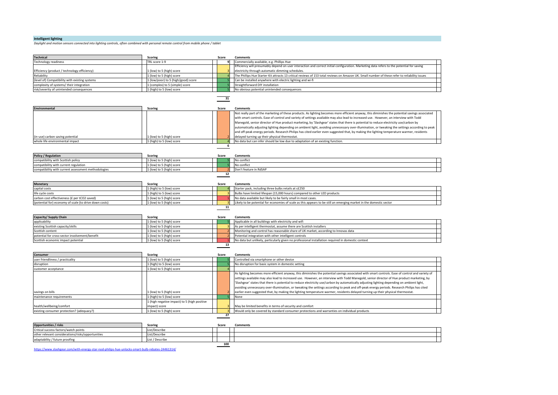#### **Intelligent lighting**

Daylight and motion sensors connected into lighting controls, often combined with personal remote control from mobile phone / tablet

| <b>Technical</b>                                                                    | <b>Scoring</b>                                               | Score | <b>Comments</b>                                                                                                                                 |  |
|-------------------------------------------------------------------------------------|--------------------------------------------------------------|-------|-------------------------------------------------------------------------------------------------------------------------------------------------|--|
| Fechnology readiness                                                                | TRL score 1-9                                                | 9     | Commercially available, e.g. Phillips Hue                                                                                                       |  |
|                                                                                     |                                                              |       | Efficiency will presumably depend on user interaction and correct initial configuration. Marketing data refers to the potential for saving      |  |
| Efficiency (product / technology efficiency)                                        | L (low) to 5 (high) score                                    |       | electricity through automatic dimming schedules.                                                                                                |  |
| Reliability                                                                         | 1 (low) to 5 (high) score                                    |       | The Phillips Hue Starter Kit attracts 13 critical reviews of 153 total reviews on Amazon UK. Small number of these refer to reliability issues  |  |
| (level of) Compatibility with existing systems                                      | 1 (low/poor) to 5 (high/good) score                          |       | Can be installed anywhere with electric lighting and wi-fi                                                                                      |  |
| complexity of systems/their integration                                             | 1 (complex) to 5 (simple) score                              |       | Straightforward DIY installation                                                                                                                |  |
| risk/severity of unintended consequences                                            | 1 (high) to 5 (low) score                                    |       | No obvious potential unintended consequences                                                                                                    |  |
|                                                                                     |                                                              | 31    |                                                                                                                                                 |  |
|                                                                                     |                                                              |       |                                                                                                                                                 |  |
| <b>Environmental</b>                                                                | <b>Scoring</b>                                               | Score | <b>Comments</b>                                                                                                                                 |  |
|                                                                                     |                                                              |       | Not really part of the marketing of these products. As lighting becomes more efficient anyway, this diminishes the potential savings associated |  |
|                                                                                     |                                                              |       | with smart controls. Ease of control and variety of settings available may also lead to increased use. However, an interview with Todd          |  |
|                                                                                     |                                                              |       | Manegold, senior director of Hue product marketing, by 'Slashgear' states that there is potential to reduce electricity use/carbon by           |  |
|                                                                                     |                                                              |       | automatically adjusting lighting depending on ambient light, avoiding unnecessary over-illumination, or tweaking the settings according to peak |  |
|                                                                                     |                                                              |       | and off-peak energy periods. Research Philips has cited earlier even suggested that, by making the lighting temperature warmer, residents       |  |
| (in-use) carbon saving potential                                                    | 1 (low) to 5 (high) score                                    |       | delayed turning up their physical thermostat.                                                                                                   |  |
| whole life environmental impact                                                     | 1 (high) to 5 (low) score                                    | 6     | No data but can infer should be low due to adaptation of an existing function.                                                                  |  |
|                                                                                     |                                                              |       |                                                                                                                                                 |  |
| <b>Policy / Regulation</b>                                                          | <b>Scoring</b>                                               | Score | <b>Comments</b>                                                                                                                                 |  |
| compatibility with Scottish policy                                                  | 1 (low) to 5 (high) score                                    |       | No conflict                                                                                                                                     |  |
| compatibility with current regulation                                               | 1 (low) to 5 (high) score                                    |       | No conflict                                                                                                                                     |  |
| compatibility with current assessment methodologies                                 | 1 (low) to 5 (high) score                                    |       | Don't feature in RdSAP                                                                                                                          |  |
|                                                                                     |                                                              | 12    |                                                                                                                                                 |  |
|                                                                                     |                                                              |       |                                                                                                                                                 |  |
| <b>Monetary</b>                                                                     | <b>Scoring</b>                                               | Score | <b>Comments</b>                                                                                                                                 |  |
| capital costs                                                                       | 1 (high) to 5 (low) score                                    |       | Starter pack, including three bulbs retails at c£250                                                                                            |  |
| life cycle costs                                                                    | 1 (high) to 5 (low) score                                    |       | Bulbs have limited lifespan (15,000 hours) compared to other LED products                                                                       |  |
| carbon cost effectiveness (£ per tCO2 saved)                                        | L (low) to 5 (high) score                                    |       | No data available but likely to be fairly small in most cases.                                                                                  |  |
| (potential for) economy of scale (to drive down costs)                              | 1 (low) to 5 (high) score                                    |       | Likely to be potential for economies of scale as this appears to be still an emerging market in the domestic sector                             |  |
|                                                                                     |                                                              | 11    |                                                                                                                                                 |  |
| Capacity/ Supply Chain                                                              | <b>Scoring</b>                                               | Score | <b>Comments</b>                                                                                                                                 |  |
| applicability                                                                       | 1 (low) to 5 (high) score                                    |       | Applicable in all buildings with electricity and wifi                                                                                           |  |
| existing Scottish capacity/skills                                                   | 1 (low) to 5 (high) score                                    |       | As per intelligent thermostat, assume there are Scottish installers                                                                             |  |
| Scottish content                                                                    | 1 (low) to 5 (high) score                                    |       | Monitoring and control has reasonable share of UK market, according to Innovas data                                                             |  |
| potential for cross-sector involvement/benefit                                      | 1 (low) to 5 (high) score                                    |       | Potential integration with other intelligent controls                                                                                           |  |
| Scottish economic impact potential                                                  | 1 (low) to 5 (high) score                                    |       | No data but unlikely, particularly given no professional installation required in domestic context                                              |  |
|                                                                                     |                                                              | 13    |                                                                                                                                                 |  |
| Consumer                                                                            | <b>Scoring</b>                                               | Score | <b>Comments</b>                                                                                                                                 |  |
| user friendliness / practicality                                                    | 1 (low) to 5 (high) score                                    |       | Controlled via smartphone or other device                                                                                                       |  |
| disruption                                                                          | 1 (high) to 5 (low) score                                    |       | No disruption for basic system in domestic setting                                                                                              |  |
| customer acceptance                                                                 | L (low) to 5 (high) score                                    |       |                                                                                                                                                 |  |
|                                                                                     |                                                              |       | As lighting becomes more efficient anyway, this diminishes the potential savings associated with smart controls. Ease of control and variety of |  |
|                                                                                     |                                                              |       | settings available may also lead to increased use. However, an interview with Todd Manegold, senior director of Hue product marketing, by       |  |
|                                                                                     |                                                              |       | 'Slashgear' states that there is potential to reduce electricity use/carbon by automatically adjusting lighting depending on ambient light,     |  |
|                                                                                     |                                                              |       | avoiding unnecessary over-illumination, or tweaking the settings according to peak and off-peak energy periods. Research Philips has cited      |  |
|                                                                                     |                                                              |       |                                                                                                                                                 |  |
| avings on bills<br>maintenance requirements                                         |                                                              |       |                                                                                                                                                 |  |
|                                                                                     | (low) to 5 (high) score                                      |       | earlier even suggested that, by making the lighting temperature warmer, residents delayed turning up their physical thermostat.                 |  |
|                                                                                     | L (high) to 5 (low) score                                    |       | None                                                                                                                                            |  |
| health/wellbeing/comfort                                                            | 1 (high negative impact) to 5 (high positive<br>mpact) score |       | May be limited benefits in terms of security and comfort                                                                                        |  |
| existing consumer protection? (adequacy?)                                           | 1 (low) to 5 (high) score                                    |       | Would only be covered by standard consumer protections and warranties on individual products                                                    |  |
|                                                                                     |                                                              | 27    |                                                                                                                                                 |  |
|                                                                                     |                                                              |       |                                                                                                                                                 |  |
| <b>Opportunities / risks</b>                                                        | <b>Scoring</b>                                               | Score | <b>Comments</b>                                                                                                                                 |  |
| Critical success factors/watch points                                               | List/Describe                                                |       |                                                                                                                                                 |  |
| other relevant considerations/risks/opportunities<br>adaptability / future proofing | List/Describe<br>List / Describe                             |       |                                                                                                                                                 |  |

https://www.slashgear.com/with-energy-star-nod-philips-hue-unlocks-smart-bulb-rebates-24461314/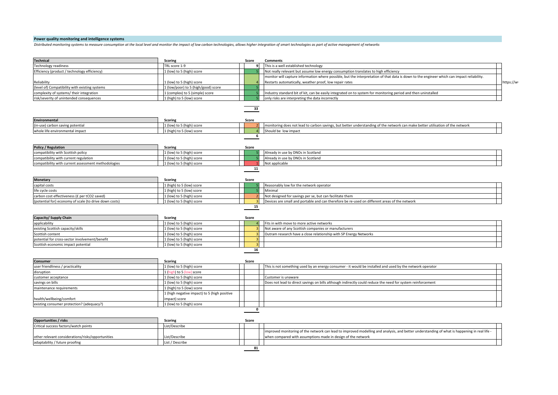#### **Power quality monitoring and intelligence systems**

Distributed monitoring systems to measure consumption at the local level and monitor the impact of low carbon technologies, allows higher integration of smart technologies as part of active management of networks

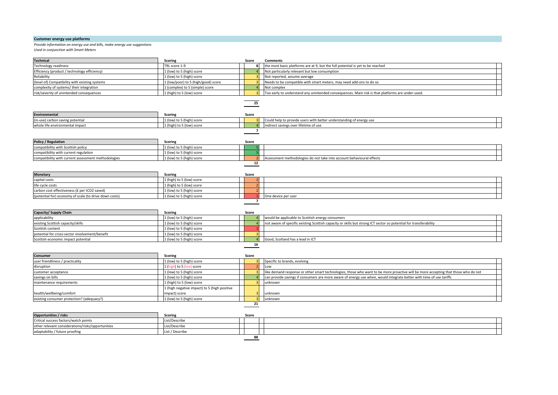# **Customer energy use platforms**

#### **Provide information on energy use and bills, make energy use suggestions**

*Used in conjunction with Smart Meters*

| <b>Technical</b>                                       | Scoring                                    | Score                    | <b>Comments</b>                                                                                                                    |  |
|--------------------------------------------------------|--------------------------------------------|--------------------------|------------------------------------------------------------------------------------------------------------------------------------|--|
| Technology readiness                                   | TRL score 1-9                              |                          | the most basic platforms are at 9, but the full potential is yet to be reached                                                     |  |
| Efficiency (product / technology efficiency)           | (low) to 5 (high) score                    |                          | Not particularly relevant but low consumption                                                                                      |  |
| Reliability                                            | (low) to 5 (high) score                    |                          | Not reported, assume average                                                                                                       |  |
| level of) Compatibility with existing systems          | (low/poor) to 5 (high/good) score          |                          | Needs to be compatible with smart meters, may need add-ons to do so                                                                |  |
| complexity of systems/their integration                | (complex) to 5 (simple) score              |                          | Not complex                                                                                                                        |  |
| risk/severity of unintended consequences               | (high) to 5 (low) score                    |                          | Too early to understand any unintended consequences. Main risk is that platforms are under-used.                                   |  |
|                                                        |                                            |                          |                                                                                                                                    |  |
|                                                        |                                            | 25                       |                                                                                                                                    |  |
| <b>Environmental</b>                                   | Scoring                                    | Score                    |                                                                                                                                    |  |
| (in-use) carbon saving potential                       | 1 (low) to 5 (high) score                  |                          | Could help to provide users with better understanding of energy use                                                                |  |
| whole life environmental impact                        | (high) to 5 (low) score                    |                          | indirect savings over lifetime of use                                                                                              |  |
|                                                        |                                            | $\overline{\phantom{a}}$ |                                                                                                                                    |  |
|                                                        |                                            |                          |                                                                                                                                    |  |
| <b>Policy / Regulation</b>                             | Scoring                                    | Score                    |                                                                                                                                    |  |
| compatibility with Scottish policy                     | 1 (low) to 5 (high) score                  |                          |                                                                                                                                    |  |
| compatibility with current regulation                  | 1 (low) to 5 (high) score                  |                          |                                                                                                                                    |  |
| compatibility with current assessment methodologies    | 1 (low) to 5 (high) score                  |                          | Assessment methodologies do not take into account behavioural effects                                                              |  |
|                                                        |                                            | 12                       |                                                                                                                                    |  |
|                                                        |                                            |                          |                                                                                                                                    |  |
| <b>Monetary</b>                                        | Scoring                                    | Score                    |                                                                                                                                    |  |
| capital costs                                          | (high) to 5 (low) score                    |                          |                                                                                                                                    |  |
| life cycle costs                                       | (high) to 5 (low) score                    |                          |                                                                                                                                    |  |
| carbon cost effectiveness (£ per tCO2 saved)           | (low) to 5 (high) score                    |                          |                                                                                                                                    |  |
| (potential for) economy of scale (to drive down costs) | (low) to 5 (high) score                    |                          | One device per user                                                                                                                |  |
|                                                        |                                            | $\overline{\phantom{a}}$ |                                                                                                                                    |  |
|                                                        |                                            |                          |                                                                                                                                    |  |
| Capacity/ Supply Chain                                 | Scoring                                    | Score                    |                                                                                                                                    |  |
| applicability                                          | 1 (low) to 5 (high) score                  |                          | would be applicable to Scottish energy consumers                                                                                   |  |
| existing Scottish capacity/skills                      | 1 (low) to 5 (high) score                  |                          | not aware of specific existing Scottish capacity or skills but strong ICT sector so potential for transferability                  |  |
| Scottish content                                       | (low) to 5 (high) score                    |                          |                                                                                                                                    |  |
| potential for cross-sector involvement/benefit         | 1 (low) to 5 (high) score                  |                          |                                                                                                                                    |  |
| Scottish economic impact potential                     | 1 (low) to 5 (high) score                  |                          | Good, Scotland has a lead in ICT                                                                                                   |  |
|                                                        |                                            | 16                       |                                                                                                                                    |  |
|                                                        |                                            |                          |                                                                                                                                    |  |
| Consumer                                               | Scoring                                    | Score                    |                                                                                                                                    |  |
| user friendliness / practicality                       | (low) to 5 (high) score                    |                          | Specific to brands, evolving                                                                                                       |  |
| disruption                                             | (high) to 5 (low) score                    |                          | Low                                                                                                                                |  |
| customer acceptance                                    | (low) to 5 (high) score                    |                          | like demand response or other smart technologies, those who want to be more proactive will be more accepting that those who do not |  |
| savings on bills                                       | (low) to 5 (high) score                    |                          | can provide savings if consumers are more aware of energy use when, would integrate better with time of use tariffs                |  |
| maintenance requirements                               | (high) to 5 (low) score                    |                          | unknown                                                                                                                            |  |
|                                                        | (high negative impact) to 5 (high positive |                          |                                                                                                                                    |  |
| health/wellbeing/comfort                               | impact) score                              |                          | unknown                                                                                                                            |  |
| existing consumer protection? (adequacy?)              | (low) to 5 (high) score                    |                          | unknown                                                                                                                            |  |
|                                                        |                                            | 21                       |                                                                                                                                    |  |
|                                                        |                                            |                          |                                                                                                                                    |  |
| Opportunities / risks                                  | Scoring                                    | Score                    |                                                                                                                                    |  |
| Critical success factors/watch points                  | List/Describe                              |                          |                                                                                                                                    |  |

other relevant considerations/risks/opportunities <br>adaptability / future proofing list / Describe list / Describe П adaptability / future proofing **88**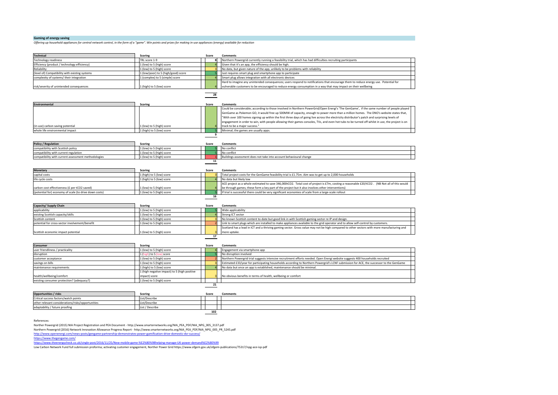#### **Gaming of energy saving**

*Offering* up household appliances for central network control, in the form of a "game". Win points and prizes for making in-use appliances (energy) available for reduction

| <b>Technical</b>                                       | <b>Scoring</b>                               | Score | <b>Comments</b>                                                                                                                                 |
|--------------------------------------------------------|----------------------------------------------|-------|-------------------------------------------------------------------------------------------------------------------------------------------------|
| Technology readiness                                   | TRL score 1-9                                | 8     | Northern Powergrid currently running a feasibility trial, which has had difficulties recruiting participants                                    |
| Efficiency (product / technology efficiency)           | 1 (low) to 5 (high) score                    |       | Given that it's an app, the efficiency should be high.                                                                                          |
| Reliability                                            | 1 (low) to 5 (high) score                    |       | No data, but given nature of the app, unlikely to be problems with reliability                                                                  |
| level of) Compatibility with existing systems          | 1 (low/poor) to 5 (high/good) score          |       | Just requires smart plug and smartphone app to participate                                                                                      |
| complexity of systems/ their integration               | (complex) to 5 (simple) score                |       | Smart plug allows integration with all electronic devices                                                                                       |
|                                                        |                                              |       | Hard to imagine any unintended consequences; users respond to notifications that encourage them to reduce energy use. Potential for             |
| risk/severity of unintended consequences               | 1 (high) to 5 (low) score                    |       | vulnerable customers to be encouraged to reduce energy consumption in a way that may impact on their wellbeing                                  |
|                                                        |                                              | 28    |                                                                                                                                                 |
|                                                        |                                              |       |                                                                                                                                                 |
| <b>Environmental</b>                                   | <b>Scoring</b>                               | Score | <b>Comments</b>                                                                                                                                 |
|                                                        |                                              |       | Could be considerable; according to those involved in Northern PowerGrid/Open Energi's 'The GenGame', if the same number of people played       |
|                                                        |                                              |       | GenGame as Pokemon GO, it would free up 500MW of capacity, enough to power more than a million homes. The DNO's website states that,            |
|                                                        |                                              |       | "With over 100 homes signing up within the first three days of going live across the electricity distributor's patch and surprising levels of   |
|                                                        |                                              |       | engagement in order to win, with people allowing their games consoles, TVs, and even hot tubs to be turned off whilst in use, the project is on |
| (in-use) carbon saving potential                       | 1 (low) to 5 (high) score                    |       | track to be a maior success."                                                                                                                   |
| whole life environmental impact                        | 1 (high) to 5 (low) score                    |       | Minimal; the games are usually apps.                                                                                                            |
|                                                        |                                              | 9     |                                                                                                                                                 |
|                                                        |                                              |       |                                                                                                                                                 |
| <b>Policy / Regulation</b>                             | <b>Scoring</b>                               | Score | Comments                                                                                                                                        |
| compatibility with Scottish policy                     | 1 (low) to 5 (high) score                    |       | No conflict                                                                                                                                     |
| compatibility with current regulation                  | 1 (low) to 5 (high) score                    |       | No conflict                                                                                                                                     |
| compatibility with current assessment methodologies    | 1 (low) to 5 (high) score                    |       | Buildings assessment does not take into account behavioural change                                                                              |
|                                                        |                                              | 11    |                                                                                                                                                 |
|                                                        |                                              |       |                                                                                                                                                 |
|                                                        |                                              |       |                                                                                                                                                 |
| Monetary                                               | <b>Scoring</b>                               | Score | <b>Comments</b>                                                                                                                                 |
| capital costs                                          | 1 (high) to 5 (low) score                    |       | Total project costs for the GenGame feasibility trial is £1.75m. Aim was to get up to 2,000 households                                          |
| life cycle costs                                       | L (high) to 5 (low) score                    |       | No data but likely low                                                                                                                          |
|                                                        |                                              |       | ACE project as a whole estimated to save 346,000tCO2. Total cost of project is £7m, costing a reasonable £20/tCO2. (NB Not all of this would    |
| carbon cost effectiveness (£ per tCO2 saved)           | 1 (low) to 5 (high) score                    |       | be through games; these form a key part of the project but it also involves other interventions)                                                |
| (potential for) economy of scale (to drive down costs) | 1 (low) to 5 (high) score                    |       | If trial is successful there could be very significant economies of scale from a large-scale rollout                                            |
|                                                        |                                              | 16    |                                                                                                                                                 |
|                                                        |                                              |       |                                                                                                                                                 |
| Capacity/ Supply Chain                                 | <b>Scoring</b>                               | Score | <b>Comments</b>                                                                                                                                 |
| applicability                                          | 1 (low) to 5 (high) score                    |       | Wide applicability                                                                                                                              |
| existing Scottish capacity/skills                      | 1 (low) to 5 (high) score                    |       | Strong ICT sector                                                                                                                               |
| Scottish content                                       | 1 (low) to 5 (high) score                    |       | No known Scottish content to-date but good link in with Scottish gaming sector re IP and design.                                                |
| potential for cross-sector involvement/benefit         | I (low) to 5 (high) score                    |       | Link to smart plugs which are installed to make appliances available to the grid operator and to allow self-control by customers.               |
|                                                        |                                              |       | Scotland has a lead in ICT and a thriving gaming sector. Gross value may not be high compared to other sectors with more manufacturing and      |
| Scottish economic impact potential                     | 1 (low) to 5 (high) score                    |       | more uptake.                                                                                                                                    |
|                                                        |                                              | 17    |                                                                                                                                                 |
|                                                        |                                              |       |                                                                                                                                                 |
| Consumer                                               | <b>Scoring</b>                               | Score | <b>Comments</b>                                                                                                                                 |
| user friendliness / practicality                       | 1 (low) to 5 (high) score                    |       | Engagement via smartphone app                                                                                                                   |
| disruption                                             | 1 (high) to 5 (low) score                    |       | No disruption involved                                                                                                                          |
| customer acceptance                                    | 1 (low) to 5 (high) score                    |       | Northern Powergrid trial suggests intensive recruitment efforts needed. Open Energi website suggests 400 households recruited                   |
| savings on bills                                       | 1 (low) to 5 (high) score                    |       | Estimated £33/year for participating households according to Northern Powergrid's LCNF submission for ACE, the successor to the GenGame         |
| maintenance requirements                               | 1 (high) to 5 (low) score                    |       | No data but once an app is established, maintenance should be minimal                                                                           |
|                                                        | 1 (high negative impact) to 5 (high positive |       |                                                                                                                                                 |
| health/wellbeing/comfort                               | impact) score                                |       | Vo obvious benefits in terms of health, wellbeing or comfort                                                                                    |

| <b>Opportunities / risks</b>                      | <b>Scoring</b>  | Score | Comments |
|---------------------------------------------------|-----------------|-------|----------|
| Critical success factors/watch points             | List/Describe   |       |          |
| other relevant considerations/risks/opportunities | List/Describe   |       |          |
| adaptability / future proofing                    | List / Describe |       |          |
|                                                   |                 | 102   |          |

References:

Norther Powergrid (2015) NIA Project Registration and PEA Document - http://www.smarternetworks.org/NIA\_PEA\_PDF/NIA\_NPG\_005\_3137.pdf

Northern Powergrid (2016) Network Innovation Allowance Progress Report - http://www.smarternetworks.org/NIA\_PEA\_PDF/NIA\_NPG\_005\_PR\_5245.pdf

http://www.openenergi.com/news-posts/gengame-partnership-demonstrates-power-gamification-drive-domestic-dsr-suc

https://www.thegengame.com/

httos://www.theenergycheck.co.uk/single-post/2016/11/25/New-mobile-game-%E2%80%98helping-manage-UK-power-demand%E2%80%99<br>Low Carbon Network Fund full submission proforma; activating customer engagement, Norther Power Grid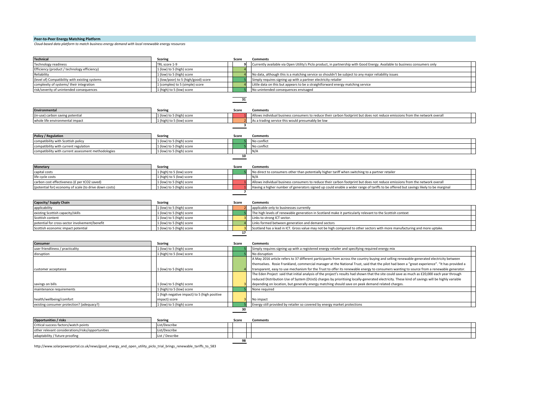# **Peer-to-Peer Energy Matching Platform**

*Cloud-based data platform to match business energy demand with local renewable energy resources*

|                                                        | <b>Scoring</b>                               | Score          | <b>Comments</b>                                                                                                                                |
|--------------------------------------------------------|----------------------------------------------|----------------|------------------------------------------------------------------------------------------------------------------------------------------------|
| Fechnology readiness                                   | TRL score 1-9                                |                | Currently available via Open Utility's Piclo product, in partnership with Good Energy. Available to business consumers only<br>٩               |
| Efficiency (product / technology efficiency)           | 1 (low) to 5 (high) score                    |                |                                                                                                                                                |
| Reliability                                            | 1 (low) to 5 (high) score                    |                | No data, although this is a matching service so shouldn't be subject to any major reliability issues                                           |
| level of) Compatibility with existing systems          | 1 (low/poor) to 5 (high/good) score          |                | Simply requires signing up with a partner electricity retailer                                                                                 |
| complexity of systems/their integration                | 1 (complex) to 5 (simple) score              |                | Little data on this but appears to be a straightforward energy matching service                                                                |
| isk/severity of unintended consequences                | 1 (high) to 5 (low) score                    |                | No unintended consequences envisaged                                                                                                           |
|                                                        |                                              | 31             |                                                                                                                                                |
|                                                        |                                              |                |                                                                                                                                                |
| Environmental                                          | Scoring                                      | Score          | <b>Comments</b>                                                                                                                                |
| in-use) carbon saving potential                        | 1 (low) to 5 (high) score                    |                | Allows individual business consumers to reduce their carbon footprint but does not reduce emissions from the network overall                   |
| whole life environmental impact                        | 1 (high) to 5 (low) score                    |                | As a trading service this would presumably be low                                                                                              |
|                                                        |                                              |                | 3                                                                                                                                              |
| Policy / Regulation                                    | <b>Scoring</b>                               | Score          | <b>Comments</b>                                                                                                                                |
| compatibility with Scottish policy                     | 1 (low) to 5 (high) score                    |                | No conflict                                                                                                                                    |
| compatibility with current regulation                  | 1 (low) to 5 (high) score                    |                | No conflict                                                                                                                                    |
| compatibility with current assessment methodologies    | 1 (low) to 5 (high) score                    |                | N/A                                                                                                                                            |
|                                                        |                                              | 10             |                                                                                                                                                |
|                                                        |                                              |                |                                                                                                                                                |
| <b>Monetary</b>                                        | <b>Scoring</b>                               | Score          | <b>Comments</b>                                                                                                                                |
| apital costs                                           | 1 (high) to 5 (low) score                    |                | No direct to consumers other than potentially higher tariff when switching to a partner retailer                                               |
| life cycle costs                                       | 1 (high) to 5 (low) score                    |                | N/A                                                                                                                                            |
| carbon cost effectiveness (£ per tCO2 saved)           | 1 (low) to 5 (high) score                    |                | Allows individual business consumers to reduce their carbon footprint but does not reduce emissions from the network overall                   |
| (potential for) economy of scale (to drive down costs) | 1 (low) to 5 (high) score                    |                | Having a higher number of generators signed up could enable a wider range of tariffs to be offered but savings likely to be marginal           |
|                                                        |                                              | $\overline{z}$ |                                                                                                                                                |
|                                                        |                                              |                |                                                                                                                                                |
| Capacity/ Supply Chain                                 | <b>Scoring</b>                               | Score          | <b>Comments</b>                                                                                                                                |
| applicability                                          | 1 (low) to 5 (high) score                    |                | applicable only to businesses currently                                                                                                        |
| existing Scottish capacity/skills                      | 1 (low) to 5 (high) score                    |                | The high levels of renewable generation in Scotland make it particularly relevant to the Scottish context                                      |
| Scottish content                                       | 1 (low) to 5 (high) score                    |                | inks to strong ICT sector.                                                                                                                     |
|                                                        | 1 (low) to 5 (high) score                    |                | Links formed between generation and demand sectors                                                                                             |
| potential for cross-sector involvement/benefit         |                                              |                |                                                                                                                                                |
| Scottish economic impact potential                     | 1 (low) to 5 (high) score                    |                | Scotland has a lead in ICT. Gross value may not be high compared to other sectors with more manufacturing and more uptake.                     |
|                                                        |                                              | 17             |                                                                                                                                                |
|                                                        |                                              |                |                                                                                                                                                |
| Consumer                                               | <b>Scoring</b>                               | Score          | <b>Comments</b>                                                                                                                                |
| ser friendliness / practicality                        | 1 (low) to 5 (high) score                    |                | Simply requires signing up with a registered energy retailer and specifying required energy mix                                                |
| disruption                                             | 1 (high) to 5 (low) score                    |                | No disruption                                                                                                                                  |
|                                                        |                                              |                | A May 2016 article refers to 37 different participants from across the country buying and selling renewable-generated electricity between      |
|                                                        |                                              |                | themselves. Rosie Frankland, commercial manager at the National Trust, said that the pilot had been a "great experience". "It has provided a   |
| customer acceptance                                    | 1 (low) to 5 (high) score                    |                | transparent, easy to use mechanism for the Trust to offer its renewable energy to consumers wanting to source from a renewable generator.      |
|                                                        |                                              |                | The Eden Project said that initial analysis of the project's results had shown that the site could save as much as £20,000 each year through   |
|                                                        |                                              |                | reduced Distribution Use of System (DUoS) charges by prioritising locally-generated electricity. These kind of savings will be highly variable |
| savings on bills                                       | 1 (low) to 5 (high) score                    |                | depending on location, but generally energy matching should save on peak demand related charges.                                               |
| maintenance requirements                               | 1 (high) to 5 (low) score                    |                | None required                                                                                                                                  |
|                                                        | 1 (high negative impact) to 5 (high positive |                |                                                                                                                                                |
| ealth/wellbeing/comfort                                | impact) score                                |                | No impact                                                                                                                                      |
| existing consumer protection? (adequacy?)              | 1 (low) to 5 (high) score                    |                | Energy still provided by retailer so covered by energy market protections                                                                      |
|                                                        |                                              | 30             |                                                                                                                                                |
| <b>Opportunities / risks</b>                           | <b>Scoring</b>                               | Score          | <b>Comments</b>                                                                                                                                |
| Critical success factors/watch points                  | List/Describe                                |                |                                                                                                                                                |
| other relevant considerations/risks/opportunities      | List/Describe                                |                |                                                                                                                                                |
| adaptability / future proofing                         | List / Describe                              |                |                                                                                                                                                |

http://www.solarpowerportal.co.uk/news/good\_energy\_and\_open\_utility\_piclo\_trial\_brings\_renewable\_tariffs\_to\_583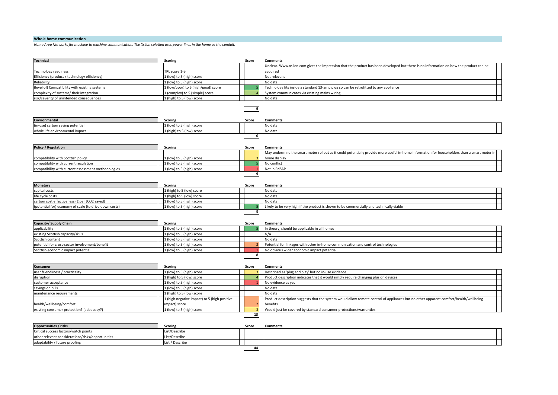#### **Whole home communication**

Home Area Networks for machine to machine communication. The Xsilon solution uses power lines in the home as the conduit.

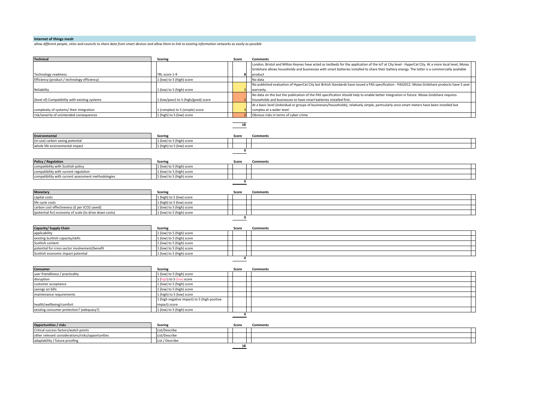# **Internet of things mesh**

allow different people, cities and councils to share data from smart devices and allow them to link to existing information networks as easily as possible

| <b>Technical</b>                                       | <b>Scoring</b>                                         | Score       | <b>Comments</b>                                                                                                                                     |
|--------------------------------------------------------|--------------------------------------------------------|-------------|-----------------------------------------------------------------------------------------------------------------------------------------------------|
|                                                        |                                                        |             | London, Bristol and Milton Keynes have acted as testbeds for the application of the IoT at City level - HyperCat City. At a more local level, Moixa |
|                                                        |                                                        |             | Gridshare allows households and businesses with smart batteries installed to share their battery energy. The latter is a commercially available     |
| <b>Technology readiness</b>                            | TRL score 1-9                                          | 5           | product                                                                                                                                             |
| Efficiency (product / technology efficiency)           | 1 (low) to 5 (high) score                              |             | No data                                                                                                                                             |
|                                                        |                                                        |             | No published evaluation of HyperCat City but British Standards have issued a PAS specification - PAS2012. Moixa Gridshare products have 5 year      |
| Reliability                                            | 1 (low) to 5 (high) score                              |             | warranty.                                                                                                                                           |
|                                                        |                                                        |             | No data on this but the publication of the PAS specification should help to enable better integration in future. Moixa Gridshare requires           |
| (level of) Compatibility with existing systems         | 1 (low/poor) to 5 (high/good) score                    |             | households and businesses to have smart batteries installed first.                                                                                  |
|                                                        |                                                        |             | At a basic level (individual or groups of businesses/households), relatively simple, particularly once smart meters have been installed but         |
| complexity of systems/their integration                | 1 (complex) to 5 (simple) score                        |             | complex at a wider level                                                                                                                            |
| risk/severity of unintended consequences               | 1 (high) to 5 (low) score                              |             | Obvious risks in terms of cyber crime                                                                                                               |
|                                                        |                                                        |             |                                                                                                                                                     |
|                                                        |                                                        | 18          |                                                                                                                                                     |
|                                                        |                                                        |             |                                                                                                                                                     |
| <b>Environmental</b>                                   | Scoring                                                | Score       | <b>Comments</b>                                                                                                                                     |
| (in-use) carbon saving potential                       | 1 (low) to 5 (high) score                              |             |                                                                                                                                                     |
| whole life environmental impact                        | 1 (high) to 5 (low) score                              |             |                                                                                                                                                     |
|                                                        |                                                        | 0           |                                                                                                                                                     |
|                                                        |                                                        |             |                                                                                                                                                     |
| <b>Policy / Regulation</b>                             | Scoring                                                | Score       | <b>Comments</b>                                                                                                                                     |
| compatibility with Scottish policy                     | 1 (low) to 5 (high) score                              |             |                                                                                                                                                     |
| compatibility with current regulation                  | 1 (low) to 5 (high) score                              |             |                                                                                                                                                     |
| compatibility with current assessment methodologies    | 1 (low) to 5 (high) score                              | 0           |                                                                                                                                                     |
|                                                        |                                                        |             |                                                                                                                                                     |
|                                                        |                                                        |             |                                                                                                                                                     |
| <b>Monetary</b>                                        | <b>Scoring</b>                                         | Score       | <b>Comments</b>                                                                                                                                     |
| capital costs<br>life cycle costs                      | 1 (high) to 5 (low) score<br>1 (high) to 5 (low) score |             |                                                                                                                                                     |
| carbon cost effectiveness (£ per tCO2 saved)           | 1 (low) to 5 (high) score                              |             |                                                                                                                                                     |
| (potential for) economy of scale (to drive down costs) | 1 (low) to 5 (high) score                              |             |                                                                                                                                                     |
|                                                        |                                                        | $\mathbf 0$ |                                                                                                                                                     |
|                                                        |                                                        |             |                                                                                                                                                     |
| Capacity/ Supply Chain                                 | Scoring                                                | Score       | <b>Comments</b>                                                                                                                                     |
| applicability                                          | 1 (low) to 5 (high) score                              |             |                                                                                                                                                     |
| existing Scottish capacity/skills                      | 1 (low) to 5 (high) score                              |             |                                                                                                                                                     |
| Scottish content                                       | 1 (low) to 5 (high) score                              |             |                                                                                                                                                     |
| potential for cross-sector involvement/benefit         | 1 (low) to 5 (high) score                              |             |                                                                                                                                                     |
| Scottish economic impact potential                     | 1 (low) to 5 (high) score                              |             |                                                                                                                                                     |
|                                                        |                                                        | $\mathbf 0$ |                                                                                                                                                     |
|                                                        |                                                        |             |                                                                                                                                                     |
| <b>Consumer</b>                                        | <b>Scoring</b>                                         | Score       | <b>Comments</b>                                                                                                                                     |
| user friendliness / practicality                       | 1 (low) to 5 (high) score                              |             |                                                                                                                                                     |
| disruption                                             | 1 (high) to 5 (low) score                              |             |                                                                                                                                                     |
| customer acceptance                                    | 1 (low) to 5 (high) score                              |             |                                                                                                                                                     |
| savings on bills                                       | 1 (low) to 5 (high) score                              |             |                                                                                                                                                     |
| maintenance requirements                               | 1 (high) to 5 (low) score                              |             |                                                                                                                                                     |
|                                                        | 1 (high negative impact) to 5 (high positive           |             |                                                                                                                                                     |
| health/wellbeing/comfort                               | impact) score                                          |             |                                                                                                                                                     |
| existing consumer protection? (adequacy?)              | 1 (low) to 5 (high) score                              |             |                                                                                                                                                     |
|                                                        |                                                        | $\mathbf 0$ |                                                                                                                                                     |
|                                                        |                                                        |             |                                                                                                                                                     |
| <b>Opportunities / risks</b>                           | <b>Scoring</b>                                         | Score       | <b>Comments</b>                                                                                                                                     |
| Critical success factors/watch points                  | List/Describe                                          |             |                                                                                                                                                     |
| other relevant considerations/risks/opportunities      | List/Describe                                          |             |                                                                                                                                                     |
| adaptability / future proofing                         | List / Describe                                        |             |                                                                                                                                                     |
|                                                        |                                                        | 18          |                                                                                                                                                     |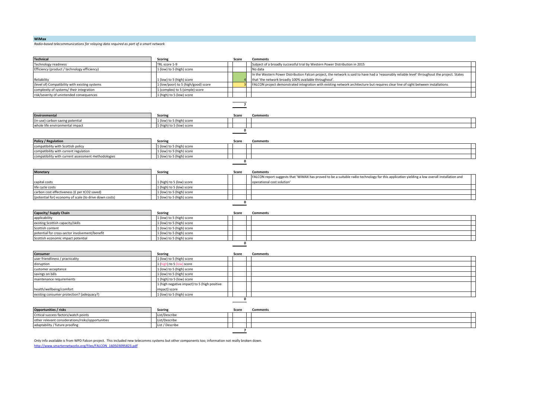#### **WiMax**

*Radio-based telecommunications for relaying data required as part of a smart network*

| <b>Technical</b>                                       | <b>Scoring</b>                               | Score          | <b>Comments</b>                                                                                                                                |
|--------------------------------------------------------|----------------------------------------------|----------------|------------------------------------------------------------------------------------------------------------------------------------------------|
| Technology readiness                                   | TRL score 1-9                                |                | Subject of a broadly successful trial by Western Power Distribution in 2015                                                                    |
| Efficiency (product / technology efficiency)           | 1 (low) to 5 (high) score                    |                | No data                                                                                                                                        |
|                                                        |                                              |                | In the Western Power Distribution Falcon project, the network is said to have had a 'reasonably reliable level' throughout the project. States |
| Reliability                                            | 1 (low) to 5 (high) score                    |                | that 'the network broadly 100% available throughout'.                                                                                          |
| level of) Compatibility with existing systems          | 1 (low/poor) to 5 (high/good) score          |                | FALCON project demonstrated integration with existing network architecture but requires clear line of sight between installations              |
| complexity of systems/their integration                | 1 (complex) to 5 (simple) score              |                |                                                                                                                                                |
| isk/severity of unintended consequences                | 1 (high) to 5 (low) score                    |                |                                                                                                                                                |
|                                                        |                                              |                |                                                                                                                                                |
|                                                        |                                              | $\overline{7}$ |                                                                                                                                                |
| <b>Environmental</b>                                   | <b>Scoring</b>                               | Score          | <b>Comments</b>                                                                                                                                |
| in-use) carbon saving potential                        | 1 (low) to 5 (high) score                    |                |                                                                                                                                                |
| whole life environmental impact                        | 1 (high) to 5 (low) score                    |                |                                                                                                                                                |
|                                                        |                                              | $\pmb{0}$      |                                                                                                                                                |
|                                                        |                                              |                |                                                                                                                                                |
| <b>Policy / Regulation</b>                             | <b>Scoring</b>                               | Score          | <b>Comments</b>                                                                                                                                |
| compatibility with Scottish policy                     | 1 (low) to 5 (high) score                    |                |                                                                                                                                                |
| compatibility with current regulation                  | 1 (low) to 5 (high) score                    |                |                                                                                                                                                |
| compatibility with current assessment methodologies    | 1 (low) to 5 (high) score                    |                |                                                                                                                                                |
|                                                        |                                              | 0              |                                                                                                                                                |
|                                                        |                                              |                |                                                                                                                                                |
| <b>Monetary</b>                                        | <b>Scoring</b>                               | Score          | <b>Comments</b>                                                                                                                                |
|                                                        |                                              |                | FALCON report suggests that 'WiMAX has proved to be a suitable radio technology for this application yielding a low overall installation and   |
| capital costs                                          | L (high) to 5 (low) score                    |                | operational cost solution'                                                                                                                     |
| ife cycle costs                                        | 1 (high) to 5 (low) score                    |                |                                                                                                                                                |
| carbon cost effectiveness (£ per tCO2 saved)           | 1 (low) to 5 (high) score                    |                |                                                                                                                                                |
|                                                        |                                              |                |                                                                                                                                                |
| (potential for) economy of scale (to drive down costs) | 1 (low) to 5 (high) score                    |                |                                                                                                                                                |
|                                                        |                                              | $\mathbf{0}$   |                                                                                                                                                |
|                                                        |                                              |                |                                                                                                                                                |
| Capacity/ Supply Chain                                 | <b>Scoring</b>                               | Score          | <b>Comments</b>                                                                                                                                |
| applicability                                          | 1 (low) to 5 (high) score                    |                |                                                                                                                                                |
| existing Scottish capacity/skills                      | 1 (low) to 5 (high) score                    |                |                                                                                                                                                |
| Scottish content                                       | 1 (low) to 5 (high) score                    |                |                                                                                                                                                |
| potential for cross-sector involvement/benefit         | 1 (low) to 5 (high) score                    |                |                                                                                                                                                |
| Scottish economic impact potential                     | 1 (low) to 5 (high) score                    | $\pmb{0}$      |                                                                                                                                                |
|                                                        |                                              |                |                                                                                                                                                |
| Consumer                                               | <b>Scoring</b>                               | Score          | <b>Comments</b>                                                                                                                                |
| user friendliness / practicality                       | 1 (low) to 5 (high) score                    |                |                                                                                                                                                |
| disruption                                             | 1 (high) to 5 (low) score                    |                |                                                                                                                                                |
| customer acceptance                                    | 1 (low) to 5 (high) score                    |                |                                                                                                                                                |
| savings on bills                                       | 1 (low) to 5 (high) score                    |                |                                                                                                                                                |
| maintenance requirements                               | 1 (high) to 5 (low) score                    |                |                                                                                                                                                |
|                                                        | 1 (high negative impact) to 5 (high positive |                |                                                                                                                                                |
| health/wellbeing/comfort                               | impact) score                                |                |                                                                                                                                                |
| existing consumer protection? (adequacy?)              | 1 (low) to 5 (high) score                    |                |                                                                                                                                                |
|                                                        |                                              | $\pmb{0}$      |                                                                                                                                                |
|                                                        |                                              |                |                                                                                                                                                |
| Opportunities / risks                                  | <b>Scoring</b>                               | Score          | <b>Comments</b>                                                                                                                                |
| Critical success factors/watch points                  | List/Describe                                |                |                                                                                                                                                |
| other relevant considerations/risks/opportunities      | List/Describe                                |                |                                                                                                                                                |
| adaptability / future proofing                         | List / Describe                              | $\overline{7}$ |                                                                                                                                                |

Only info available is from WPD Falcon project. This included new telecomms systems but other components too; information not really broken down. http://www.smarternetworks.org/Files/FALCON\_160503095823.pdf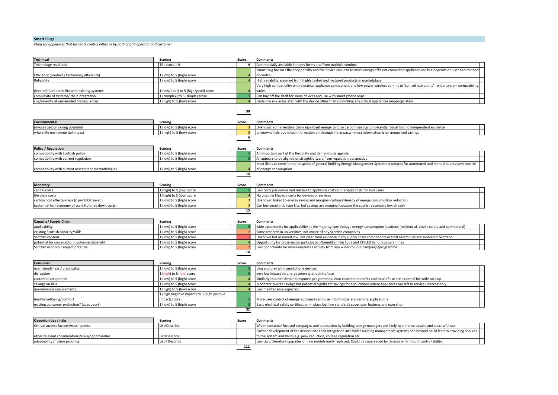# **Smart Plugs**

 $\overline{\phantom{0}}$ 

Plugs for appliances that facilitate control either or by both of grid operator and customer

| <b>Technical</b>                                       | <b>Scoring</b>                               | Score | <b>Comments</b>                                                                                                                                 |
|--------------------------------------------------------|----------------------------------------------|-------|-------------------------------------------------------------------------------------------------------------------------------------------------|
| Technology readiness                                   | TRL score 1-9                                | 9     | Commercially available in many forms and from multiple vendors                                                                                  |
|                                                        |                                              |       | Smart plug has no efficiency penalty and the device can lead to more energy efficient connected appliance use but depends on user and method    |
| Efficiency (product / technology efficiency)           | 1 (low) to 5 (high) score                    |       | of control                                                                                                                                      |
| Reliability                                            | 1 (low) to 5 (high) score                    |       | High reliability assumed from highly tested and matured products in marketplace                                                                 |
|                                                        |                                              |       | Very high compatibility with electrical appliance connections and low power wireless comms to 'control hub points' - wider system compatibility |
| level of) Compatability with existing systems          | L (low/poor) to 5 (high/good) score          |       | varies                                                                                                                                          |
| complexity of systems/ their integration               | 1 (complex) to 5 (simple) score              |       | Can buy off the shelf for some devices and use with smart phone apps                                                                            |
| risk/severity of unintended consequences               | 1 (high) to 5 (low) score                    |       | Fairly low risk associated with the device other than controlling any critical appliances inappropriately                                       |
|                                                        |                                              |       |                                                                                                                                                 |
|                                                        |                                              | 30    |                                                                                                                                                 |
|                                                        |                                              |       |                                                                                                                                                 |
|                                                        |                                              |       |                                                                                                                                                 |
| <b>Environmental</b>                                   | <b>Scoring</b>                               | Score | <b>Comments</b>                                                                                                                                 |
| in-use) carbon saving potential                        | 1 (low) to 5 (high) score                    |       | Unknown: some vendors claim significant energy (and so carbon) savings on decently robust but no independent evidence                           |
| whole life environmental impact                        | 1 (high) to 5 (low) score                    |       | unknown: little published information on through life impacts - most information is on annualised savings                                       |
|                                                        |                                              | 6     |                                                                                                                                                 |
|                                                        |                                              |       |                                                                                                                                                 |
| <b>Policy / Regulation</b>                             | <b>Scoring</b>                               | Score | <b>Comments</b>                                                                                                                                 |
| compatibility with Scottish policy                     | 1 (low) to 5 (high) score                    |       | An important part of the flexibility and demand side agenda                                                                                     |
| compatibility with current regulation                  | 1 (low) to 5 (high) score                    |       | All appears to be aligned or straightforward from regulation perspective                                                                        |
|                                                        |                                              |       | Most likely to come under auspices of general Building Energy Management Systems standards for automated and manual supervisory control         |
| compatibility with current assessment methodologies    | L (low) to 5 (high) score                    |       | of energy consumption                                                                                                                           |
|                                                        |                                              | 14    |                                                                                                                                                 |
|                                                        |                                              |       |                                                                                                                                                 |
| Monetary                                               | <b>Scoring</b>                               | Score | <b>Comments</b>                                                                                                                                 |
| capital costs                                          | 1 (high) to 5 (low) score                    |       | Low costs per device and relative to appliance costs and energy costs for end users                                                             |
|                                                        |                                              |       |                                                                                                                                                 |
| ife cycle costs                                        | 1 (high) to 5 (low) score                    |       | No ongoing lifecycle costs for devices or services                                                                                              |
| carbon cost effectiveness (£ per tCO2 saved)           | 1 (low) to 5 (high) score                    |       | Unknown: linked to energy saving and marginal carbon intensity of energy consumption reduction                                                  |
| (potential for) economy of scale (to drive down costs) | 1 (low) to 5 (high) score                    |       | Can buy smart hub type kits, but savings are marginal because the cost is reasonably low already                                                |
|                                                        |                                              | 15    |                                                                                                                                                 |
|                                                        |                                              |       |                                                                                                                                                 |
| Capacity/ Supply Chain                                 | <b>Scoring</b>                               | Score | <b>Comments</b>                                                                                                                                 |
| applicability                                          | 1 (low) to 5 (high) score                    |       | wide opportunity for applicability at the majority Low Voltage energy consumption locations (residential, public estate and commercial)         |
| existing Scottish capacity/skills                      | 1 (low) to 5 (high) score                    |       | Some research in universities, not aware of any Scottish companies                                                                              |
| Scottish content                                       | 1 (low) to 5 (high) score                    |       | Unknown but assumed low: not clear from evidence if any supply chain components or final assemblies are sourced in Scotland                     |
| ootential for cross-sector involvement/benefit         | 1 (low) to 5 (high) score                    |       | Opportunity for cross-sector participation/benefit similar to recent CF/LED lighting programmes                                                 |
| Scottish economic impact potential                     | 1 (low) to 5 (high) score                    |       | Low opportunity for wholesale/retail activity from any wider roll-out campaign/programme                                                        |
|                                                        |                                              | 14    |                                                                                                                                                 |
|                                                        |                                              |       |                                                                                                                                                 |
| Consumer                                               | <b>Scoring</b>                               | Score | <b>Comments</b>                                                                                                                                 |
| user friendliness / practicality                       | 1 (low) to 5 (high) score                    |       | plug and play with smartphone devices                                                                                                           |
| disruption                                             | 1 (high) to 5 (low) score                    |       | very low impact on energy amenity at point of use                                                                                               |
|                                                        |                                              |       |                                                                                                                                                 |
| customer acceptance                                    | 1 (low) to 5 (high) score                    |       | Similarly to other demand response programmes, clear customer benefits and ease of use are essential for wide take up                           |
| savings on bills                                       | 1 (low) to 5 (high) score                    |       | Moderate overall savings but potential significant savings for applications where appliances are left in service unnecessarily                  |
| maintenance requirements                               | 1 (high) to 5 (low) score                    |       | Low maintenance expected                                                                                                                        |
|                                                        | 1 (high negative impact) to 5 (high positive |       |                                                                                                                                                 |
| health/wellbeing/comfort                               | impact) score                                |       | More user control of energy appliances and use in both local and remote applications                                                            |
| existing consumer protection? (adequacy?)              | 1 (low) to 5 (high) score                    |       | Basic electrical safety certification in place but few standards cover user features and operation                                              |
|                                                        |                                              | 32    |                                                                                                                                                 |
|                                                        |                                              |       |                                                                                                                                                 |
| <b>Opportunities / risks</b>                           | <b>Scoring</b>                               | Score | <b>Comments</b>                                                                                                                                 |
| Critical success factors/watch points                  | List/Describe                                |       | Wider consumer focused campaigns and application by building energy managers are likely to enhance uptake and successful use                    |
|                                                        |                                              |       | Further development of the devices and their integration into wider building management systems and beyond could lead to providing services     |
| other relevant considerations/risks/opportunities      | .ist/Describe                                |       | to the system and DNOs e.g. peak reduction, voltage regulation etc.                                                                             |
| adaptability / future proofing                         | List / Describe                              |       | Low cost, therefore upgrades or new models easily replaced. Could be superseded by devices with in-built controllability.                       |
|                                                        |                                              |       |                                                                                                                                                 |
|                                                        |                                              | 111   |                                                                                                                                                 |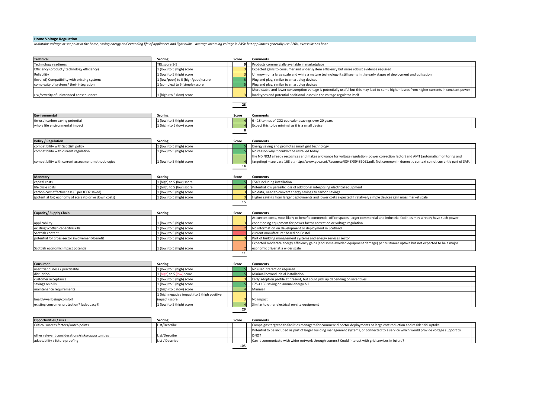# **Home Voltage Regulation**

Maintains voltage at set point in the home, saving energy and extending life of appliances and light bulbs - average incoming voltage is 245V but appliances generally use 220V, excess lost as heat.

| <b>Technical</b>                                       | <b>Scoring</b>                               | Score        | <b>Comments</b>                                                                                                                                                                                                                                                                    |
|--------------------------------------------------------|----------------------------------------------|--------------|------------------------------------------------------------------------------------------------------------------------------------------------------------------------------------------------------------------------------------------------------------------------------------|
| Technology readiness                                   | TRL score 1-9                                | $\mathbf{q}$ | Products commercially available in marketplace                                                                                                                                                                                                                                     |
| Efficiency (product / technology efficiency)           | 1 (low) to 5 (high) score                    |              | Expected gains to consumer and wider system efficiency but more robust evidence required                                                                                                                                                                                           |
| Reliability                                            | 1 (low) to 5 (high) score                    |              | Unknown on a large scale and while a mature technology it still seems in the early stages of deployment and utilisation                                                                                                                                                            |
| (level of) Compatibility with existing systems         | 1 (low/poor) to 5 (high/good) score          |              | Plug and play, similar to smart plug devices                                                                                                                                                                                                                                       |
| complexity of systems/their integration                | 1 (complex) to 5 (simple) score              |              | Plug and play, similar to smart plug devices                                                                                                                                                                                                                                       |
|                                                        |                                              |              | More stable and lower consumption voltage is potentially useful but this may lead to some higher losses from higher currents in constant power                                                                                                                                     |
| risk/severity of unintended consequences               | 1 (high) to 5 (low) score                    |              | load types and potential additional losses in the voltage regulator itself                                                                                                                                                                                                         |
|                                                        |                                              |              |                                                                                                                                                                                                                                                                                    |
|                                                        |                                              | 28           |                                                                                                                                                                                                                                                                                    |
|                                                        |                                              |              |                                                                                                                                                                                                                                                                                    |
| Environmental                                          | <b>Scoring</b>                               | Score        | <b>Comments</b>                                                                                                                                                                                                                                                                    |
| (in-use) carbon saving potential                       | 1 (low) to 5 (high) score                    |              | 6 - 18 tonnes of CO2 equivalent savings over 20 years                                                                                                                                                                                                                              |
| whole life environmental impact                        | 1 (high) to 5 (low) score                    |              | Expect this to be minimal as it is a small device                                                                                                                                                                                                                                  |
|                                                        |                                              | 8            |                                                                                                                                                                                                                                                                                    |
|                                                        |                                              |              |                                                                                                                                                                                                                                                                                    |
| <b>Policy / Regulation</b>                             | <b>Scoring</b>                               | Score        | <b>Comments</b>                                                                                                                                                                                                                                                                    |
| compatibility with Scottish policy                     | 1 (low) to 5 (high) score                    |              | Energy saving and promotes smart grid technology                                                                                                                                                                                                                                   |
| compatibility with current regulation                  | 1 (low) to 5 (high) score                    |              | No reason why it couldn't be installed today                                                                                                                                                                                                                                       |
|                                                        |                                              |              |                                                                                                                                                                                                                                                                                    |
| compatibility with current assessment methodologies    |                                              |              | the ND NCM already recognises and makes allowance for voltage regulation (power correction factor) and AMT (automatic monitoring and<br>targeting) - see para 168 at: http://www.gov.scot/Resource/0048/00486061.pdf. Not common in domestic context so not currently part of SAP. |
|                                                        | 1 (low) to 5 (high) score                    | 14           |                                                                                                                                                                                                                                                                                    |
|                                                        |                                              |              |                                                                                                                                                                                                                                                                                    |
|                                                        |                                              |              |                                                                                                                                                                                                                                                                                    |
| <b>Monetary</b>                                        | <b>Scoring</b>                               | Score        | Comments                                                                                                                                                                                                                                                                           |
| capital costs                                          | 1 (high) to 5 (low) score                    |              | £549 including installation                                                                                                                                                                                                                                                        |
| life cycle costs                                       | 1 (high) to 5 (low) score                    |              | Potential low parasitic loss of additional interposing electrical equipment                                                                                                                                                                                                        |
| carbon cost effectiveness (£ per tCO2 saved)           | 1 (low) to 5 (high) score                    |              | No data, need to convert energy savings to carbon savings                                                                                                                                                                                                                          |
| (potential for) economy of scale (to drive down costs) | 1 (low) to 5 (high) score                    |              | Higher savings from larger deployments and lower costs expected if relatively simple devices gain mass market scale                                                                                                                                                                |
|                                                        |                                              | 15           |                                                                                                                                                                                                                                                                                    |
|                                                        |                                              |              |                                                                                                                                                                                                                                                                                    |
| Capacity/ Supply Chain                                 | <b>Scoring</b>                               | Score        | <b>Comments</b>                                                                                                                                                                                                                                                                    |
|                                                        |                                              |              | At current costs, most likely to benefit commercial office spaces- larger commercial and industrial facilities may already have such power                                                                                                                                         |
| applicability                                          | 1 (low) to 5 (high) score                    |              | conditioning equipment for power factor correction or voltage regulation                                                                                                                                                                                                           |
| existing Scottish capacity/skills                      | 1 (low) to 5 (high) score                    |              | No information on development or deployment in Scotland                                                                                                                                                                                                                            |
| Scottish content                                       | 1 (low) to 5 (high) score                    |              | current manufacturer based on Bristol                                                                                                                                                                                                                                              |
| potential for cross-sector involvement/benefit         | 1 (low) to 5 (high) score                    |              | Part of building management systems and energy services sector                                                                                                                                                                                                                     |
|                                                        |                                              |              | Expected moderate energy efficiency gains (and some avoided equipment damage) per customer uptake but not expected to be a major                                                                                                                                                   |
| Scottish economic impact potential                     | l (low) to 5 (high) score                    |              | economic driver at a wider scale                                                                                                                                                                                                                                                   |
|                                                        |                                              | 11           |                                                                                                                                                                                                                                                                                    |
|                                                        |                                              |              |                                                                                                                                                                                                                                                                                    |
| <b>Consumer</b>                                        | <b>Scoring</b>                               | Score        | <b>Comments</b>                                                                                                                                                                                                                                                                    |
| user friendliness / practicality                       | 1 (low) to 5 (high) score                    |              | No user interaction required                                                                                                                                                                                                                                                       |
| disruption                                             | 1 (high) to 5 (low) score                    |              | Minimal beyond initial installation                                                                                                                                                                                                                                                |
| customer acceptance                                    | 1 (low) to 5 (high) score                    |              | Early adoption profile at present, but could pick up depending on incentives                                                                                                                                                                                                       |
| savings on bills                                       | 1 (low) to 5 (high) score                    |              | £75-£135 saving on annual energy bill                                                                                                                                                                                                                                              |
| maintenance requirements                               | 1 (high) to 5 (low) score                    |              | Minimal                                                                                                                                                                                                                                                                            |
|                                                        | 1 (high negative impact) to 5 (high positive |              |                                                                                                                                                                                                                                                                                    |
| health/wellbeing/comfort                               | impact) score                                |              | No impact                                                                                                                                                                                                                                                                          |
| existing consumer protection? (adequacy?)              | 1 (low) to 5 (high) score                    |              | Similar to other electrical on-site equipment                                                                                                                                                                                                                                      |
|                                                        |                                              | 29           |                                                                                                                                                                                                                                                                                    |
|                                                        |                                              |              |                                                                                                                                                                                                                                                                                    |
| <b>Opportunities / risks</b>                           | <b>Scoring</b>                               | Score        | <b>Comments</b>                                                                                                                                                                                                                                                                    |
|                                                        |                                              |              |                                                                                                                                                                                                                                                                                    |
| Critical success factors/watch points                  | List/Describe                                |              | Campaigns targeted to facilities managers for commercial sector deployments or large cost reduction and residential uptake                                                                                                                                                         |
|                                                        |                                              |              | Potential to be included as part of larger building management systems, or connected to a service which would provide voltage support to                                                                                                                                           |
| other relevant considerations/risks/opportunities      | ist/Describe                                 |              | DNO?                                                                                                                                                                                                                                                                               |
| adaptability / future proofing                         | List / Describe                              |              | Can it communicate with wider network through comms? Could interact with grid services in future?                                                                                                                                                                                  |
|                                                        |                                              | 105          |                                                                                                                                                                                                                                                                                    |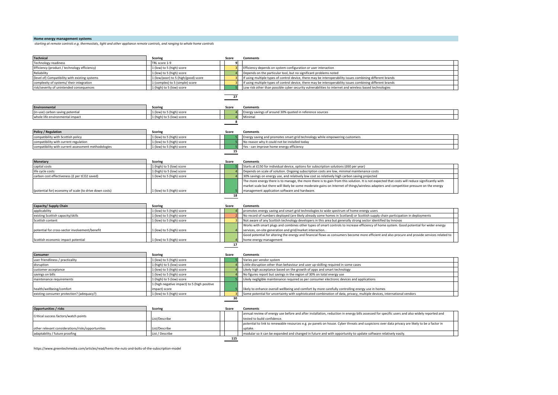#### **Home energy management systems**

*starting at remote controls e.g.* thermostats, light and other appliance remote controls, and ranging to whole home controls

| Technical                                                        | <b>Scoring</b>                               | Score          | <b>Comments</b>                                                                                                                                |  |
|------------------------------------------------------------------|----------------------------------------------|----------------|------------------------------------------------------------------------------------------------------------------------------------------------|--|
| Technology readiness                                             | TRL score 1-9                                | او             |                                                                                                                                                |  |
| Efficiency (product / technology efficiency)                     | 1 (low) to 5 (high) score                    |                | Efficiency depends on system configuration or user interaction                                                                                 |  |
| Reliability                                                      | 1 (low) to 5 (high) score                    |                | Depends on the particular tool, but no significant problems noted                                                                              |  |
|                                                                  |                                              |                |                                                                                                                                                |  |
| level of) Compatibility with existing systems                    | 1 (low/poor) to 5 (high/good) score          |                | If using multiple types of control device, there may be interoperability issues combining different brands                                     |  |
| complexity of systems/ their integration                         | 1 (complex) to 5 (simple) score              |                | If using multiple types of control device, there may be interoperability issues combining different brands                                     |  |
| risk/severity of unintended consequences                         | 1 (high) to 5 (low) score                    |                | Low risk other than possible cyber security vulnerabilities to internet and wireless based technologies                                        |  |
|                                                                  |                                              | 27             |                                                                                                                                                |  |
|                                                                  |                                              |                |                                                                                                                                                |  |
| Environmental                                                    | <b>Scoring</b>                               | Score          | <b>Comments</b>                                                                                                                                |  |
| in-use) carbon saving potential                                  | 1 (low) to 5 (high) score                    |                | Energy savings of around 30% quoted in reference sources                                                                                       |  |
| whole life environmental impact                                  | 1 (high) to 5 (low) score                    |                | Minimal                                                                                                                                        |  |
|                                                                  |                                              | 8              |                                                                                                                                                |  |
|                                                                  |                                              |                |                                                                                                                                                |  |
| <b>Policy / Regulation</b><br>compatibility with Scottish policy | <b>Scoring</b><br>1 (low) to 5 (high) score  | Score          | <b>Comments</b><br>Energy saving and promotes smart grid technology while empowering customers                                                 |  |
| compatibility with current regulation                            | 1 (low) to 5 (high) score                    |                | No reason why it could not be installed today                                                                                                  |  |
|                                                                  |                                              |                |                                                                                                                                                |  |
| compatibility with current assessment methodologies              | 1 (low) to 5 (high) score                    | 15             | Yes - can improve home energy efficiency                                                                                                       |  |
|                                                                  |                                              |                |                                                                                                                                                |  |
| <b>Monetary</b>                                                  | <b>Scoring</b>                               | Score          | <b>Comments</b>                                                                                                                                |  |
| capital costs                                                    | 1 (high) to 5 (low) score                    |                | Starts at £150 for individual device, options for subscription solutions (£60 per year)                                                        |  |
| life cycle costs                                                 | 1 (high) to 5 (low) score                    |                | Depends on scale of solution. Ongoing subscription costs are low, minimal maintenance costs                                                    |  |
| carbon cost effectiveness (£ per tCO2 saved)                     | 1 (low) to 5 (high) score                    |                | 30% savings on energy use, and relatively low cost so relatively high carbon saving projected                                                  |  |
|                                                                  |                                              |                | The more energy there is to manage, the more there is to gain from this solution. It is not expected that costs will reduce significantly with |  |
|                                                                  |                                              |                | market scale but there will likely be some moderate gains on Internet of things/wireless adapters and competitive pressure on the energy       |  |
| (potential for) economy of scale (to drive down costs)           | 1 (low) to 5 (high) score                    |                | management application software and hardware.                                                                                                  |  |
|                                                                  |                                              | 18             |                                                                                                                                                |  |
|                                                                  |                                              |                |                                                                                                                                                |  |
| Capacity/ Supply Chain                                           | <b>Scoring</b>                               | Score          | <b>Comments</b>                                                                                                                                |  |
| applicability                                                    | 1 (low) to 5 (high) score                    |                | promotes energy saving and smart grid technologies to wide spectrum of home energy users                                                       |  |
| existing Scottish capacity/skills                                | 1 (low) to 5 (high) score                    |                | No record of numbers deployed (are likely already some homes in Scotland) or Scottish supply chain participation in deployments                |  |
| Scottish content                                                 | 1 (low) to 5 (high) score                    |                | Not aware of any Scottish technology developers in this area but generally strong sector identified by Innovas                                 |  |
|                                                                  |                                              |                | Works with smart plugs and combines other types of smart controls to increase efficiency of home system. Good potential for wider energy       |  |
| potential for cross-sector involvement/benefit                   | (low) to 5 (high) score                      |                | services, on-site generation and grid/market interaction.                                                                                      |  |
|                                                                  |                                              |                | Good potential for altering the energy and financial flows as consumers become more efficient and also procure and provide services related to |  |
| Scottish economic impact potential                               | 1 (low) to 5 (high) score                    |                | home energy management                                                                                                                         |  |
|                                                                  |                                              | 17             |                                                                                                                                                |  |
|                                                                  |                                              |                |                                                                                                                                                |  |
| Consumer                                                         | <b>Scoring</b>                               | Score          | <b>Comments</b>                                                                                                                                |  |
| user friendliness / practicality                                 | 1 (low) to 5 (high) score                    |                | Varies per vendor system                                                                                                                       |  |
| disruption                                                       | 1 (high) to 5 (low) score                    |                | Little disruption other than behaviour and user up-skilling required in some cases                                                             |  |
| customer acceptance                                              | 1 (low) to 5 (high) score                    |                | Likely high acceptance based on the growth of apps and smart technology                                                                        |  |
| savings on bills                                                 | 1 (low) to 5 (high) score                    |                | No figures report but savings in the region of 30% on total energy use                                                                         |  |
| maintenance requirements                                         | 1 (high) to 5 (low) score                    |                | Likely negligible maintenance required as per consumer electronic devices and applications                                                     |  |
|                                                                  | 1 (high negative impact) to 5 (high positive |                |                                                                                                                                                |  |
| health/wellbeing/comfort                                         | impact) score                                |                | likely to enhance overall wellbeing and comfort by more carefully controlling energy use in homes                                              |  |
| existing consumer protection? (adequacy?)                        | 1 (low) to 5 (high) score                    | $\overline{3}$ | Some potential for uncertainty with sophisticated combination of data, privacy, multiple devices, international vendors                        |  |
|                                                                  |                                              | 30             |                                                                                                                                                |  |
|                                                                  |                                              |                |                                                                                                                                                |  |
|                                                                  |                                              |                |                                                                                                                                                |  |

| <b>Opportunities / risks</b>                      | Scoring         | Score | <b>Comments</b>                                                                                                                               |  |
|---------------------------------------------------|-----------------|-------|-----------------------------------------------------------------------------------------------------------------------------------------------|--|
| Critical success factors/watch points             |                 |       | annual review of energy use before and after installation, reduction in energy bills assessed for specific users and also widely reported and |  |
|                                                   | List/Describe   |       | tested to build confidence.                                                                                                                   |  |
|                                                   |                 |       | potential to link to renewable resources e.g. pv panels on house. Cyber threats and suspicions over data privacy are likely to be a factor in |  |
| other relevant considerations/risks/opportunities | List/Describe   |       | luptake.                                                                                                                                      |  |
| adaptability / future proofing                    | List / Describe |       | modular so it can be expanded and changed in future and with opportunity to update software relatively easily.                                |  |
|                                                   |                 | 115   |                                                                                                                                               |  |

https://www.greentechmedia.com/articles/read/hems-the-nuts-and-bolts-of-the-subscription-model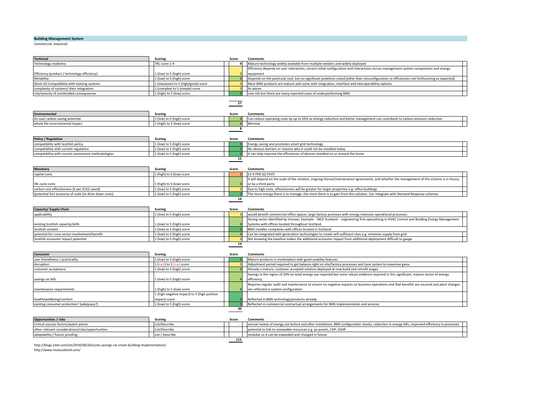# **Building Management System**

**Commercial, industrial** 

| Technical                                              | Scoring                                    | Score           | <b>Comments</b>                                                                                                                             |  |
|--------------------------------------------------------|--------------------------------------------|-----------------|---------------------------------------------------------------------------------------------------------------------------------------------|--|
| Technology readiness                                   | TRL score 1-9                              | 9               | Mature technology widely available from multiple vendors and widely deployed                                                                |  |
|                                                        |                                            |                 | Efficiency depends on user interaction, correct initial configuration and interactions across management system components and energy       |  |
| Efficiency (product / technology efficiency)           | (low) to 5 (high) score                    |                 | equipment                                                                                                                                   |  |
| Reliability                                            | L (low) to 5 (high) score                  |                 | Depends on the particular tool, but no significant problems noted (other than misconfiguration so efficiencies not forthcoming as expected) |  |
| level of) Compatibility with existing systems          | L (low/poor) to 5 (high/good) score        |                 | Most BMS products are mature and come with integration, interface and interoperability options.                                             |  |
| complexity of systems/ their integration               | 1 (complex) to 5 (simple) score            |                 | As above                                                                                                                                    |  |
| risk/severity of unintended consequences               | 1 (high) to 5 (low) score                  |                 | Low risk but there are many reported cases of underperforming BMS                                                                           |  |
|                                                        |                                            |                 |                                                                                                                                             |  |
|                                                        |                                            | $\overline{27}$ |                                                                                                                                             |  |
| Environmental                                          | <b>Scoring</b>                             | Score           | <b>Comments</b>                                                                                                                             |  |
| in-use) carbon saving potential                        | L (low) to 5 (high) score                  |                 | Can reduce operating costs by up to 20% so energy reduction and better management can contribute to carbon emission reduction               |  |
| whole life environmental impact                        | (high) to 5 (low) score                    |                 | Minimal                                                                                                                                     |  |
|                                                        |                                            | 8               |                                                                                                                                             |  |
| <b>Policy / Regulation</b>                             | <b>Scoring</b>                             | Score           | <b>Comments</b>                                                                                                                             |  |
| compatibility with Scottish policy                     | 1 (low) to 5 (high) score                  |                 | Energy saving and promotes smart grid technology                                                                                            |  |
| compatibility with current regulation                  | 1 (low) to 5 (high) score                  |                 | No obvious barriers or reasons why it could not be installed today                                                                          |  |
| compatibility with current assessment methodologies    | 1 (low) to 5 (high) score                  |                 | t can help improve the efficiencies of devices installed on or around the home                                                              |  |
|                                                        |                                            | 15              |                                                                                                                                             |  |
|                                                        |                                            |                 |                                                                                                                                             |  |
| <b>Monetary</b>                                        | <b>Scoring</b>                             | Score           | <b>Comments</b>                                                                                                                             |  |
| capital costs                                          | 1 (high) to 5 (low) score                  |                 | £2-5 PER SQ FOOT                                                                                                                            |  |
|                                                        |                                            |                 | t will depend on the scale of the solution, ongoing license/maintenance agreements, and whether the management of the scheme is in-house,   |  |
| life cycle costs                                       | (high) to 5 (low) score                    |                 | or by a third party                                                                                                                         |  |
| carbon cost effectiveness (£ per tCO2 saved)           | L (low) to 5 (high) score                  |                 | Due to high costs, effectiveness will be greater for larger properties e.g. office buildings                                                |  |
| (potential for) economy of scale (to drive down costs) | L (low) to 5 (high) score                  |                 | The more energy there is to manage, the more there is to gain from this solution. Can integrate with Demand Response schemes                |  |
|                                                        |                                            | 14              |                                                                                                                                             |  |
| Capacity/ Supply Chain                                 | <b>Scoring</b>                             | Score           | Comments                                                                                                                                    |  |
| applicability                                          | 1 (low) to 5 (high) score                  |                 | would benefit commercial office spaces, large factory premises with energy intensive operational processes                                  |  |
|                                                        |                                            |                 | Strong sector identified by Innovas. Example - 'MCE Scotland - engineering firm specialising in HVAC Control and Building Energy Management |  |
| existing Scottish capacity/skills                      | (low) to 5 (high) score                    |                 | Systems with offices located throughout Scotland.                                                                                           |  |
| Scottish content                                       | L (low) to 5 (high) score                  |                 | BMS installer companies with offices located in Scotland                                                                                    |  |
| ootential for cross-sector involvement/benefit         | 1 (low) to 5 (high) score                  |                 | Can be integrated with generation technologies to create self-sufficient sites e.g. minimise supply from grid.                              |  |
| Scottish economic impact potential                     | 1 (low) to 5 (high) score                  |                 | Not knowing the baseline makes the additional economic impact from additional deployment difficult to gauge                                 |  |
|                                                        |                                            | 19              |                                                                                                                                             |  |
|                                                        |                                            |                 |                                                                                                                                             |  |
| Consumer                                               | <b>Scoring</b>                             | Score           | <b>Comments</b>                                                                                                                             |  |
| user friendliness / practicality                       | 1 (low) to 5 (high) score                  |                 | Mature products in marketplace with good usability features                                                                                 |  |
| disruption                                             | 1 (high) to 5 (low) score                  |                 | Adjustment period required to get balance right on site/factory processes and tune system to maximise gains                                 |  |
| customer acceptance                                    | 1 (low) to 5 (high) score                  |                 | Already a mature, customer accepted solution deployed at new build and retrofit stages                                                      |  |
|                                                        |                                            |                 | Savings in the region of 20% on total energy use reported but more robust evidence required in this significant, mature sector of energy    |  |
| savings on bills                                       | (low) to 5 (high) score                    |                 | efficiency                                                                                                                                  |  |
|                                                        |                                            |                 | Requires regular audit and maintenance to ensure no negative impacts on business operations and that benefits are secured and plant changes |  |
| maintenance requirements                               | (high) to 5 (low) score                    |                 | are reflected in system configuration                                                                                                       |  |
|                                                        | (high negative impact) to 5 (high positive |                 |                                                                                                                                             |  |
| health/wellbeing/comfort                               | mpact) score                               |                 | Reflected in BMS technology/products already                                                                                                |  |
| existing consumer protection? (adequacy?)              | 1 (low) to 5 (high) score                  |                 | Reflected in commercial contractual arrangements for BMS implementation and services                                                        |  |
|                                                        |                                            | 30              |                                                                                                                                             |  |
| Opportunities / ricks                                  | Scoring                                    |                 | Score Commonte                                                                                                                              |  |
|                                                        |                                            |                 |                                                                                                                                             |  |

| <b>Opportunities / risks</b>                      | Scoring         | Score | Comments                                                                                                                                         |  |
|---------------------------------------------------|-----------------|-------|--------------------------------------------------------------------------------------------------------------------------------------------------|--|
| Critical success factors/watch points             | List/Describe   |       | annual review of energy use before and after installation. BMS configuration checks, reduction in energy bills, improved efficiency in processes |  |
| other relevant considerations/risks/opportunities | List/Describe   |       | potential to link to renewable resources e.g. pv panels, CHP, GSHP                                                                               |  |
| adaptability / future proofing                    | List / Describe |       | modular so it can be expanded and changed in future                                                                                              |  |
| 113                                               |                 |       |                                                                                                                                                  |  |

http://blogs.intel.com/iot/2016/06/20/costs-savings-roi-smart-building-implementation/ http://www.mcescotland.com/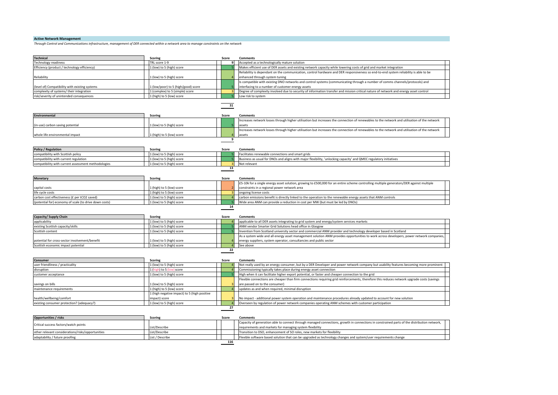# **Active Network Management**

*Through Control and Communications infrastructure, management of DER connected within a network area to manage constraints on the network* 

| TRL score 1-9<br>Technology readiness<br>9<br>Accepted as a technologically mature solution<br>Efficiency (product / technology efficiency)<br>1 (low) to 5 (high) score<br>Makes efficient use of DER assets and existing network capacity while lowering costs of grid and market integration<br>Reliability is dependant on the communication, control hardware and DER responsiveness so end-to-end system reliability is able to be<br>(low) to 5 (high) score<br>Reliability<br>enhanced through system tuning<br>Is compatible with existing DNO networks and control systems (communicating through a number of comms channels/protocols) and<br>level of) Compatibility with existing systems<br>L (low/poor) to 5 (high/good) score<br>interfacing to a number of customer energy assets<br>complexity of systems/ their integration<br>1 (complex) to 5 (simple) score<br>Degree of complexity involved due to security of information transfer and mission critical nature of network and energy asset control<br>risk/severity of unintended consequences<br>1 (high) to 5 (low) score<br>Low risk to system<br>31<br><b>Environmental</b><br>Score<br>Scoring<br><b>Comments</b><br>Increases network losses through higher utilisation but increases the connection of renewables to the network and utilisation of the network<br>in-use) carbon saving potential<br>L (low) to 5 (high) score<br>Increases network losses through higher utilisation but increases the connection of renewables to the network and utilisation of the network<br>whole life environmental impact<br>L (high) to 5 (low) score<br>assets<br>9<br><b>Policy / Regulation</b><br><b>Scoring</b><br>Score<br>Comments<br>1 (low) to 5 (high) score<br>compatibility with Scottish policy<br>Facilitates renewable connections and smart grids<br>compatibility with current regulation<br>1 (low) to 5 (high) score<br>Business as usual for DNOs and aligns with major flexibility, 'unlocking capacity' and QMEC regulatory initiatives<br>1 (low) to 5 (high) score<br>compatibility with current assessment methodologies<br>Not relevant<br>13<br><b>Monetary</b><br><b>Scoring</b><br>Score<br>Comments<br>£5-10k for a single energy asset solution, growing to £500,000 for an entire scheme controlling multiple generators/DER against multiple<br>capital costs<br>(high) to 5 (low) score<br>constraints in a regional power network area<br>ife cycle costs<br>1 (high) to 5 (low) score<br>ongoing license costs<br>carbon cost effectiveness (£ per tCO2 saved)<br>1 (low) to 5 (high) score<br>carbon emissions benefit is directly linked to the operation to the renewable energy assets that ANM controls<br>Wide area ANM can provide a reduction in cost per MW (but must be led by DNOs)<br>(potential for) economy of scale (to drive down costs)<br>1 (low) to 5 (high) score<br>14<br>Capacity/ Supply Chain<br><b>Scoring</b><br>Score<br><b>Comments</b><br>1 (low) to 5 (high) score<br>applicability<br>applicable to all DER assets integrating to grid system and energy/system services markets<br>existing Scottish capacity/skills<br>1 (low) to 5 (high) score<br>ANM vendor Smarter Grid Solutions head office in Glasgow<br>1 (low) to 5 (high) score<br>Invention from Scotland university sector and commercial ANM provider and technology developer based in Scotland<br>Scottish content<br>As a system wide and all energy asset management solution ANM provides opportunities to work across developers, power network companies<br>energy suppliers, system operator, consultancies and public sector<br>potential for cross-sector involvement/benefit<br>L (low) to 5 (high) score<br>1 (low) to 5 (high) score<br>See above<br>Scottish economic impact potential<br>22<br>Consumer<br><b>Scoring</b><br>Score<br>Comments<br>1 (low) to 5 (high) score<br>Not really used by an energy consumer, but by a DER Developer and power network company but usability features becoming more prominent<br>user friendliness / practicality<br>disruption<br>1 (high) to 5 (low) score<br>Commissioning typically takes place during energy asset connection<br>customer acceptance<br>1 (low) to 5 (high) score<br>High when it can facilitate higher export potential, or faster and cheaper connection to the grid<br>Flexible connections are cheaper than firm connections requiring grid reinforcements, therefore this reduces network upgrade costs (savings<br>savings on bills<br>(low) to 5 (high) score<br>are passed on to the consumer)<br>updates as and when required, minimal disruption<br>naintenance requirements<br>1 (high) to 5 (low) score<br>1 (high negative impact) to 5 (high positive<br>ealth/wellbeing/comfort<br>impact) score<br>No impact - additional power system operation and maintenance procedures already updated to account for new solution<br>existing consumer protection? (adequacy?)<br>1 (low) to 5 (high) score<br>Overseen by regulation of power network companies operating ANM schemes with customer participation<br>27<br><b>Opportunities / risks</b><br><b>Scoring</b><br>Score<br><b>Comments</b><br>Capacity of generation able to connect through managed connections, growth in connections in constrained parts of the distribution network,<br>Critical success factors/watch points<br>List/Describe<br>requirements and markets for managing system flexibility<br>other relevant considerations/risks/opportunities<br>List/Describe<br>Transition to DSO, enhancement of SO roles, new markets for flexibility<br>adaptability / future proofing<br>List / Describe<br>Flexible software based solution that can be upgraded as technology changes and system/user requirements change<br>116 | <b>Technical</b> | <b>Scoring</b> | Score | Comments |
|----------------------------------------------------------------------------------------------------------------------------------------------------------------------------------------------------------------------------------------------------------------------------------------------------------------------------------------------------------------------------------------------------------------------------------------------------------------------------------------------------------------------------------------------------------------------------------------------------------------------------------------------------------------------------------------------------------------------------------------------------------------------------------------------------------------------------------------------------------------------------------------------------------------------------------------------------------------------------------------------------------------------------------------------------------------------------------------------------------------------------------------------------------------------------------------------------------------------------------------------------------------------------------------------------------------------------------------------------------------------------------------------------------------------------------------------------------------------------------------------------------------------------------------------------------------------------------------------------------------------------------------------------------------------------------------------------------------------------------------------------------------------------------------------------------------------------------------------------------------------------------------------------------------------------------------------------------------------------------------------------------------------------------------------------------------------------------------------------------------------------------------------------------------------------------------------------------------------------------------------------------------------------------------------------------------------------------------------------------------------------------------------------------------------------------------------------------------------------------------------------------------------------------------------------------------------------------------------------------------------------------------------------------------------------------------------------------------------------------------------------------------------------------------------------------------------------------------------------------------------------------------------------------------------------------------------------------------------------------------------------------------------------------------------------------------------------------------------------------------------------------------------------------------------------------------------------------------------------------------------------------------------------------------------------------------------------------------------------------------------------------------------------------------------------------------------------------------------------------------------------------------------------------------------------------------------------------------------------------------------------------------------------------------------------------------------------------------------------------------------------------------------------------------------------------------------------------------------------------------------------------------------------------------------------------------------------------------------------------------------------------------------------------------------------------------------------------------------------------------------------------------------------------------------------------------------------------------------------------------------------------------------------------------------------------------------------------------------------------------------------------------------------------------------------------------------------------------------------------------------------------------------------------------------------------------------------------------------------------------------------------------------------------------------------------------------------------------------------------------------------------------------------------------------------------------------------------------------------------------------------------------------------------------------------------------------------------------------------------------------------------------------------------------------------------------------------------------------------------------------------------------------------------------------------------------------------------------------------------------------------------------------------------------------------------------------------------------------------------------------------------------------------------------------------------------------------------------------------------------------------------------------------------------------------------------------------------------------------------------------------------------------------------------------------------------------------------------------------------------------------------------------------------------------------------|------------------|----------------|-------|----------|
|                                                                                                                                                                                                                                                                                                                                                                                                                                                                                                                                                                                                                                                                                                                                                                                                                                                                                                                                                                                                                                                                                                                                                                                                                                                                                                                                                                                                                                                                                                                                                                                                                                                                                                                                                                                                                                                                                                                                                                                                                                                                                                                                                                                                                                                                                                                                                                                                                                                                                                                                                                                                                                                                                                                                                                                                                                                                                                                                                                                                                                                                                                                                                                                                                                                                                                                                                                                                                                                                                                                                                                                                                                                                                                                                                                                                                                                                                                                                                                                                                                                                                                                                                                                                                                                                                                                                                                                                                                                                                                                                                                                                                                                                                                                                                                                                                                                                                                                                                                                                                                                                                                                                                                                                                                                                                                                                                                                                                                                                                                                                                                                                                                                                                                                                                                                                          |                  |                |       |          |
|                                                                                                                                                                                                                                                                                                                                                                                                                                                                                                                                                                                                                                                                                                                                                                                                                                                                                                                                                                                                                                                                                                                                                                                                                                                                                                                                                                                                                                                                                                                                                                                                                                                                                                                                                                                                                                                                                                                                                                                                                                                                                                                                                                                                                                                                                                                                                                                                                                                                                                                                                                                                                                                                                                                                                                                                                                                                                                                                                                                                                                                                                                                                                                                                                                                                                                                                                                                                                                                                                                                                                                                                                                                                                                                                                                                                                                                                                                                                                                                                                                                                                                                                                                                                                                                                                                                                                                                                                                                                                                                                                                                                                                                                                                                                                                                                                                                                                                                                                                                                                                                                                                                                                                                                                                                                                                                                                                                                                                                                                                                                                                                                                                                                                                                                                                                                          |                  |                |       |          |
|                                                                                                                                                                                                                                                                                                                                                                                                                                                                                                                                                                                                                                                                                                                                                                                                                                                                                                                                                                                                                                                                                                                                                                                                                                                                                                                                                                                                                                                                                                                                                                                                                                                                                                                                                                                                                                                                                                                                                                                                                                                                                                                                                                                                                                                                                                                                                                                                                                                                                                                                                                                                                                                                                                                                                                                                                                                                                                                                                                                                                                                                                                                                                                                                                                                                                                                                                                                                                                                                                                                                                                                                                                                                                                                                                                                                                                                                                                                                                                                                                                                                                                                                                                                                                                                                                                                                                                                                                                                                                                                                                                                                                                                                                                                                                                                                                                                                                                                                                                                                                                                                                                                                                                                                                                                                                                                                                                                                                                                                                                                                                                                                                                                                                                                                                                                                          |                  |                |       |          |
|                                                                                                                                                                                                                                                                                                                                                                                                                                                                                                                                                                                                                                                                                                                                                                                                                                                                                                                                                                                                                                                                                                                                                                                                                                                                                                                                                                                                                                                                                                                                                                                                                                                                                                                                                                                                                                                                                                                                                                                                                                                                                                                                                                                                                                                                                                                                                                                                                                                                                                                                                                                                                                                                                                                                                                                                                                                                                                                                                                                                                                                                                                                                                                                                                                                                                                                                                                                                                                                                                                                                                                                                                                                                                                                                                                                                                                                                                                                                                                                                                                                                                                                                                                                                                                                                                                                                                                                                                                                                                                                                                                                                                                                                                                                                                                                                                                                                                                                                                                                                                                                                                                                                                                                                                                                                                                                                                                                                                                                                                                                                                                                                                                                                                                                                                                                                          |                  |                |       |          |
|                                                                                                                                                                                                                                                                                                                                                                                                                                                                                                                                                                                                                                                                                                                                                                                                                                                                                                                                                                                                                                                                                                                                                                                                                                                                                                                                                                                                                                                                                                                                                                                                                                                                                                                                                                                                                                                                                                                                                                                                                                                                                                                                                                                                                                                                                                                                                                                                                                                                                                                                                                                                                                                                                                                                                                                                                                                                                                                                                                                                                                                                                                                                                                                                                                                                                                                                                                                                                                                                                                                                                                                                                                                                                                                                                                                                                                                                                                                                                                                                                                                                                                                                                                                                                                                                                                                                                                                                                                                                                                                                                                                                                                                                                                                                                                                                                                                                                                                                                                                                                                                                                                                                                                                                                                                                                                                                                                                                                                                                                                                                                                                                                                                                                                                                                                                                          |                  |                |       |          |
|                                                                                                                                                                                                                                                                                                                                                                                                                                                                                                                                                                                                                                                                                                                                                                                                                                                                                                                                                                                                                                                                                                                                                                                                                                                                                                                                                                                                                                                                                                                                                                                                                                                                                                                                                                                                                                                                                                                                                                                                                                                                                                                                                                                                                                                                                                                                                                                                                                                                                                                                                                                                                                                                                                                                                                                                                                                                                                                                                                                                                                                                                                                                                                                                                                                                                                                                                                                                                                                                                                                                                                                                                                                                                                                                                                                                                                                                                                                                                                                                                                                                                                                                                                                                                                                                                                                                                                                                                                                                                                                                                                                                                                                                                                                                                                                                                                                                                                                                                                                                                                                                                                                                                                                                                                                                                                                                                                                                                                                                                                                                                                                                                                                                                                                                                                                                          |                  |                |       |          |
|                                                                                                                                                                                                                                                                                                                                                                                                                                                                                                                                                                                                                                                                                                                                                                                                                                                                                                                                                                                                                                                                                                                                                                                                                                                                                                                                                                                                                                                                                                                                                                                                                                                                                                                                                                                                                                                                                                                                                                                                                                                                                                                                                                                                                                                                                                                                                                                                                                                                                                                                                                                                                                                                                                                                                                                                                                                                                                                                                                                                                                                                                                                                                                                                                                                                                                                                                                                                                                                                                                                                                                                                                                                                                                                                                                                                                                                                                                                                                                                                                                                                                                                                                                                                                                                                                                                                                                                                                                                                                                                                                                                                                                                                                                                                                                                                                                                                                                                                                                                                                                                                                                                                                                                                                                                                                                                                                                                                                                                                                                                                                                                                                                                                                                                                                                                                          |                  |                |       |          |
|                                                                                                                                                                                                                                                                                                                                                                                                                                                                                                                                                                                                                                                                                                                                                                                                                                                                                                                                                                                                                                                                                                                                                                                                                                                                                                                                                                                                                                                                                                                                                                                                                                                                                                                                                                                                                                                                                                                                                                                                                                                                                                                                                                                                                                                                                                                                                                                                                                                                                                                                                                                                                                                                                                                                                                                                                                                                                                                                                                                                                                                                                                                                                                                                                                                                                                                                                                                                                                                                                                                                                                                                                                                                                                                                                                                                                                                                                                                                                                                                                                                                                                                                                                                                                                                                                                                                                                                                                                                                                                                                                                                                                                                                                                                                                                                                                                                                                                                                                                                                                                                                                                                                                                                                                                                                                                                                                                                                                                                                                                                                                                                                                                                                                                                                                                                                          |                  |                |       |          |
|                                                                                                                                                                                                                                                                                                                                                                                                                                                                                                                                                                                                                                                                                                                                                                                                                                                                                                                                                                                                                                                                                                                                                                                                                                                                                                                                                                                                                                                                                                                                                                                                                                                                                                                                                                                                                                                                                                                                                                                                                                                                                                                                                                                                                                                                                                                                                                                                                                                                                                                                                                                                                                                                                                                                                                                                                                                                                                                                                                                                                                                                                                                                                                                                                                                                                                                                                                                                                                                                                                                                                                                                                                                                                                                                                                                                                                                                                                                                                                                                                                                                                                                                                                                                                                                                                                                                                                                                                                                                                                                                                                                                                                                                                                                                                                                                                                                                                                                                                                                                                                                                                                                                                                                                                                                                                                                                                                                                                                                                                                                                                                                                                                                                                                                                                                                                          |                  |                |       |          |
|                                                                                                                                                                                                                                                                                                                                                                                                                                                                                                                                                                                                                                                                                                                                                                                                                                                                                                                                                                                                                                                                                                                                                                                                                                                                                                                                                                                                                                                                                                                                                                                                                                                                                                                                                                                                                                                                                                                                                                                                                                                                                                                                                                                                                                                                                                                                                                                                                                                                                                                                                                                                                                                                                                                                                                                                                                                                                                                                                                                                                                                                                                                                                                                                                                                                                                                                                                                                                                                                                                                                                                                                                                                                                                                                                                                                                                                                                                                                                                                                                                                                                                                                                                                                                                                                                                                                                                                                                                                                                                                                                                                                                                                                                                                                                                                                                                                                                                                                                                                                                                                                                                                                                                                                                                                                                                                                                                                                                                                                                                                                                                                                                                                                                                                                                                                                          |                  |                |       |          |
|                                                                                                                                                                                                                                                                                                                                                                                                                                                                                                                                                                                                                                                                                                                                                                                                                                                                                                                                                                                                                                                                                                                                                                                                                                                                                                                                                                                                                                                                                                                                                                                                                                                                                                                                                                                                                                                                                                                                                                                                                                                                                                                                                                                                                                                                                                                                                                                                                                                                                                                                                                                                                                                                                                                                                                                                                                                                                                                                                                                                                                                                                                                                                                                                                                                                                                                                                                                                                                                                                                                                                                                                                                                                                                                                                                                                                                                                                                                                                                                                                                                                                                                                                                                                                                                                                                                                                                                                                                                                                                                                                                                                                                                                                                                                                                                                                                                                                                                                                                                                                                                                                                                                                                                                                                                                                                                                                                                                                                                                                                                                                                                                                                                                                                                                                                                                          |                  |                |       |          |
|                                                                                                                                                                                                                                                                                                                                                                                                                                                                                                                                                                                                                                                                                                                                                                                                                                                                                                                                                                                                                                                                                                                                                                                                                                                                                                                                                                                                                                                                                                                                                                                                                                                                                                                                                                                                                                                                                                                                                                                                                                                                                                                                                                                                                                                                                                                                                                                                                                                                                                                                                                                                                                                                                                                                                                                                                                                                                                                                                                                                                                                                                                                                                                                                                                                                                                                                                                                                                                                                                                                                                                                                                                                                                                                                                                                                                                                                                                                                                                                                                                                                                                                                                                                                                                                                                                                                                                                                                                                                                                                                                                                                                                                                                                                                                                                                                                                                                                                                                                                                                                                                                                                                                                                                                                                                                                                                                                                                                                                                                                                                                                                                                                                                                                                                                                                                          |                  |                |       |          |
|                                                                                                                                                                                                                                                                                                                                                                                                                                                                                                                                                                                                                                                                                                                                                                                                                                                                                                                                                                                                                                                                                                                                                                                                                                                                                                                                                                                                                                                                                                                                                                                                                                                                                                                                                                                                                                                                                                                                                                                                                                                                                                                                                                                                                                                                                                                                                                                                                                                                                                                                                                                                                                                                                                                                                                                                                                                                                                                                                                                                                                                                                                                                                                                                                                                                                                                                                                                                                                                                                                                                                                                                                                                                                                                                                                                                                                                                                                                                                                                                                                                                                                                                                                                                                                                                                                                                                                                                                                                                                                                                                                                                                                                                                                                                                                                                                                                                                                                                                                                                                                                                                                                                                                                                                                                                                                                                                                                                                                                                                                                                                                                                                                                                                                                                                                                                          |                  |                |       |          |
|                                                                                                                                                                                                                                                                                                                                                                                                                                                                                                                                                                                                                                                                                                                                                                                                                                                                                                                                                                                                                                                                                                                                                                                                                                                                                                                                                                                                                                                                                                                                                                                                                                                                                                                                                                                                                                                                                                                                                                                                                                                                                                                                                                                                                                                                                                                                                                                                                                                                                                                                                                                                                                                                                                                                                                                                                                                                                                                                                                                                                                                                                                                                                                                                                                                                                                                                                                                                                                                                                                                                                                                                                                                                                                                                                                                                                                                                                                                                                                                                                                                                                                                                                                                                                                                                                                                                                                                                                                                                                                                                                                                                                                                                                                                                                                                                                                                                                                                                                                                                                                                                                                                                                                                                                                                                                                                                                                                                                                                                                                                                                                                                                                                                                                                                                                                                          |                  |                |       |          |
|                                                                                                                                                                                                                                                                                                                                                                                                                                                                                                                                                                                                                                                                                                                                                                                                                                                                                                                                                                                                                                                                                                                                                                                                                                                                                                                                                                                                                                                                                                                                                                                                                                                                                                                                                                                                                                                                                                                                                                                                                                                                                                                                                                                                                                                                                                                                                                                                                                                                                                                                                                                                                                                                                                                                                                                                                                                                                                                                                                                                                                                                                                                                                                                                                                                                                                                                                                                                                                                                                                                                                                                                                                                                                                                                                                                                                                                                                                                                                                                                                                                                                                                                                                                                                                                                                                                                                                                                                                                                                                                                                                                                                                                                                                                                                                                                                                                                                                                                                                                                                                                                                                                                                                                                                                                                                                                                                                                                                                                                                                                                                                                                                                                                                                                                                                                                          |                  |                |       |          |
|                                                                                                                                                                                                                                                                                                                                                                                                                                                                                                                                                                                                                                                                                                                                                                                                                                                                                                                                                                                                                                                                                                                                                                                                                                                                                                                                                                                                                                                                                                                                                                                                                                                                                                                                                                                                                                                                                                                                                                                                                                                                                                                                                                                                                                                                                                                                                                                                                                                                                                                                                                                                                                                                                                                                                                                                                                                                                                                                                                                                                                                                                                                                                                                                                                                                                                                                                                                                                                                                                                                                                                                                                                                                                                                                                                                                                                                                                                                                                                                                                                                                                                                                                                                                                                                                                                                                                                                                                                                                                                                                                                                                                                                                                                                                                                                                                                                                                                                                                                                                                                                                                                                                                                                                                                                                                                                                                                                                                                                                                                                                                                                                                                                                                                                                                                                                          |                  |                |       |          |
|                                                                                                                                                                                                                                                                                                                                                                                                                                                                                                                                                                                                                                                                                                                                                                                                                                                                                                                                                                                                                                                                                                                                                                                                                                                                                                                                                                                                                                                                                                                                                                                                                                                                                                                                                                                                                                                                                                                                                                                                                                                                                                                                                                                                                                                                                                                                                                                                                                                                                                                                                                                                                                                                                                                                                                                                                                                                                                                                                                                                                                                                                                                                                                                                                                                                                                                                                                                                                                                                                                                                                                                                                                                                                                                                                                                                                                                                                                                                                                                                                                                                                                                                                                                                                                                                                                                                                                                                                                                                                                                                                                                                                                                                                                                                                                                                                                                                                                                                                                                                                                                                                                                                                                                                                                                                                                                                                                                                                                                                                                                                                                                                                                                                                                                                                                                                          |                  |                |       |          |
|                                                                                                                                                                                                                                                                                                                                                                                                                                                                                                                                                                                                                                                                                                                                                                                                                                                                                                                                                                                                                                                                                                                                                                                                                                                                                                                                                                                                                                                                                                                                                                                                                                                                                                                                                                                                                                                                                                                                                                                                                                                                                                                                                                                                                                                                                                                                                                                                                                                                                                                                                                                                                                                                                                                                                                                                                                                                                                                                                                                                                                                                                                                                                                                                                                                                                                                                                                                                                                                                                                                                                                                                                                                                                                                                                                                                                                                                                                                                                                                                                                                                                                                                                                                                                                                                                                                                                                                                                                                                                                                                                                                                                                                                                                                                                                                                                                                                                                                                                                                                                                                                                                                                                                                                                                                                                                                                                                                                                                                                                                                                                                                                                                                                                                                                                                                                          |                  |                |       |          |
|                                                                                                                                                                                                                                                                                                                                                                                                                                                                                                                                                                                                                                                                                                                                                                                                                                                                                                                                                                                                                                                                                                                                                                                                                                                                                                                                                                                                                                                                                                                                                                                                                                                                                                                                                                                                                                                                                                                                                                                                                                                                                                                                                                                                                                                                                                                                                                                                                                                                                                                                                                                                                                                                                                                                                                                                                                                                                                                                                                                                                                                                                                                                                                                                                                                                                                                                                                                                                                                                                                                                                                                                                                                                                                                                                                                                                                                                                                                                                                                                                                                                                                                                                                                                                                                                                                                                                                                                                                                                                                                                                                                                                                                                                                                                                                                                                                                                                                                                                                                                                                                                                                                                                                                                                                                                                                                                                                                                                                                                                                                                                                                                                                                                                                                                                                                                          |                  |                |       |          |
|                                                                                                                                                                                                                                                                                                                                                                                                                                                                                                                                                                                                                                                                                                                                                                                                                                                                                                                                                                                                                                                                                                                                                                                                                                                                                                                                                                                                                                                                                                                                                                                                                                                                                                                                                                                                                                                                                                                                                                                                                                                                                                                                                                                                                                                                                                                                                                                                                                                                                                                                                                                                                                                                                                                                                                                                                                                                                                                                                                                                                                                                                                                                                                                                                                                                                                                                                                                                                                                                                                                                                                                                                                                                                                                                                                                                                                                                                                                                                                                                                                                                                                                                                                                                                                                                                                                                                                                                                                                                                                                                                                                                                                                                                                                                                                                                                                                                                                                                                                                                                                                                                                                                                                                                                                                                                                                                                                                                                                                                                                                                                                                                                                                                                                                                                                                                          |                  |                |       |          |
|                                                                                                                                                                                                                                                                                                                                                                                                                                                                                                                                                                                                                                                                                                                                                                                                                                                                                                                                                                                                                                                                                                                                                                                                                                                                                                                                                                                                                                                                                                                                                                                                                                                                                                                                                                                                                                                                                                                                                                                                                                                                                                                                                                                                                                                                                                                                                                                                                                                                                                                                                                                                                                                                                                                                                                                                                                                                                                                                                                                                                                                                                                                                                                                                                                                                                                                                                                                                                                                                                                                                                                                                                                                                                                                                                                                                                                                                                                                                                                                                                                                                                                                                                                                                                                                                                                                                                                                                                                                                                                                                                                                                                                                                                                                                                                                                                                                                                                                                                                                                                                                                                                                                                                                                                                                                                                                                                                                                                                                                                                                                                                                                                                                                                                                                                                                                          |                  |                |       |          |
|                                                                                                                                                                                                                                                                                                                                                                                                                                                                                                                                                                                                                                                                                                                                                                                                                                                                                                                                                                                                                                                                                                                                                                                                                                                                                                                                                                                                                                                                                                                                                                                                                                                                                                                                                                                                                                                                                                                                                                                                                                                                                                                                                                                                                                                                                                                                                                                                                                                                                                                                                                                                                                                                                                                                                                                                                                                                                                                                                                                                                                                                                                                                                                                                                                                                                                                                                                                                                                                                                                                                                                                                                                                                                                                                                                                                                                                                                                                                                                                                                                                                                                                                                                                                                                                                                                                                                                                                                                                                                                                                                                                                                                                                                                                                                                                                                                                                                                                                                                                                                                                                                                                                                                                                                                                                                                                                                                                                                                                                                                                                                                                                                                                                                                                                                                                                          |                  |                |       |          |
|                                                                                                                                                                                                                                                                                                                                                                                                                                                                                                                                                                                                                                                                                                                                                                                                                                                                                                                                                                                                                                                                                                                                                                                                                                                                                                                                                                                                                                                                                                                                                                                                                                                                                                                                                                                                                                                                                                                                                                                                                                                                                                                                                                                                                                                                                                                                                                                                                                                                                                                                                                                                                                                                                                                                                                                                                                                                                                                                                                                                                                                                                                                                                                                                                                                                                                                                                                                                                                                                                                                                                                                                                                                                                                                                                                                                                                                                                                                                                                                                                                                                                                                                                                                                                                                                                                                                                                                                                                                                                                                                                                                                                                                                                                                                                                                                                                                                                                                                                                                                                                                                                                                                                                                                                                                                                                                                                                                                                                                                                                                                                                                                                                                                                                                                                                                                          |                  |                |       |          |
|                                                                                                                                                                                                                                                                                                                                                                                                                                                                                                                                                                                                                                                                                                                                                                                                                                                                                                                                                                                                                                                                                                                                                                                                                                                                                                                                                                                                                                                                                                                                                                                                                                                                                                                                                                                                                                                                                                                                                                                                                                                                                                                                                                                                                                                                                                                                                                                                                                                                                                                                                                                                                                                                                                                                                                                                                                                                                                                                                                                                                                                                                                                                                                                                                                                                                                                                                                                                                                                                                                                                                                                                                                                                                                                                                                                                                                                                                                                                                                                                                                                                                                                                                                                                                                                                                                                                                                                                                                                                                                                                                                                                                                                                                                                                                                                                                                                                                                                                                                                                                                                                                                                                                                                                                                                                                                                                                                                                                                                                                                                                                                                                                                                                                                                                                                                                          |                  |                |       |          |
|                                                                                                                                                                                                                                                                                                                                                                                                                                                                                                                                                                                                                                                                                                                                                                                                                                                                                                                                                                                                                                                                                                                                                                                                                                                                                                                                                                                                                                                                                                                                                                                                                                                                                                                                                                                                                                                                                                                                                                                                                                                                                                                                                                                                                                                                                                                                                                                                                                                                                                                                                                                                                                                                                                                                                                                                                                                                                                                                                                                                                                                                                                                                                                                                                                                                                                                                                                                                                                                                                                                                                                                                                                                                                                                                                                                                                                                                                                                                                                                                                                                                                                                                                                                                                                                                                                                                                                                                                                                                                                                                                                                                                                                                                                                                                                                                                                                                                                                                                                                                                                                                                                                                                                                                                                                                                                                                                                                                                                                                                                                                                                                                                                                                                                                                                                                                          |                  |                |       |          |
|                                                                                                                                                                                                                                                                                                                                                                                                                                                                                                                                                                                                                                                                                                                                                                                                                                                                                                                                                                                                                                                                                                                                                                                                                                                                                                                                                                                                                                                                                                                                                                                                                                                                                                                                                                                                                                                                                                                                                                                                                                                                                                                                                                                                                                                                                                                                                                                                                                                                                                                                                                                                                                                                                                                                                                                                                                                                                                                                                                                                                                                                                                                                                                                                                                                                                                                                                                                                                                                                                                                                                                                                                                                                                                                                                                                                                                                                                                                                                                                                                                                                                                                                                                                                                                                                                                                                                                                                                                                                                                                                                                                                                                                                                                                                                                                                                                                                                                                                                                                                                                                                                                                                                                                                                                                                                                                                                                                                                                                                                                                                                                                                                                                                                                                                                                                                          |                  |                |       |          |
|                                                                                                                                                                                                                                                                                                                                                                                                                                                                                                                                                                                                                                                                                                                                                                                                                                                                                                                                                                                                                                                                                                                                                                                                                                                                                                                                                                                                                                                                                                                                                                                                                                                                                                                                                                                                                                                                                                                                                                                                                                                                                                                                                                                                                                                                                                                                                                                                                                                                                                                                                                                                                                                                                                                                                                                                                                                                                                                                                                                                                                                                                                                                                                                                                                                                                                                                                                                                                                                                                                                                                                                                                                                                                                                                                                                                                                                                                                                                                                                                                                                                                                                                                                                                                                                                                                                                                                                                                                                                                                                                                                                                                                                                                                                                                                                                                                                                                                                                                                                                                                                                                                                                                                                                                                                                                                                                                                                                                                                                                                                                                                                                                                                                                                                                                                                                          |                  |                |       |          |
|                                                                                                                                                                                                                                                                                                                                                                                                                                                                                                                                                                                                                                                                                                                                                                                                                                                                                                                                                                                                                                                                                                                                                                                                                                                                                                                                                                                                                                                                                                                                                                                                                                                                                                                                                                                                                                                                                                                                                                                                                                                                                                                                                                                                                                                                                                                                                                                                                                                                                                                                                                                                                                                                                                                                                                                                                                                                                                                                                                                                                                                                                                                                                                                                                                                                                                                                                                                                                                                                                                                                                                                                                                                                                                                                                                                                                                                                                                                                                                                                                                                                                                                                                                                                                                                                                                                                                                                                                                                                                                                                                                                                                                                                                                                                                                                                                                                                                                                                                                                                                                                                                                                                                                                                                                                                                                                                                                                                                                                                                                                                                                                                                                                                                                                                                                                                          |                  |                |       |          |
|                                                                                                                                                                                                                                                                                                                                                                                                                                                                                                                                                                                                                                                                                                                                                                                                                                                                                                                                                                                                                                                                                                                                                                                                                                                                                                                                                                                                                                                                                                                                                                                                                                                                                                                                                                                                                                                                                                                                                                                                                                                                                                                                                                                                                                                                                                                                                                                                                                                                                                                                                                                                                                                                                                                                                                                                                                                                                                                                                                                                                                                                                                                                                                                                                                                                                                                                                                                                                                                                                                                                                                                                                                                                                                                                                                                                                                                                                                                                                                                                                                                                                                                                                                                                                                                                                                                                                                                                                                                                                                                                                                                                                                                                                                                                                                                                                                                                                                                                                                                                                                                                                                                                                                                                                                                                                                                                                                                                                                                                                                                                                                                                                                                                                                                                                                                                          |                  |                |       |          |
|                                                                                                                                                                                                                                                                                                                                                                                                                                                                                                                                                                                                                                                                                                                                                                                                                                                                                                                                                                                                                                                                                                                                                                                                                                                                                                                                                                                                                                                                                                                                                                                                                                                                                                                                                                                                                                                                                                                                                                                                                                                                                                                                                                                                                                                                                                                                                                                                                                                                                                                                                                                                                                                                                                                                                                                                                                                                                                                                                                                                                                                                                                                                                                                                                                                                                                                                                                                                                                                                                                                                                                                                                                                                                                                                                                                                                                                                                                                                                                                                                                                                                                                                                                                                                                                                                                                                                                                                                                                                                                                                                                                                                                                                                                                                                                                                                                                                                                                                                                                                                                                                                                                                                                                                                                                                                                                                                                                                                                                                                                                                                                                                                                                                                                                                                                                                          |                  |                |       |          |
|                                                                                                                                                                                                                                                                                                                                                                                                                                                                                                                                                                                                                                                                                                                                                                                                                                                                                                                                                                                                                                                                                                                                                                                                                                                                                                                                                                                                                                                                                                                                                                                                                                                                                                                                                                                                                                                                                                                                                                                                                                                                                                                                                                                                                                                                                                                                                                                                                                                                                                                                                                                                                                                                                                                                                                                                                                                                                                                                                                                                                                                                                                                                                                                                                                                                                                                                                                                                                                                                                                                                                                                                                                                                                                                                                                                                                                                                                                                                                                                                                                                                                                                                                                                                                                                                                                                                                                                                                                                                                                                                                                                                                                                                                                                                                                                                                                                                                                                                                                                                                                                                                                                                                                                                                                                                                                                                                                                                                                                                                                                                                                                                                                                                                                                                                                                                          |                  |                |       |          |
|                                                                                                                                                                                                                                                                                                                                                                                                                                                                                                                                                                                                                                                                                                                                                                                                                                                                                                                                                                                                                                                                                                                                                                                                                                                                                                                                                                                                                                                                                                                                                                                                                                                                                                                                                                                                                                                                                                                                                                                                                                                                                                                                                                                                                                                                                                                                                                                                                                                                                                                                                                                                                                                                                                                                                                                                                                                                                                                                                                                                                                                                                                                                                                                                                                                                                                                                                                                                                                                                                                                                                                                                                                                                                                                                                                                                                                                                                                                                                                                                                                                                                                                                                                                                                                                                                                                                                                                                                                                                                                                                                                                                                                                                                                                                                                                                                                                                                                                                                                                                                                                                                                                                                                                                                                                                                                                                                                                                                                                                                                                                                                                                                                                                                                                                                                                                          |                  |                |       |          |
|                                                                                                                                                                                                                                                                                                                                                                                                                                                                                                                                                                                                                                                                                                                                                                                                                                                                                                                                                                                                                                                                                                                                                                                                                                                                                                                                                                                                                                                                                                                                                                                                                                                                                                                                                                                                                                                                                                                                                                                                                                                                                                                                                                                                                                                                                                                                                                                                                                                                                                                                                                                                                                                                                                                                                                                                                                                                                                                                                                                                                                                                                                                                                                                                                                                                                                                                                                                                                                                                                                                                                                                                                                                                                                                                                                                                                                                                                                                                                                                                                                                                                                                                                                                                                                                                                                                                                                                                                                                                                                                                                                                                                                                                                                                                                                                                                                                                                                                                                                                                                                                                                                                                                                                                                                                                                                                                                                                                                                                                                                                                                                                                                                                                                                                                                                                                          |                  |                |       |          |
|                                                                                                                                                                                                                                                                                                                                                                                                                                                                                                                                                                                                                                                                                                                                                                                                                                                                                                                                                                                                                                                                                                                                                                                                                                                                                                                                                                                                                                                                                                                                                                                                                                                                                                                                                                                                                                                                                                                                                                                                                                                                                                                                                                                                                                                                                                                                                                                                                                                                                                                                                                                                                                                                                                                                                                                                                                                                                                                                                                                                                                                                                                                                                                                                                                                                                                                                                                                                                                                                                                                                                                                                                                                                                                                                                                                                                                                                                                                                                                                                                                                                                                                                                                                                                                                                                                                                                                                                                                                                                                                                                                                                                                                                                                                                                                                                                                                                                                                                                                                                                                                                                                                                                                                                                                                                                                                                                                                                                                                                                                                                                                                                                                                                                                                                                                                                          |                  |                |       |          |
|                                                                                                                                                                                                                                                                                                                                                                                                                                                                                                                                                                                                                                                                                                                                                                                                                                                                                                                                                                                                                                                                                                                                                                                                                                                                                                                                                                                                                                                                                                                                                                                                                                                                                                                                                                                                                                                                                                                                                                                                                                                                                                                                                                                                                                                                                                                                                                                                                                                                                                                                                                                                                                                                                                                                                                                                                                                                                                                                                                                                                                                                                                                                                                                                                                                                                                                                                                                                                                                                                                                                                                                                                                                                                                                                                                                                                                                                                                                                                                                                                                                                                                                                                                                                                                                                                                                                                                                                                                                                                                                                                                                                                                                                                                                                                                                                                                                                                                                                                                                                                                                                                                                                                                                                                                                                                                                                                                                                                                                                                                                                                                                                                                                                                                                                                                                                          |                  |                |       |          |
|                                                                                                                                                                                                                                                                                                                                                                                                                                                                                                                                                                                                                                                                                                                                                                                                                                                                                                                                                                                                                                                                                                                                                                                                                                                                                                                                                                                                                                                                                                                                                                                                                                                                                                                                                                                                                                                                                                                                                                                                                                                                                                                                                                                                                                                                                                                                                                                                                                                                                                                                                                                                                                                                                                                                                                                                                                                                                                                                                                                                                                                                                                                                                                                                                                                                                                                                                                                                                                                                                                                                                                                                                                                                                                                                                                                                                                                                                                                                                                                                                                                                                                                                                                                                                                                                                                                                                                                                                                                                                                                                                                                                                                                                                                                                                                                                                                                                                                                                                                                                                                                                                                                                                                                                                                                                                                                                                                                                                                                                                                                                                                                                                                                                                                                                                                                                          |                  |                |       |          |
|                                                                                                                                                                                                                                                                                                                                                                                                                                                                                                                                                                                                                                                                                                                                                                                                                                                                                                                                                                                                                                                                                                                                                                                                                                                                                                                                                                                                                                                                                                                                                                                                                                                                                                                                                                                                                                                                                                                                                                                                                                                                                                                                                                                                                                                                                                                                                                                                                                                                                                                                                                                                                                                                                                                                                                                                                                                                                                                                                                                                                                                                                                                                                                                                                                                                                                                                                                                                                                                                                                                                                                                                                                                                                                                                                                                                                                                                                                                                                                                                                                                                                                                                                                                                                                                                                                                                                                                                                                                                                                                                                                                                                                                                                                                                                                                                                                                                                                                                                                                                                                                                                                                                                                                                                                                                                                                                                                                                                                                                                                                                                                                                                                                                                                                                                                                                          |                  |                |       |          |
|                                                                                                                                                                                                                                                                                                                                                                                                                                                                                                                                                                                                                                                                                                                                                                                                                                                                                                                                                                                                                                                                                                                                                                                                                                                                                                                                                                                                                                                                                                                                                                                                                                                                                                                                                                                                                                                                                                                                                                                                                                                                                                                                                                                                                                                                                                                                                                                                                                                                                                                                                                                                                                                                                                                                                                                                                                                                                                                                                                                                                                                                                                                                                                                                                                                                                                                                                                                                                                                                                                                                                                                                                                                                                                                                                                                                                                                                                                                                                                                                                                                                                                                                                                                                                                                                                                                                                                                                                                                                                                                                                                                                                                                                                                                                                                                                                                                                                                                                                                                                                                                                                                                                                                                                                                                                                                                                                                                                                                                                                                                                                                                                                                                                                                                                                                                                          |                  |                |       |          |
|                                                                                                                                                                                                                                                                                                                                                                                                                                                                                                                                                                                                                                                                                                                                                                                                                                                                                                                                                                                                                                                                                                                                                                                                                                                                                                                                                                                                                                                                                                                                                                                                                                                                                                                                                                                                                                                                                                                                                                                                                                                                                                                                                                                                                                                                                                                                                                                                                                                                                                                                                                                                                                                                                                                                                                                                                                                                                                                                                                                                                                                                                                                                                                                                                                                                                                                                                                                                                                                                                                                                                                                                                                                                                                                                                                                                                                                                                                                                                                                                                                                                                                                                                                                                                                                                                                                                                                                                                                                                                                                                                                                                                                                                                                                                                                                                                                                                                                                                                                                                                                                                                                                                                                                                                                                                                                                                                                                                                                                                                                                                                                                                                                                                                                                                                                                                          |                  |                |       |          |
|                                                                                                                                                                                                                                                                                                                                                                                                                                                                                                                                                                                                                                                                                                                                                                                                                                                                                                                                                                                                                                                                                                                                                                                                                                                                                                                                                                                                                                                                                                                                                                                                                                                                                                                                                                                                                                                                                                                                                                                                                                                                                                                                                                                                                                                                                                                                                                                                                                                                                                                                                                                                                                                                                                                                                                                                                                                                                                                                                                                                                                                                                                                                                                                                                                                                                                                                                                                                                                                                                                                                                                                                                                                                                                                                                                                                                                                                                                                                                                                                                                                                                                                                                                                                                                                                                                                                                                                                                                                                                                                                                                                                                                                                                                                                                                                                                                                                                                                                                                                                                                                                                                                                                                                                                                                                                                                                                                                                                                                                                                                                                                                                                                                                                                                                                                                                          |                  |                |       |          |
|                                                                                                                                                                                                                                                                                                                                                                                                                                                                                                                                                                                                                                                                                                                                                                                                                                                                                                                                                                                                                                                                                                                                                                                                                                                                                                                                                                                                                                                                                                                                                                                                                                                                                                                                                                                                                                                                                                                                                                                                                                                                                                                                                                                                                                                                                                                                                                                                                                                                                                                                                                                                                                                                                                                                                                                                                                                                                                                                                                                                                                                                                                                                                                                                                                                                                                                                                                                                                                                                                                                                                                                                                                                                                                                                                                                                                                                                                                                                                                                                                                                                                                                                                                                                                                                                                                                                                                                                                                                                                                                                                                                                                                                                                                                                                                                                                                                                                                                                                                                                                                                                                                                                                                                                                                                                                                                                                                                                                                                                                                                                                                                                                                                                                                                                                                                                          |                  |                |       |          |
|                                                                                                                                                                                                                                                                                                                                                                                                                                                                                                                                                                                                                                                                                                                                                                                                                                                                                                                                                                                                                                                                                                                                                                                                                                                                                                                                                                                                                                                                                                                                                                                                                                                                                                                                                                                                                                                                                                                                                                                                                                                                                                                                                                                                                                                                                                                                                                                                                                                                                                                                                                                                                                                                                                                                                                                                                                                                                                                                                                                                                                                                                                                                                                                                                                                                                                                                                                                                                                                                                                                                                                                                                                                                                                                                                                                                                                                                                                                                                                                                                                                                                                                                                                                                                                                                                                                                                                                                                                                                                                                                                                                                                                                                                                                                                                                                                                                                                                                                                                                                                                                                                                                                                                                                                                                                                                                                                                                                                                                                                                                                                                                                                                                                                                                                                                                                          |                  |                |       |          |
|                                                                                                                                                                                                                                                                                                                                                                                                                                                                                                                                                                                                                                                                                                                                                                                                                                                                                                                                                                                                                                                                                                                                                                                                                                                                                                                                                                                                                                                                                                                                                                                                                                                                                                                                                                                                                                                                                                                                                                                                                                                                                                                                                                                                                                                                                                                                                                                                                                                                                                                                                                                                                                                                                                                                                                                                                                                                                                                                                                                                                                                                                                                                                                                                                                                                                                                                                                                                                                                                                                                                                                                                                                                                                                                                                                                                                                                                                                                                                                                                                                                                                                                                                                                                                                                                                                                                                                                                                                                                                                                                                                                                                                                                                                                                                                                                                                                                                                                                                                                                                                                                                                                                                                                                                                                                                                                                                                                                                                                                                                                                                                                                                                                                                                                                                                                                          |                  |                |       |          |
|                                                                                                                                                                                                                                                                                                                                                                                                                                                                                                                                                                                                                                                                                                                                                                                                                                                                                                                                                                                                                                                                                                                                                                                                                                                                                                                                                                                                                                                                                                                                                                                                                                                                                                                                                                                                                                                                                                                                                                                                                                                                                                                                                                                                                                                                                                                                                                                                                                                                                                                                                                                                                                                                                                                                                                                                                                                                                                                                                                                                                                                                                                                                                                                                                                                                                                                                                                                                                                                                                                                                                                                                                                                                                                                                                                                                                                                                                                                                                                                                                                                                                                                                                                                                                                                                                                                                                                                                                                                                                                                                                                                                                                                                                                                                                                                                                                                                                                                                                                                                                                                                                                                                                                                                                                                                                                                                                                                                                                                                                                                                                                                                                                                                                                                                                                                                          |                  |                |       |          |
|                                                                                                                                                                                                                                                                                                                                                                                                                                                                                                                                                                                                                                                                                                                                                                                                                                                                                                                                                                                                                                                                                                                                                                                                                                                                                                                                                                                                                                                                                                                                                                                                                                                                                                                                                                                                                                                                                                                                                                                                                                                                                                                                                                                                                                                                                                                                                                                                                                                                                                                                                                                                                                                                                                                                                                                                                                                                                                                                                                                                                                                                                                                                                                                                                                                                                                                                                                                                                                                                                                                                                                                                                                                                                                                                                                                                                                                                                                                                                                                                                                                                                                                                                                                                                                                                                                                                                                                                                                                                                                                                                                                                                                                                                                                                                                                                                                                                                                                                                                                                                                                                                                                                                                                                                                                                                                                                                                                                                                                                                                                                                                                                                                                                                                                                                                                                          |                  |                |       |          |
|                                                                                                                                                                                                                                                                                                                                                                                                                                                                                                                                                                                                                                                                                                                                                                                                                                                                                                                                                                                                                                                                                                                                                                                                                                                                                                                                                                                                                                                                                                                                                                                                                                                                                                                                                                                                                                                                                                                                                                                                                                                                                                                                                                                                                                                                                                                                                                                                                                                                                                                                                                                                                                                                                                                                                                                                                                                                                                                                                                                                                                                                                                                                                                                                                                                                                                                                                                                                                                                                                                                                                                                                                                                                                                                                                                                                                                                                                                                                                                                                                                                                                                                                                                                                                                                                                                                                                                                                                                                                                                                                                                                                                                                                                                                                                                                                                                                                                                                                                                                                                                                                                                                                                                                                                                                                                                                                                                                                                                                                                                                                                                                                                                                                                                                                                                                                          |                  |                |       |          |
|                                                                                                                                                                                                                                                                                                                                                                                                                                                                                                                                                                                                                                                                                                                                                                                                                                                                                                                                                                                                                                                                                                                                                                                                                                                                                                                                                                                                                                                                                                                                                                                                                                                                                                                                                                                                                                                                                                                                                                                                                                                                                                                                                                                                                                                                                                                                                                                                                                                                                                                                                                                                                                                                                                                                                                                                                                                                                                                                                                                                                                                                                                                                                                                                                                                                                                                                                                                                                                                                                                                                                                                                                                                                                                                                                                                                                                                                                                                                                                                                                                                                                                                                                                                                                                                                                                                                                                                                                                                                                                                                                                                                                                                                                                                                                                                                                                                                                                                                                                                                                                                                                                                                                                                                                                                                                                                                                                                                                                                                                                                                                                                                                                                                                                                                                                                                          |                  |                |       |          |
|                                                                                                                                                                                                                                                                                                                                                                                                                                                                                                                                                                                                                                                                                                                                                                                                                                                                                                                                                                                                                                                                                                                                                                                                                                                                                                                                                                                                                                                                                                                                                                                                                                                                                                                                                                                                                                                                                                                                                                                                                                                                                                                                                                                                                                                                                                                                                                                                                                                                                                                                                                                                                                                                                                                                                                                                                                                                                                                                                                                                                                                                                                                                                                                                                                                                                                                                                                                                                                                                                                                                                                                                                                                                                                                                                                                                                                                                                                                                                                                                                                                                                                                                                                                                                                                                                                                                                                                                                                                                                                                                                                                                                                                                                                                                                                                                                                                                                                                                                                                                                                                                                                                                                                                                                                                                                                                                                                                                                                                                                                                                                                                                                                                                                                                                                                                                          |                  |                |       |          |
|                                                                                                                                                                                                                                                                                                                                                                                                                                                                                                                                                                                                                                                                                                                                                                                                                                                                                                                                                                                                                                                                                                                                                                                                                                                                                                                                                                                                                                                                                                                                                                                                                                                                                                                                                                                                                                                                                                                                                                                                                                                                                                                                                                                                                                                                                                                                                                                                                                                                                                                                                                                                                                                                                                                                                                                                                                                                                                                                                                                                                                                                                                                                                                                                                                                                                                                                                                                                                                                                                                                                                                                                                                                                                                                                                                                                                                                                                                                                                                                                                                                                                                                                                                                                                                                                                                                                                                                                                                                                                                                                                                                                                                                                                                                                                                                                                                                                                                                                                                                                                                                                                                                                                                                                                                                                                                                                                                                                                                                                                                                                                                                                                                                                                                                                                                                                          |                  |                |       |          |
|                                                                                                                                                                                                                                                                                                                                                                                                                                                                                                                                                                                                                                                                                                                                                                                                                                                                                                                                                                                                                                                                                                                                                                                                                                                                                                                                                                                                                                                                                                                                                                                                                                                                                                                                                                                                                                                                                                                                                                                                                                                                                                                                                                                                                                                                                                                                                                                                                                                                                                                                                                                                                                                                                                                                                                                                                                                                                                                                                                                                                                                                                                                                                                                                                                                                                                                                                                                                                                                                                                                                                                                                                                                                                                                                                                                                                                                                                                                                                                                                                                                                                                                                                                                                                                                                                                                                                                                                                                                                                                                                                                                                                                                                                                                                                                                                                                                                                                                                                                                                                                                                                                                                                                                                                                                                                                                                                                                                                                                                                                                                                                                                                                                                                                                                                                                                          |                  |                |       |          |
|                                                                                                                                                                                                                                                                                                                                                                                                                                                                                                                                                                                                                                                                                                                                                                                                                                                                                                                                                                                                                                                                                                                                                                                                                                                                                                                                                                                                                                                                                                                                                                                                                                                                                                                                                                                                                                                                                                                                                                                                                                                                                                                                                                                                                                                                                                                                                                                                                                                                                                                                                                                                                                                                                                                                                                                                                                                                                                                                                                                                                                                                                                                                                                                                                                                                                                                                                                                                                                                                                                                                                                                                                                                                                                                                                                                                                                                                                                                                                                                                                                                                                                                                                                                                                                                                                                                                                                                                                                                                                                                                                                                                                                                                                                                                                                                                                                                                                                                                                                                                                                                                                                                                                                                                                                                                                                                                                                                                                                                                                                                                                                                                                                                                                                                                                                                                          |                  |                |       |          |
|                                                                                                                                                                                                                                                                                                                                                                                                                                                                                                                                                                                                                                                                                                                                                                                                                                                                                                                                                                                                                                                                                                                                                                                                                                                                                                                                                                                                                                                                                                                                                                                                                                                                                                                                                                                                                                                                                                                                                                                                                                                                                                                                                                                                                                                                                                                                                                                                                                                                                                                                                                                                                                                                                                                                                                                                                                                                                                                                                                                                                                                                                                                                                                                                                                                                                                                                                                                                                                                                                                                                                                                                                                                                                                                                                                                                                                                                                                                                                                                                                                                                                                                                                                                                                                                                                                                                                                                                                                                                                                                                                                                                                                                                                                                                                                                                                                                                                                                                                                                                                                                                                                                                                                                                                                                                                                                                                                                                                                                                                                                                                                                                                                                                                                                                                                                                          |                  |                |       |          |
|                                                                                                                                                                                                                                                                                                                                                                                                                                                                                                                                                                                                                                                                                                                                                                                                                                                                                                                                                                                                                                                                                                                                                                                                                                                                                                                                                                                                                                                                                                                                                                                                                                                                                                                                                                                                                                                                                                                                                                                                                                                                                                                                                                                                                                                                                                                                                                                                                                                                                                                                                                                                                                                                                                                                                                                                                                                                                                                                                                                                                                                                                                                                                                                                                                                                                                                                                                                                                                                                                                                                                                                                                                                                                                                                                                                                                                                                                                                                                                                                                                                                                                                                                                                                                                                                                                                                                                                                                                                                                                                                                                                                                                                                                                                                                                                                                                                                                                                                                                                                                                                                                                                                                                                                                                                                                                                                                                                                                                                                                                                                                                                                                                                                                                                                                                                                          |                  |                |       |          |
|                                                                                                                                                                                                                                                                                                                                                                                                                                                                                                                                                                                                                                                                                                                                                                                                                                                                                                                                                                                                                                                                                                                                                                                                                                                                                                                                                                                                                                                                                                                                                                                                                                                                                                                                                                                                                                                                                                                                                                                                                                                                                                                                                                                                                                                                                                                                                                                                                                                                                                                                                                                                                                                                                                                                                                                                                                                                                                                                                                                                                                                                                                                                                                                                                                                                                                                                                                                                                                                                                                                                                                                                                                                                                                                                                                                                                                                                                                                                                                                                                                                                                                                                                                                                                                                                                                                                                                                                                                                                                                                                                                                                                                                                                                                                                                                                                                                                                                                                                                                                                                                                                                                                                                                                                                                                                                                                                                                                                                                                                                                                                                                                                                                                                                                                                                                                          |                  |                |       |          |
|                                                                                                                                                                                                                                                                                                                                                                                                                                                                                                                                                                                                                                                                                                                                                                                                                                                                                                                                                                                                                                                                                                                                                                                                                                                                                                                                                                                                                                                                                                                                                                                                                                                                                                                                                                                                                                                                                                                                                                                                                                                                                                                                                                                                                                                                                                                                                                                                                                                                                                                                                                                                                                                                                                                                                                                                                                                                                                                                                                                                                                                                                                                                                                                                                                                                                                                                                                                                                                                                                                                                                                                                                                                                                                                                                                                                                                                                                                                                                                                                                                                                                                                                                                                                                                                                                                                                                                                                                                                                                                                                                                                                                                                                                                                                                                                                                                                                                                                                                                                                                                                                                                                                                                                                                                                                                                                                                                                                                                                                                                                                                                                                                                                                                                                                                                                                          |                  |                |       |          |
|                                                                                                                                                                                                                                                                                                                                                                                                                                                                                                                                                                                                                                                                                                                                                                                                                                                                                                                                                                                                                                                                                                                                                                                                                                                                                                                                                                                                                                                                                                                                                                                                                                                                                                                                                                                                                                                                                                                                                                                                                                                                                                                                                                                                                                                                                                                                                                                                                                                                                                                                                                                                                                                                                                                                                                                                                                                                                                                                                                                                                                                                                                                                                                                                                                                                                                                                                                                                                                                                                                                                                                                                                                                                                                                                                                                                                                                                                                                                                                                                                                                                                                                                                                                                                                                                                                                                                                                                                                                                                                                                                                                                                                                                                                                                                                                                                                                                                                                                                                                                                                                                                                                                                                                                                                                                                                                                                                                                                                                                                                                                                                                                                                                                                                                                                                                                          |                  |                |       |          |
|                                                                                                                                                                                                                                                                                                                                                                                                                                                                                                                                                                                                                                                                                                                                                                                                                                                                                                                                                                                                                                                                                                                                                                                                                                                                                                                                                                                                                                                                                                                                                                                                                                                                                                                                                                                                                                                                                                                                                                                                                                                                                                                                                                                                                                                                                                                                                                                                                                                                                                                                                                                                                                                                                                                                                                                                                                                                                                                                                                                                                                                                                                                                                                                                                                                                                                                                                                                                                                                                                                                                                                                                                                                                                                                                                                                                                                                                                                                                                                                                                                                                                                                                                                                                                                                                                                                                                                                                                                                                                                                                                                                                                                                                                                                                                                                                                                                                                                                                                                                                                                                                                                                                                                                                                                                                                                                                                                                                                                                                                                                                                                                                                                                                                                                                                                                                          |                  |                |       |          |
|                                                                                                                                                                                                                                                                                                                                                                                                                                                                                                                                                                                                                                                                                                                                                                                                                                                                                                                                                                                                                                                                                                                                                                                                                                                                                                                                                                                                                                                                                                                                                                                                                                                                                                                                                                                                                                                                                                                                                                                                                                                                                                                                                                                                                                                                                                                                                                                                                                                                                                                                                                                                                                                                                                                                                                                                                                                                                                                                                                                                                                                                                                                                                                                                                                                                                                                                                                                                                                                                                                                                                                                                                                                                                                                                                                                                                                                                                                                                                                                                                                                                                                                                                                                                                                                                                                                                                                                                                                                                                                                                                                                                                                                                                                                                                                                                                                                                                                                                                                                                                                                                                                                                                                                                                                                                                                                                                                                                                                                                                                                                                                                                                                                                                                                                                                                                          |                  |                |       |          |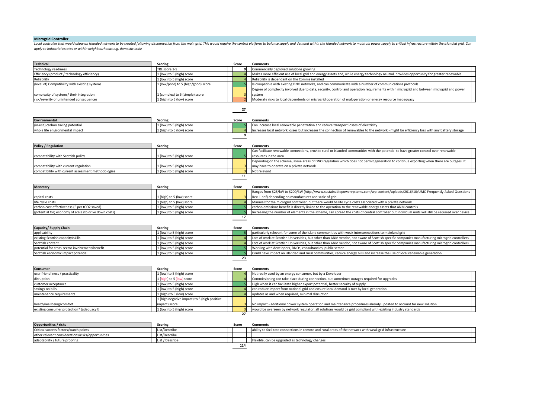# **Microgrid Controller**

Local controller that would allow an islanded network to be created following disconnection from the main grid. This would require the control platform to balance supply and demand within the islanded network to maintain p apply to industrial estates or within neighbourhoods e.g. domestic scale

| <b>Technical</b>                                       | <b>Scoring</b>                               | Score          | <b>Comments</b>                                                                                                                                     |
|--------------------------------------------------------|----------------------------------------------|----------------|-----------------------------------------------------------------------------------------------------------------------------------------------------|
| Technology readiness                                   | TRL score 1-9                                | q              | Commercially deployed solutions growing                                                                                                             |
| Efficiency (product / technology efficiency)           | (low) to 5 (high) score                      |                | Makes more efficient use of local grid and energy assets and, while energy technology neutral, provides opportunity for greater renewable           |
| Reliability                                            | L (low) to 5 (high) score                    |                | Reliability is dependant on the Comms installed                                                                                                     |
| (level of) Compatibility with existing systems         | l (low/poor) to 5 (high/good) score          |                | Is compatible with existing DNO networks, and can communicate with a number of communications protocols                                             |
|                                                        |                                              |                | Degree of complexity involved due to data, security, control and operation requirements within microgrid and between microgrid and power            |
| complexity of systems/ their integration               | 1 (complex) to 5 (simple) score              |                | system                                                                                                                                              |
| risk/severity of unintended consequences               | 1 (high) to 5 (low) score                    |                | Moderate risks to local dependents on microgrid operation of maloperation or energy resource inadequacy                                             |
|                                                        |                                              | 27             |                                                                                                                                                     |
|                                                        |                                              |                |                                                                                                                                                     |
| Environmental                                          | Scoring                                      | Score          | <b>Comments</b>                                                                                                                                     |
| (in-use) carbon saving potential                       | L (low) to 5 (high) score                    |                | Can increase local renewable penetration and reduce transport losses of electricity                                                                 |
| whole life environmental impact                        | 1 (high) to 5 (low) score                    |                | Increases local network losses but increases the connection of renewables to the network - might be efficiency loss with any battery storage        |
|                                                        |                                              | 9              |                                                                                                                                                     |
| <b>Policy / Regulation</b>                             | <b>Scoring</b>                               | Score          | Comments                                                                                                                                            |
|                                                        |                                              |                | Can facilitate renewable connections, provide rural or islanded communities with the potential to have greater control over renewable               |
| compatability with Scottish policy                     | l (low) to 5 (high) score                    |                | resources in the area                                                                                                                               |
|                                                        |                                              |                | Depending on the scheme, some areas of DNO regulation which does not permit generation to continue exporting when there are outages. It             |
| compatability with current regulation                  | l (low) to 5 (high) score                    |                | may have to operate on a private network.                                                                                                           |
| compatibility with current assessment methodologies    | 1 (low) to 5 (high) score                    | 11             | Not relevant                                                                                                                                        |
|                                                        |                                              |                |                                                                                                                                                     |
| <b>Monetary</b>                                        | <b>Scoring</b>                               | Score          | <b>Comments</b>                                                                                                                                     |
|                                                        |                                              |                | Ranges from \$25/kW to \$200/kW (http://www.sustainablepowersystems.com/wp-content/uploads/2016/10/UMC-Frequently-Asked-Questions-                  |
| capital costs                                          | L (high) to 5 (low) score                    |                | Rev-1.pdf) depending on manufacturer and scale of grid                                                                                              |
| life cycle costs                                       | L (high) to 5 (low) score                    |                | Minimal for the microgrid controller, but there would be life cycle costs associated with a private network                                         |
| carbon cost effectiveness (£ per tCO2 saved)           | L (low) to 5 (high) score                    |                | carbon emissions benefit is directly linked to the operation to the renewable energy assets that ANM controls                                       |
| (potential for) economy of scale (to drive down costs) | 1 (low) to 5 (high) score                    |                | Increasing the number of elements in the scheme, can spread the costs of central controller but individual units will still be required over device |
|                                                        |                                              | 17             |                                                                                                                                                     |
|                                                        |                                              |                |                                                                                                                                                     |
| Capacity/ Supply Chain                                 | <b>Scoring</b>                               | Score          | <b>Comments</b>                                                                                                                                     |
| applicability                                          | 1 (low) to 5 (high) score                    |                | particularly relevant for some of the island communities with weak interconnections to mainland grid                                                |
| existing Scottish capacity/skills                      | L (low) to 5 (high) score                    |                | Lots of work at Scottish Universities, but other than ANM vendor, not aware of Scottish specific companies manufacturing microgrid controllers      |
| Scottish content                                       | 1 (low) to 5 (high) score                    |                | Lots of work at Scottish Universities, but other than ANM vendor, not aware of Scottish specific companies manufacturing microgrid controllers      |
| potential for cross-sector involvement/benefit         | 1 (low) to 5 (high) score                    |                | Working with developers, DNOs, consultancies, public sector                                                                                         |
| Scottish economic impact potential                     | L (low) to 5 (high) score                    | 23             | Could have impact on islanded and rural communities, reduce energy bills and increase the use of local renewable generation                         |
|                                                        |                                              |                |                                                                                                                                                     |
| <b>Consumer</b>                                        | <b>Scoring</b>                               | Score          | <b>Comments</b>                                                                                                                                     |
| user friendliness / practicality                       | 1 (low) to 5 (high) score                    |                | Not really used by an energy consumer, but by a Developer                                                                                           |
| disruption                                             | 1 (high) to 5 (low) score                    |                | Commissioning can take place during connection, but sometimes outages required for upgrades                                                         |
| customer acceptance                                    | 1 (low) to 5 (high) score                    |                | High when it can facilitate higher export potential, better security of supply                                                                      |
| savings on bills                                       | 1 (low) to 5 (high) score                    | $\overline{A}$ | can reduce import from national grid and ensure local demand is met by local generation.                                                            |
| maintenance requirements                               | L (high) to 5 (low) score                    | $\overline{4}$ | updates as and when required, minimal disruption                                                                                                    |
|                                                        | L (high negative impact) to 5 (high positive |                |                                                                                                                                                     |
| health/wellbeing/comfort                               | impact) score                                |                | No impact - additional power system operation and maintenance procedures already updated to account for new solution                                |
| existing consumer protection? (adequacy?)              | 1 (low) to 5 (high) score                    |                | would be overseen by network regulator, all solutions would be grid compliant with existing industry standards                                      |
|                                                        |                                              | 27             |                                                                                                                                                     |
| <b>Opportunities / risks</b>                           | <b>Scoring</b>                               | Score          | <b>Comments</b>                                                                                                                                     |
| Critical success factors/watch points                  | List/Describe                                |                | ability to facilitate connections in remote and rural areas of the network with weak grid infrastructure                                            |
| other relevant considerations/risks/opportunities      | ist/Describe                                 |                |                                                                                                                                                     |
| adaptability / future proofing                         | List / Describe                              |                | Flexible, can be upgraded as technology changes                                                                                                     |
|                                                        |                                              | 114            |                                                                                                                                                     |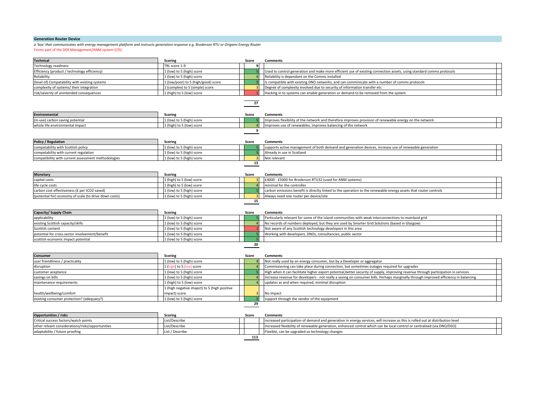# **Generation Router Device**

*a 'box' that communicates with energy management platform and instructs generation response e.g. Broderson RTU or Origami Energy Router*

Forms part of the DER Management/ANM system (Cl5)

| <b>Technical</b>                                       | <b>Scoring</b>                               | Score | <b>Comments</b>                                                                                                                      |
|--------------------------------------------------------|----------------------------------------------|-------|--------------------------------------------------------------------------------------------------------------------------------------|
| Technology readiness                                   | TRL score 1-9                                |       |                                                                                                                                      |
| Efficiency (product / technology efficiency)           | 1 (low) to 5 (high) score                    |       | Used to control generation and make more efficient use of existing connection assets, using standard comms protocols                 |
| Reliability                                            | 1 (low) to 5 (high) score                    |       | Reliability is dependant on the Comms installed                                                                                      |
| (level of) Compatability with existing systems         | 1 (low/poor) to 5 (high/good) score          |       | Is compatible with existing DNO networks, and can comminicate with a number of comms protocols                                       |
| complexity of systems/ their integration               | 1 (complex) to 5 (simple) score              |       | Degree of complexity involved due to security of information transfer etc                                                            |
| risk/severity of unintended consequences               | 1 (high) to 5 (low) score                    |       | Hacking in to systems can enable generation or demand to be removed from the system                                                  |
|                                                        |                                              | 27    |                                                                                                                                      |
| <b>Environmental</b>                                   |                                              |       |                                                                                                                                      |
| (in-use) carbon saving potential                       | <b>Scoring</b><br>1 (low) to 5 (high) score  | Score | <b>Comments</b><br>Improves flexibility of the network and therefore improves provision of renewable energy on the network           |
| whole life environmental impact                        | 1 (high) to 5 (low) score                    |       | Improves use of renewables, improves balancing of the network                                                                        |
|                                                        |                                              | 9     |                                                                                                                                      |
| Policy / Regulation                                    | <b>Scoring</b>                               | Score | Comments                                                                                                                             |
| compatability with Scottish policy                     | 1 (low) to 5 (high) score                    |       | supports active management of both demand and generation devices, increase use of renewable generation                               |
| compatability with current regulation                  | 1 (low) to 5 (high) score                    |       | Already in use in Scotland                                                                                                           |
| compatibility with current assessment methodologies    | 1 (low) to 5 (high) score                    |       | Not relevant                                                                                                                         |
|                                                        |                                              | 13    |                                                                                                                                      |
| <b>Monetary</b>                                        | Scoring                                      | Score | <b>Comments</b>                                                                                                                      |
| capital costs                                          | 1 (high) to 5 (low) score                    |       | £4000 - £5000 for Broderson RTU32 (used for ANM systems)                                                                             |
| life cycle costs                                       | 1 (high) to 5 (low) score                    |       | minimal for the controller                                                                                                           |
| carbon cost effectiveness (£ per tCO2 saved)           | 1 (low) to 5 (high) score                    |       | carbon emissions benefit is direclty linked to the operation to the renewable energy assets that router controls                     |
| (potential for) economy of scale (to drive down costs) | 1 (low) to 5 (high) score                    |       | Always need one router per device/site                                                                                               |
|                                                        |                                              | 15    |                                                                                                                                      |
| Capacity/ Supply Chain                                 | <b>Scoring</b>                               | Score | <b>Comments</b>                                                                                                                      |
| applicability                                          | 1 (low) to 5 (high) score                    |       | Particularly relevant for some of the island communities with weak interconnections to mainland grid                                 |
| existing Scottish capacity/skills                      | 1 (low) to 5 (high) score                    |       | No records of numbers deployed, but they are used by Smarter Grid Solutions (based in Glasgow)                                       |
| Scottish content                                       | [ (low) to 5 (high) score                    |       | Not aware of any Scottish technology developers in this area                                                                         |
| potential for cross-sector involvement/benefit         | (low) to 5 (high) score                      |       | Working with developers, DNOs, consultancies, public sector                                                                          |
| scottish economic impact potential                     | 1 (low) to 5 (high) score                    |       |                                                                                                                                      |
|                                                        |                                              | 20    |                                                                                                                                      |
| Consumer                                               | <b>Scoring</b>                               | Score | <b>Comments</b>                                                                                                                      |
| user friendliness / practicality                       | 1 (low) to 5 (high) score                    |       | Not really used by an energy consumer, but by a Developer or aggregator                                                              |
| disruption                                             | 1 (high) to 5 (low) score                    |       | Commissioning can take place during connection, but sometimes outages required for upgrades                                          |
| customer aceptance                                     | 1 (low) to 5 (high) score                    |       | High when it can facilitate higher export potential, better security of supply, improving revenue through participation in services  |
| savings on bills                                       | 1 (low) to 5 (high) score                    |       | Increase revenue for developers - not really a saving on consumer bills. Perhaps marginally through improved efficiency in balancing |
| maintenance requirements                               | [high) to 5 (low) score                      |       | updates as and when required, minimal disruption                                                                                     |
|                                                        | 1 (high negative imapct) to 5 (high positive |       |                                                                                                                                      |
| health/wellbeing/comfort                               | impact) score                                |       | No impact                                                                                                                            |
| existing consumer protection? (adequacy?)              | 1 (low) to 5 (high) score                    |       | support through the vendor of the equipment                                                                                          |
|                                                        |                                              | 29    |                                                                                                                                      |
| <b>Opportunities / risks</b>                           | <b>Scoring</b>                               | Score | <b>Comments</b>                                                                                                                      |

| <b>Opportunities</b> / risks                     | <b>Scoring</b>  | Score | Comments                                                                                                                       |  |
|--------------------------------------------------|-----------------|-------|--------------------------------------------------------------------------------------------------------------------------------|--|
| Critical success factors/watch points            | List/Describe   |       | increased participation of demand and generation in energy services, will increase as this is rolled out at distribution level |  |
| other relvant considerations/risks/opportunities | List/Describe   |       | Increased flexibility of renewable generation, enhanced control which can be local control or centralised (via DNO/DSO)        |  |
| adaptability / future proofing                   | List / Describe |       | Flexible, can be upgraded as technology changes                                                                                |  |
|                                                  |                 | 113   |                                                                                                                                |  |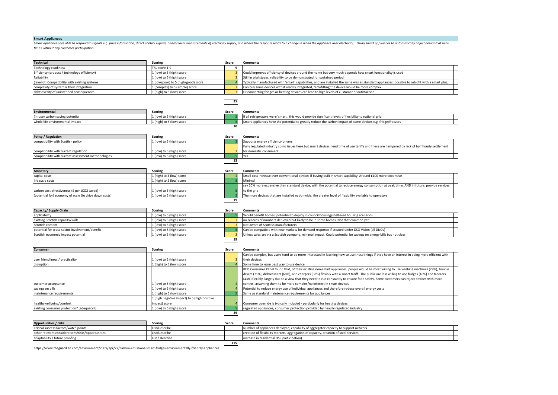#### **Smart Appliances**

Smart appliances are able to respond to signals e.g. price information, direct control signals, and/or local measurements of electricity supply, and where the response leads to a change in when the appliance uses electrici times without any customer participation.

| Technical                                              | <b>Scoring</b>                      | Score        | <b>Comments</b>                                                                                                                                 |  |
|--------------------------------------------------------|-------------------------------------|--------------|-------------------------------------------------------------------------------------------------------------------------------------------------|--|
| <b>Technology readiness</b>                            | TRL score 1-9                       | $\mathbf{q}$ |                                                                                                                                                 |  |
| Efficiency (product / technology efficiency)           | L (low) to 5 (high) score           |              | Could improves efficiency of devices around the home but very much depends how smart functionality is used                                      |  |
| Reliability                                            | L (low) to 5 (high) score           |              | Still in trial stages, reliability to be demonstrated for sustained period                                                                      |  |
| level of) Compatibility with existing systems          | 1 (low/poor) to 5 (high/good) score |              | ypically manufactured with 'smart' capabilities, and are installed the same was as standard appliances; possible to retrofit with a smart plug. |  |
| complexity of systems/ their integration               | (complex) to 5 (simple) score       |              | Can buy some devices with it readily integrated, retrofitting the device would be more complex                                                  |  |
| risk/severity of unintended consequences               | 1 (high) to 5 (low) score           |              | Disconnecting fridges or heating devices can lead to high levels of customer dissatisfaction                                                    |  |
|                                                        |                                     |              |                                                                                                                                                 |  |
|                                                        |                                     | 25           |                                                                                                                                                 |  |
| <b>Environmental</b>                                   | <b>Scoring</b>                      | Score        | <b>Comments</b>                                                                                                                                 |  |
| (in-use) carbon saving potential                       | 1 (low) to 5 (high) score           |              | If all refrigerators were 'smart', this would provide significant levels of flexibility to national grid                                        |  |
| whole life environmental impact                        | 1 (high) to 5 (low) score           |              | Smart appliances have the potential to greatly reduce the carbon impact of some devices e.g. fridge/freezers                                    |  |
|                                                        |                                     | 10           |                                                                                                                                                 |  |
|                                                        |                                     |              |                                                                                                                                                 |  |
| <b>Policy / Regulation</b>                             | <b>Scoring</b>                      | Score        | <b>Comments</b>                                                                                                                                 |  |
| compatibility with Scottish policy                     | 1 (low) to 5 (high) score           |              | Supports energy efficiency drivers                                                                                                              |  |
|                                                        |                                     |              | Fully regulated industry so no issues here but smart devices need time of use tariffs and these are hampered by lack of half hourly settlement  |  |
| compatibility with current regulation                  | l (low) to 5 (high) score           |              | for domestic consumers.                                                                                                                         |  |
| compatibility with current assessment methodologies    | 1 (low) to 5 (high) score           | 51           | Yes                                                                                                                                             |  |
|                                                        |                                     | 13           |                                                                                                                                                 |  |
|                                                        |                                     |              |                                                                                                                                                 |  |
| <b>Monetary</b>                                        | <b>Scoring</b>                      | Score        | <b>Comments</b>                                                                                                                                 |  |
| capital costs                                          | 1 (high) to 5 (low) score           |              | Small cost increase over conventional devices if buying built in smart capability. Around £100 more expensive                                   |  |
| life cycle costs                                       | 1 (high) to 5 (low) score           |              | Minimal                                                                                                                                         |  |
|                                                        |                                     |              | say 20% more expensive than standard device, with the potential to reduce energy consumption at peak times AND in future, provide services      |  |
| carbon cost effectiveness (£ per tCO2 saved)           | 1 (low) to 5 (high) score           |              | to the grid                                                                                                                                     |  |
| (potential for) economy of scale (to drive down costs) | 1 (low) to 5 (high) score           |              | The more devices that are installed nationwide, the greater level of flexibility available to operators                                         |  |
|                                                        |                                     | 19           |                                                                                                                                                 |  |
|                                                        |                                     |              |                                                                                                                                                 |  |
| Capacity/ Supply Chain                                 | <b>Scoring</b>                      | Score        | <b>Comments</b>                                                                                                                                 |  |
| applicability                                          | 1 (low) to 5 (high) score           |              | Would benefit homes, potential to deploy in council housing/sheltered housing scenarios                                                         |  |
| existing Scottish capacity/skills                      | L (low) to 5 (high) score           |              | no records of numbers deployed but likely to be in some homes. Not that common yet                                                              |  |
| Scottish content                                       | 1 (low) to 5 (high) score           |              | Not aware of Scottish manufacturers                                                                                                             |  |
| potential for cross-sector involvement/benefit         | 1 (low) to 5 (high) score           |              | Can be compatible with new markets for demand response if created under DSO Vision (all DNOs)                                                   |  |
| Scottish economic impact potential                     | 1 (low) to 5 (high) score           |              | Unless sales are via a Scottish company, minimal impact. Could potential be savings on energy bills but not clear                               |  |
|                                                        |                                     | 19           |                                                                                                                                                 |  |
|                                                        |                                     |              |                                                                                                                                                 |  |
| <b>Consumer</b>                                        | <b>Scoring</b>                      | Score        | <b>Comments</b>                                                                                                                                 |  |
|                                                        |                                     |              | Can be complex, but users tend to be more interested in learning how to use these things if they have an interest in being more efficient with  |  |
| user friendliness / practicality                       | L (low) to 5 (high) score           |              | their devices                                                                                                                                   |  |
| disruption                                             | 1 (high) to 5 (low) score           |              | Some time to learn best way to use device                                                                                                       |  |
|                                                        |                                     |              | BEIS Consumer Panel found that, of their existing non-smart appliances, people would be most willing to use washing machines (79%), tumble      |  |

| <b>URBI UPLION</b>                        | $\pm$ (ingulate 2 (low) score                | י סטוווכ נווווכ נט וכמו וו ווכאנ אימא נט מאכ מכאונכ                                                                                                                                                                                                                                                                                                                                                                                        |
|-------------------------------------------|----------------------------------------------|--------------------------------------------------------------------------------------------------------------------------------------------------------------------------------------------------------------------------------------------------------------------------------------------------------------------------------------------------------------------------------------------------------------------------------------------|
|                                           |                                              | BEIS Consumer Panel found that, of their existing non-smart appliances, people would be most willing to use washing machines (79%), tumble<br>dryers (71%), dishwashers (68%), and chargers (68%) flexibly with a smart tariff. The public are less willing to use fridges (45%) and freezers<br>(43%) flexibly, largely due to a view that they need to run constantly to ensure food safety. Some customers can reject devices with more |
| customer acceptance                       | 1 (low) to 5 (high) score                    | control, assuming them to be more complex/no interest in smart devices                                                                                                                                                                                                                                                                                                                                                                     |
| savings on bills                          | 1 (low) to 5 (high) score                    | Potential to reduce energy use of individual appliances and therefore reduce overall energy costs                                                                                                                                                                                                                                                                                                                                          |
| maintenance requirements                  | 1 (high) to 5 (low) score                    | Same as standard maintenance requirements for appliances                                                                                                                                                                                                                                                                                                                                                                                   |
|                                           | 1 (high negative impact) to 5 (high positive |                                                                                                                                                                                                                                                                                                                                                                                                                                            |
| health/wellbeing/comfort                  | impact) score                                | Consumer override is typically included - particularly for heating devices                                                                                                                                                                                                                                                                                                                                                                 |
| existing consumer protection? (adequacy?) | 1 (low) to 5 (high) score                    | regulated appliances, consumer protection provided by heavily regulated industry                                                                                                                                                                                                                                                                                                                                                           |
|                                           |                                              |                                                                                                                                                                                                                                                                                                                                                                                                                                            |
|                                           |                                              |                                                                                                                                                                                                                                                                                                                                                                                                                                            |

| <b>Opportunities / risks</b>                      | <b>Scoring</b>  | Score | <b>Comments</b>                                                                       |  |  |
|---------------------------------------------------|-----------------|-------|---------------------------------------------------------------------------------------|--|--|
| Critical success factors/watch points             | List/Describe   |       | Number of appliances deployed, capability of aggregator capacity to support network   |  |  |
| other relevant considerations/risks/opportunities | List/Describe   |       | creation of flexibility markets, aggregation of capacity, creation of local services. |  |  |
| adaptability / future proofing                    | List / Describe |       | increase in residential DSR participation)                                            |  |  |
|                                                   |                 |       |                                                                                       |  |  |

https://www.theguardian.com/environment/2009/apr/27/carbon-emissions-smart-fridges-environmentally-friendly-appliances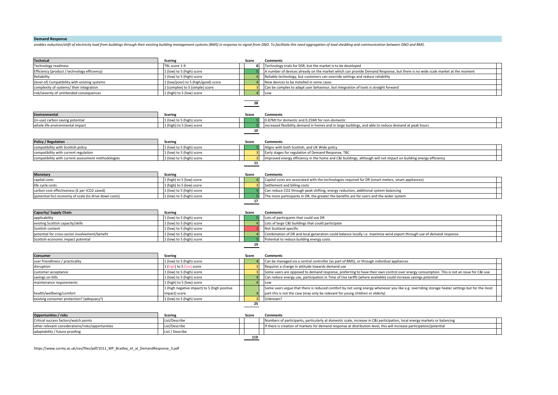# **Demand Response**

enables reduction/shift of electricity load from buildings through their existing building management systems (BMS) in response to signal from DNO. To facilitate this need aggregation of load shedding and communication bet

| <b>Technical</b>                                       | Scoring                                      | Score       | <b>Comments</b>                                                                                                                               |  |
|--------------------------------------------------------|----------------------------------------------|-------------|-----------------------------------------------------------------------------------------------------------------------------------------------|--|
| <b>Fechnology readiness</b>                            | TRL score 1-9                                |             | Technology trials for DSR, but the market is to be developed                                                                                  |  |
| Efficiency (product / technology efficiency)           | 1 (low) to 5 (high) score                    |             | A number of devices already on the market which can provide Demand Response, but there is no wide scale market at the moment                  |  |
| Reliability                                            | 1 (low) to 5 (high) score                    |             | Reliable technology, but customers can override settings and reduce reliability                                                               |  |
| level of) Compatibility with existing systems          | 1 (low/poor) to 5 (high/good) score          |             | New devices to be installed in some cases                                                                                                     |  |
| complexity of systems/their integration                | 1 (complex) to 5 (simple) score              |             | Can be complex to adapt user behaviour, but integration of tools is straight forward                                                          |  |
| risk/severity of unintended consequences               | 1 (high) to 5 (low) score                    |             | Low                                                                                                                                           |  |
|                                                        |                                              | 28          |                                                                                                                                               |  |
| Environmental                                          | <b>Scoring</b>                               | Score       | <b>Comments</b>                                                                                                                               |  |
| in-use) carbon saving potential                        | 1 (low) to 5 (high) score                    |             | 0.87Mt for domestic and 0.25Mt for non-domestic                                                                                               |  |
| whole life environmental impact                        | 1 (high) to 5 (low) score                    |             | increased flexibility demand in homes and in large buildings, and able to reduce demand at peak hours                                         |  |
|                                                        |                                              | 10          |                                                                                                                                               |  |
| Policy / Regulation                                    | <b>Scoring</b>                               | Score       | <b>Comments</b>                                                                                                                               |  |
| compatibility with Scottish policy                     | 1 (low) to 5 (high) score                    |             | Aligns with both Scottish, and UK Wide policy                                                                                                 |  |
| compatibility with current regulation                  | 1 (low) to 5 (high) score                    |             | Early stages for regulation of Demand Response, TBC                                                                                           |  |
| compatibility with current assessment methodologies    | 1 (low) to 5 (high) score                    |             | Improved energy efficiency in the home and C&I buildings, although will not impact on building energy efficiency                              |  |
|                                                        |                                              | 11          |                                                                                                                                               |  |
| <b>Monetary</b>                                        | Scoring                                      | Score       | <b>Comments</b>                                                                                                                               |  |
| capital costs                                          | 1 (high) to 5 (low) score                    |             | Capital costs are associated with the technologies required for DR (smart meters, smart appliances)                                           |  |
| ife cycle costs                                        | 1 (high) to 5 (low) score                    |             | Settlement and billing costs                                                                                                                  |  |
| carbon cost effectiveness (£ per tCO2 saved)           | 1 (low) to 5 (high) score                    |             | Can reduce CO2 through peak shifting, energy reduction, additional system balancing                                                           |  |
| (potential for) economy of scale (to drive down costs) | 1 (low) to 5 (high) score                    |             | The more participants in DR, the greater the benefits are for users and the wider system                                                      |  |
| Capacity/ Supply Chain                                 | <b>Scoring</b>                               | 17<br>Score | <b>Comments</b>                                                                                                                               |  |
| applicability                                          | 1 (low) to 5 (high) score                    |             | Lots of participants that could use DR                                                                                                        |  |
| existing Scottish capacity/skills                      | 1 (low) to 5 (high) score                    |             | Lots of large C&I buildings that could participate                                                                                            |  |
| Scottish content                                       | 1 (low) to 5 (high) score                    |             | Not Scotland specific                                                                                                                         |  |
| potential for cross-sector involvement/benefit         | 1 (low) to 5 (high) score                    |             | Combination of DR and local generation could balance locally i.e. maximise wind export through use of demand response                         |  |
| Scottish economic impact potential                     | 1 (low) to 5 (high) score                    |             | Potential to reduce building energy costs                                                                                                     |  |
|                                                        |                                              | 19          |                                                                                                                                               |  |
| Consumer<br>user friendliness / practicality           | <b>Scoring</b><br>1 (low) to 5 (high) score  | Score       | <b>Comments</b><br>Can be managed via a central controller (as part of BMS), or through individual appliances                                 |  |
| disruption                                             | 1 (high) to 5 (low) score                    |             | Requires a change in attitude towards demand use                                                                                              |  |
| customer acceptance                                    | 1 (low) to 5 (high) score                    |             | Some users are opposed to demand response, preferring to have their own control over energy consumption. This is not an issue for C&I use     |  |
| savings on bills                                       | 1 (low) to 5 (high) score                    |             | Can reduce energy use, participation in Time of Use tariffs (where available) could increase savings potential                                |  |
| maintenance requirements                               | 1 (high) to 5 (low) score                    |             | Low                                                                                                                                           |  |
|                                                        | 1 (high negative impact) to 5 (high positive |             | Some users argue that there is reduced comfort by not using energy whenever you like e.g. overriding storage heater settings but for the most |  |
| health/wellbeing/comfort                               | mpact) score                                 |             | part this is not the case (may only be relevant for young children or elderly)                                                                |  |
| existing consumer protection? (adequacy?)              | 1 (low) to 5 (high) score                    |             | Unknown?                                                                                                                                      |  |
|                                                        |                                              | 25          |                                                                                                                                               |  |
| <b>Opportunities / risks</b>                           | <b>Scoring</b>                               | Score       | <b>Comments</b>                                                                                                                               |  |
| Critical success factors/watch points                  | List/Describe                                |             | Numbers of participants, particularly at domestic scale, increase in C&I participation, local energy markets or balancing                     |  |

| <b>Photometrical</b>                              | <b>JLUITIE</b>  | <b>JLUIT</b> | <b>COMMITMENTS</b>                                                                                                        |  |  |
|---------------------------------------------------|-----------------|--------------|---------------------------------------------------------------------------------------------------------------------------|--|--|
| Critical success factors/watch points             | List/Describe   |              | Numbers of participants, particularly at domestic scale, increase in C&I participation, local energy markets or balancing |  |  |
| other relevant considerations/risks/opportunities | List/Describe   |              | If there is creation of markets for demand response at distribution level, this will increase participation/potential     |  |  |
| adaptability / future proofing                    | List / Describe |              |                                                                                                                           |  |  |
| 110                                               |                 |              |                                                                                                                           |  |  |

https://www.surrey.ac.uk/ces/files/pdf/1011\_WP\_Bradley\_et\_al\_DemandResponse\_3.pdf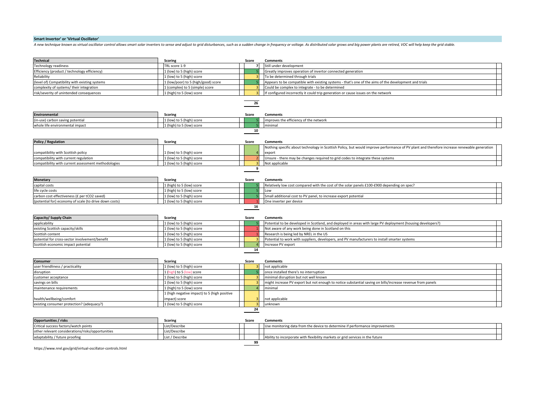# **Smart Invertor' or 'Virtual Oscillator'**

A new technique known as virtual oscillator control allows smart solar inverters to sense and adjust to grid disturbances, such as a sudden change in frequency or voltage. As distributed solar grows and big power plants ar

| <b>Technical</b>                                       | <b>Scoring</b>                               | Score | <b>Comments</b>                                                                                                                             |
|--------------------------------------------------------|----------------------------------------------|-------|---------------------------------------------------------------------------------------------------------------------------------------------|
| <b>Technology readiness</b>                            | TRL score 1-9                                |       | Still under development                                                                                                                     |
| Efficiency (product / technology efficiency)           | 1 (low) to 5 (high) score                    |       | Greatly improves operation of invertor connected generation                                                                                 |
| Reliability                                            | 1 (low) to 5 (high) score                    |       | To be determined through trials                                                                                                             |
| level of) Compatibility with existing systems          | 1 (low/poor) to 5 (high/good) score          |       | Appears to be compatible with existing systems - that's one of the aims of the development and trials                                       |
| complexity of systems/ their integration               | 1 (complex) to 5 (simple) score              |       | Could be complex to integrate - to be determined                                                                                            |
| risk/severity of unintended consequences               | 1 (high) to 5 (low) score                    |       | If configured incorrectly it could trip generation or cause issues on the network                                                           |
|                                                        |                                              |       |                                                                                                                                             |
|                                                        |                                              | 26    |                                                                                                                                             |
|                                                        |                                              |       |                                                                                                                                             |
| Environmental                                          | <b>Scoring</b>                               | Score | <b>Comments</b>                                                                                                                             |
| in-use) carbon saving potential                        | 1 (low) to 5 (high) score                    |       | improves the efficiency of the network                                                                                                      |
| whole life environmental impact                        | 1 (high) to 5 (low) score                    |       | minimal                                                                                                                                     |
|                                                        |                                              | 10    |                                                                                                                                             |
|                                                        |                                              |       |                                                                                                                                             |
| <b>Policy / Regulation</b>                             | Scoring                                      | Score | <b>Comments</b>                                                                                                                             |
|                                                        |                                              |       | Nothing specific about technology in Scottish Policy, but would improve performance of PV plant and therefore increase renewable generation |
| compatibility with Scottish policy                     | L (low) to 5 (high) score                    |       | export                                                                                                                                      |
| compatibility with current regulation                  | 1 (low) to 5 (high) score                    |       | Unsure - there may be changes required to grid codes to integrate these systems                                                             |
| compatibility with current assessment methodologies    | 1 (low) to 5 (high) score                    |       | Not applicable                                                                                                                              |
|                                                        |                                              | 9     |                                                                                                                                             |
|                                                        |                                              |       |                                                                                                                                             |
| <b>Monetary</b>                                        | <b>Scoring</b>                               | Score | <b>Comments</b>                                                                                                                             |
| capital costs                                          | 1 (high) to 5 (low) score                    |       | Relatively low cost compared with the cost of the solar panels £100-£900 depending on spec?                                                 |
| life cycle costs                                       | 1 (high) to 5 (low) score                    |       | Low                                                                                                                                         |
| carbon cost effectiveness (£ per tCO2 saved)           | 1 (low) to 5 (high) score                    |       | Small additional cost to PV panel, to increase export potential                                                                             |
|                                                        |                                              |       |                                                                                                                                             |
| (potential for) economy of scale (to drive down costs) | 1 (low) to 5 (high) score                    |       | One inverter per device                                                                                                                     |
|                                                        |                                              | 16    |                                                                                                                                             |
|                                                        |                                              |       |                                                                                                                                             |
| Capacity/ Supply Chain                                 | <b>Scoring</b>                               | Score | <b>Comments</b>                                                                                                                             |
| applicability                                          | 1 (low) to 5 (high) score                    |       | Potential to be developed in Scotland, and deployed in areas with large PV deployment (housing developers?)                                 |
| existing Scottish capacity/skills                      | 1 (low) to 5 (high) score                    |       | Not aware of any work being done in Scotland on this                                                                                        |
| Scottish content                                       | 1 (low) to 5 (high) score                    |       | Research is being led by NREL in the US                                                                                                     |
| potential for cross-sector involvement/benefit         | 1 (low) to 5 (high) score                    |       | Potential to work with suppliers, developers, and PV manufacturers to install smarter systems                                               |
| Scottish economic impact potential                     | 1 (low) to 5 (high) score                    |       | Increase PV export                                                                                                                          |
|                                                        |                                              | 14    |                                                                                                                                             |
|                                                        |                                              |       |                                                                                                                                             |
| Consumer                                               | <b>Scoring</b>                               | Score | <b>Comments</b>                                                                                                                             |
| user friendliness / practicality                       | 1 (low) to 5 (high) score                    |       | not applicable                                                                                                                              |
| disruption                                             | 1 (high) to 5 (low) score                    |       | once installed there's no interruption                                                                                                      |
| customer acceptance                                    | 1 (low) to 5 (high) score                    |       | minimal disruption but not well known                                                                                                       |
| savings on bills                                       | 1 (low) to 5 (high) score                    |       | might increase PV export but not enough to notice substantial saving on bills/increase revenue from panels                                  |
| maintenance requirements                               | 1 (high) to 5 (low) score                    |       | minimal                                                                                                                                     |
|                                                        | 1 (high negative impact) to 5 (high positive |       |                                                                                                                                             |
| health/wellbeing/comfort                               | impact) score                                |       | not applicable                                                                                                                              |
| existing consumer protection? (adequacy?)              | 1 (low) to 5 (high) score                    |       | unknown                                                                                                                                     |
|                                                        |                                              | 24    |                                                                                                                                             |
|                                                        |                                              |       |                                                                                                                                             |
| <b>Opportunities / risks</b>                           | Scoring                                      | Score | <b>Comments</b>                                                                                                                             |
| Critical success factors/watch points                  | List/Describe                                |       | Use monitoring data from the device to determine if performance improvements                                                                |
| other relevant considerations/risks/opportunities      | List/Describe                                |       |                                                                                                                                             |
| adaptability / future proofing                         | List / Describe                              |       | Ability to incorporate with flexibility markets or grid services in the future                                                              |

https://www.nrel.gov/grid/virtual-oscillator-controls.html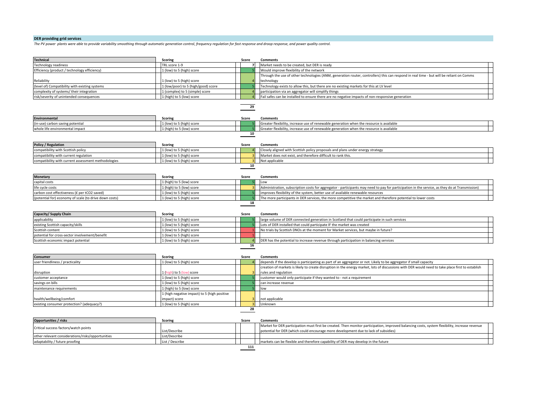# **DER** providing grid services

The PV power plants were able to provide variability smoothing through automatic generation control, frequency regulation for fast response and droop response, and power quality control.

| <b>Technical</b>                                       | Scoring                                      | Score | <b>Comments</b>                                                                                                                                   |  |
|--------------------------------------------------------|----------------------------------------------|-------|---------------------------------------------------------------------------------------------------------------------------------------------------|--|
| Technology readiness                                   | TRL score 1-9                                |       | Market needs to be created, but DER is ready                                                                                                      |  |
| Efficiency (product / technology efficiency)           | 1 (low) to 5 (high) score                    |       | Would improve flexibility of the network                                                                                                          |  |
|                                                        |                                              |       | Through the use of other technologies (ANM, generation router, controllers) this can respond in real time - but will be reliant on Comms          |  |
| Reliability                                            | 1 (low) to 5 (high) score                    |       | technology                                                                                                                                        |  |
| (level of) Compatibility with existing systems         | 1 (low/poor) to 5 (high/good) score          |       | Technology exists to allow this, but there are no existing markets for this at LV level                                                           |  |
| complexity of systems/their integration                | 1 (complex) to 5 (simple) score              |       | participation via an aggregator will simplify things                                                                                              |  |
| risk/severity of unintended consequences               | 1 (high) to 5 (low) score                    |       | Fail safes can be installed to ensure there are no negative impacts of non-responsive generation                                                  |  |
|                                                        |                                              | 29    |                                                                                                                                                   |  |
|                                                        |                                              |       |                                                                                                                                                   |  |
| <b>Environmental</b>                                   | Scoring                                      | Score | <b>Comments</b>                                                                                                                                   |  |
| (in-use) carbon saving potential                       | 1 (low) to 5 (high) score                    |       | Greater flexibility, increase use of renewable generation when the resource is available                                                          |  |
| whole life environmental impact                        | 1 (high) to 5 (low) score                    |       | Greater flexibility, increase use of renewable generation when the resource is available                                                          |  |
|                                                        |                                              | 10    |                                                                                                                                                   |  |
|                                                        |                                              |       |                                                                                                                                                   |  |
| Policy / Regulation                                    | Scoring                                      | Score | <b>Comments</b>                                                                                                                                   |  |
| compatibility with Scottish policy                     | 1 (low) to 5 (high) score                    |       | Closely aligned with Scottish policy proposals and plans under energy strategy                                                                    |  |
| compatibility with current regulation                  | 1 (low) to 5 (high) score                    |       | Market does not exist, and therefore difficult to rank this.                                                                                      |  |
| compatibility with current assessment methodologies    | 1 (low) to 5 (high) score                    |       | Not applicable                                                                                                                                    |  |
|                                                        |                                              | 10    |                                                                                                                                                   |  |
|                                                        |                                              |       |                                                                                                                                                   |  |
| <b>Monetary</b>                                        | <b>Scoring</b>                               | Score | <b>Comments</b>                                                                                                                                   |  |
| capital costs                                          | 1 (high) to 5 (low) score                    |       | Low                                                                                                                                               |  |
| life cycle costs                                       | 1 (high) to 5 (low) score                    |       | Administration, subscription costs for aggregator - participants may need to pay for participation in the service, as they do at Transmission)    |  |
| carbon cost effectiveness (£ per tCO2 saved)           | 1 (low) to 5 (high) score                    |       | improves flexibility of the system, better use of available renewable resources                                                                   |  |
| (potential for) economy of scale (to drive down costs) | 1 (low) to 5 (high) score                    | 18    | The more participants in DER services, the more competitive the market and therefore potential to lower costs                                     |  |
|                                                        |                                              |       |                                                                                                                                                   |  |
| Capacity/ Supply Chain                                 | Scoring                                      | Score | <b>Comments</b>                                                                                                                                   |  |
| applicability                                          | 1 (low) to 5 (high) score                    |       | large volume of DER connected generation in Scotland that could participate in such services                                                      |  |
| existing Scottish capacity/skills                      | 1 (low) to 5 (high) score                    |       | Lots of DER installed that could participate IF the market was created                                                                            |  |
| Scottish content                                       | 1 (low) to 5 (high) score                    |       | No trials by Scottish DNOs at the moment for Market services, but maybe in future?                                                                |  |
| potential for cross-sector involvement/benefit         | 1 (low) to 5 (high) score                    |       |                                                                                                                                                   |  |
| Scottish economic impact potential                     | 1 (low) to 5 (high) score                    |       | DER has the potential to increase revenue through participation in balancing services                                                             |  |
|                                                        |                                              | 16    |                                                                                                                                                   |  |
|                                                        |                                              |       |                                                                                                                                                   |  |
| Consumer                                               | <b>Scoring</b>                               | Score | <b>Comments</b>                                                                                                                                   |  |
| user friendliness / practicality                       | 1 (low) to 5 (high) score                    |       | depends if the develop is participating as part of an aggregator or not. Likely to be aggregator if small capacity                                |  |
|                                                        |                                              |       | creation of markets is likely to create disruption in the energy market, lots of discussions with DER would need to take place first to establish |  |
| disruption                                             | 1 (high) to 5 (low) score                    |       | rules and regulation                                                                                                                              |  |
| customer acceptance                                    | 1 (low) to 5 (high) score                    |       | customer would only participate if they wanted to - not a requirement                                                                             |  |
| savings on bills                                       | 1 (low) to 5 (high) score                    |       | can increase revenue                                                                                                                              |  |
| maintenance requirements                               | 1 (high) to 5 (low) score                    |       | low                                                                                                                                               |  |
|                                                        | 1 (high negative impact) to 5 (high positive |       |                                                                                                                                                   |  |
| health/wellbeing/comfort                               | impact) score                                |       | not applicable                                                                                                                                    |  |
| existing consumer protection? (adequacy?)              | 1 (low) to 5 (high) score                    |       | Unknown                                                                                                                                           |  |
|                                                        |                                              | 28    |                                                                                                                                                   |  |
| <b>Opportunities / risks</b>                           | Scoring                                      | Score | <b>Comments</b>                                                                                                                                   |  |
|                                                        |                                              |       | Market for DER participation must first be created. Then monitor participation, improved balancing costs, system flexibility, increase revenue    |  |
| Critical success factors/watch points                  | List/Describe                                |       | potential for DER (which could encourage more development due to lack of subsidies)                                                               |  |
| other relevant considerations/risks/opportunities      | List/Describe                                |       |                                                                                                                                                   |  |
|                                                        |                                              |       |                                                                                                                                                   |  |
| adaptability / future proofing                         | List / Describe                              |       | markets can be flexible and therefore capability of DER may develop in the future                                                                 |  |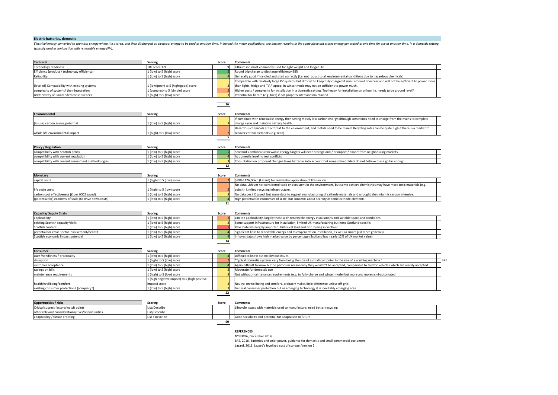#### **Electric batteries, domestic**

Electrical energy converted to chemical energy where it is stored, and then discharged as electrical energy to be used at another time. In behind the meter applications, the battery remains in the same place but stores ene typically used in conjunction with renewable energy (PV).

| <b>Technical</b>                               | Scoring                             | Score | <b>Comments</b>                                                                                                                                    |
|------------------------------------------------|-------------------------------------|-------|----------------------------------------------------------------------------------------------------------------------------------------------------|
| <b>Technology readiness</b>                    | TRL score 1-9                       |       | Lithium ion most commonly used for light weight and longer life                                                                                    |
| Efficiency (product / technology efficiency)   | 1 (low) to 5 (high) score           |       | Round trip charge to discharge efficiency 98%                                                                                                      |
| Reliability                                    | 1 (low) to 5 (high) score           |       | Generally good if handled and sited correctly (i.e. not robust to all environmental conditions due to hazardous chemicals)                         |
|                                                |                                     |       | Compatible with relatively large PV systems but difficult to keep fully charged if small amount of excess and will not be sufficient to power more |
| (level of) Compatibility with existing systems | 1 (low/poor) to 5 (high/good) score |       | than lights, fridge and TV / laptop. In winter mode may not be sufficient to power much.                                                           |
| complexity of systems/their integration        | 1 (complex) to 5 (simple) score     |       | Higher costs / complexity for installation in a domestic setting. Too heavy for installation on a floor i.e. needs to be ground level?             |
| risk/severity of unintended consequences       | 1 (high) to 5 (low) score           |       | Potential for hazard (e.g. fires) if not properly sited and maintained.                                                                            |
|                                                |                                     |       |                                                                                                                                                    |
| <b>Environmental</b>                           | <b>Scoring</b>                      | Score | <b>Comments</b>                                                                                                                                    |
|                                                |                                     |       | If combined with renewable energy then saving mostly low carbon energy although sometimes need to charge from the mains to complete                |
| (in-use) carbon saving potential               | 1 (low) to 5 (high) score           |       | charge cycle and maintain battery health.                                                                                                          |
|                                                |                                     |       | Hazardous chemicals are a threat to the environment, and metals need to be mined. Recycling rates can be quite high if there is a market to        |
| whole life environmental impact                | 1 (high) to 5 (low) score           |       | recover certain elements (e.g. lead).                                                                                                              |

| <b>Policy / Regulation</b>                          | <b>Scoring</b>            | Scor | Comments                                                                                                               |  |
|-----------------------------------------------------|---------------------------|------|------------------------------------------------------------------------------------------------------------------------|--|
| compatibility with Scottish policy                  | 1 (low) to 5 (high) score |      | Scotland's ambitious renewable energy targets will need storage and / or import / export from neighbouring markets.    |  |
| compatibility with current regulation               | 1 (low) to 5 (high) score |      | At domestic level no real conflicts                                                                                    |  |
| compatibility with current assessment methodologies | 1 (low) to 5 (high) score |      | Consultation on proposed changes takes batteries into account but some stakeholders do not believe these go far enough |  |
|                                                     |                           |      |                                                                                                                        |  |

**5**

| <b>Monetary</b>                                        | <b>Scoring</b>            | Score | <b>Comments</b>                                                                                                                          |
|--------------------------------------------------------|---------------------------|-------|------------------------------------------------------------------------------------------------------------------------------------------|
| capital costs                                          | 1 (high) to 5 (low) score |       | \$890-1476 /kWh (Lazard) for residential application of lithium ion                                                                      |
|                                                        |                           |       | No data. Lithium not considered toxic or persistent in the environment, but some battery chemistries may have more toxic materials (e.g. |
| life cycle costs                                       | 1 (high) to 5 (low) score |       | cobalt). Limited recycling infrastructure.                                                                                               |
| carbon cost effectiveness (£ per tCO2 saved)           | 1 (low) to 5 (high) score |       | No data per t C saved, but some data to suggest manufacturing of cathode materials and wrought aluminium is carbon intensive.            |
| (potential for) economy of scale (to drive down costs) | 1 (low) to 5 (high) score |       | High potential for economies of scale, but concerns about scarcity of some cathode elements                                              |
|                                                        |                           |       |                                                                                                                                          |

| Capacity/ Supply Chain                         | <b>Scoring</b>            | Score | <b>Comments</b>                                                                                              |
|------------------------------------------------|---------------------------|-------|--------------------------------------------------------------------------------------------------------------|
| applicability                                  | 1 (low) to 5 (high) score |       | Limited applicability, largely those with renewable energy installations and suitable space and conditions   |
| existing Scottish capacity/skills              | 1 (low) to 5 (high) score |       | Some support infrastructure for installation, limited UK-manufacturing but none Scotland-specific            |
| Scottish content                               | 1 (low) to 5 (high) score |       | Raw materials largely imported. Historical lead and zinc mining in Scotland.                                 |
| potential for cross-sector involvement/benefit | 1 (low) to 5 (high) score |       | Significant links to renewable energy and microgeneration installation, as well as smart grid more generally |
| Scottish economic impact potential             | 1 (low) to 5 (high) score |       | Innovas data shows high market value by percentage (Scotland has nearly 12% of UK market value)              |
|                                                |                           |       |                                                                                                              |

| <b>Consumer</b>                           | <b>Scoring</b>                               | Score | <b>Comments</b>                                                                                                                             |            |  |
|-------------------------------------------|----------------------------------------------|-------|---------------------------------------------------------------------------------------------------------------------------------------------|------------|--|
| user friendliness / practicality          | 1 (low) to 5 (high) score                    |       | Difficult to know but no obvious issues                                                                                                     |            |  |
| disruption                                | 1 (high) to 5 (low) score                    |       | "Typical domestic systems vary from being the size of a small computer to the size of a washing machine."                                   | <b>BRE</b> |  |
| customer acceptance                       | 1 (low) to 5 (high) score                    |       | Again difficult to know but no particular reason why they wouldn't be accepted, comparable to electric vehicles which are readily accepted. |            |  |
| savings on bills                          | 1 (low) to 5 (high) score                    |       | Moderate for domestic use                                                                                                                   |            |  |
| maintenance requirements                  | 1 (high) to 5 (low) score                    |       | Not without maintenance requirements (e.g. to fully charge and winter mode) but more and more semi-automated                                |            |  |
|                                           | 1 (high negative impact) to 5 (high positive |       |                                                                                                                                             |            |  |
| health/wellbeing/comfort                  | impact) score                                |       | Neutral on wellbeing and comfort, probably makes little difference unless off-grid                                                          |            |  |
| existing consumer protection? (adequacy?) | 1 (low) to 5 (high) score                    |       | General consumer protection but as emerging technology it is inevitably emerging area                                                       |            |  |
|                                           |                                              |       |                                                                                                                                             |            |  |

| <b>Opportunities / risks</b>                      | <b>Scoring</b>  | Score | <b>Comments</b>                                                            |  |  |  |
|---------------------------------------------------|-----------------|-------|----------------------------------------------------------------------------|--|--|--|
| Critical success factors/watch points             | List/Describe   |       | Lifecycle issues with materials used to manufacture, need better recycling |  |  |  |
| other relevant considerations/risks/opportunities | List/Describe   |       |                                                                            |  |  |  |
| adaptability / future proofing                    | List / Describe |       | Good scalability and potential for adaptation to future                    |  |  |  |
|                                                   |                 |       |                                                                            |  |  |  |

#### **REFERENCES**

NYSERDA, December 2014,

BRE, 2016. Batteries and solar power, guidance for domestic and small commercial customers

Lazard, 2016. Lazard's levelized cost of storage. Version 2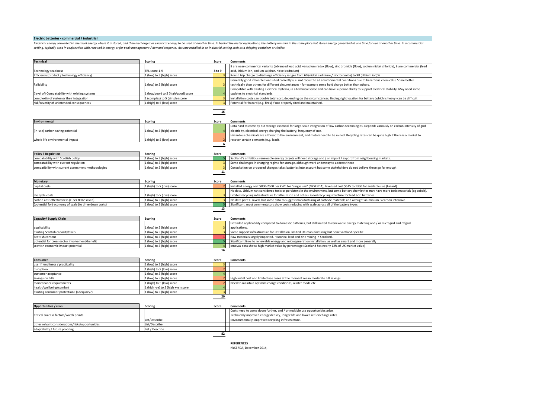#### **Electric batteries - commercial / industrial**

Electrical energy converted to chemical energy where it is stored, and then discharged as electrical energy to be used at another time. In behind the meter applications, the battery remains in the same place but stores ene setting, typically used in conjunction with renewable energy or for peak management / demand response. Assume installed in an industrial setting such as a shipping container or similar.

| <b>Technical</b>                                       | <b>Scoring</b>                      | Score                   | Comments                                                                                                                                         |  |
|--------------------------------------------------------|-------------------------------------|-------------------------|--------------------------------------------------------------------------------------------------------------------------------------------------|--|
|                                                        |                                     |                         | 8 are near-commerical variants (advanced lead acid, vanadium redox (flow), zinc bromide (flow), sodium nickel chloride), 9 are commercial (lead  |  |
| Technology readiness                                   | TRL score 1-9                       | 8 to 9                  | acid, lithium ion, sodium sulphur, nickel cadmium)                                                                                               |  |
| Efficiency (product / technology efficiency)           | 1 (low) to 5 (high) score           |                         | Round trip charge to discharge efficiency ranges from 60 (nickel cadmium / zinc bromide) to 98 (lithium ion)%                                    |  |
|                                                        |                                     |                         | Generally good if handled and sited correctly (i.e. not robust to all environmental conditions due to hazardous chemicals). Some better          |  |
| Reliability                                            | 1 (low) to 5 (high) score           |                         | technically than others for different circumstances - for example some hold charge better than others.                                           |  |
|                                                        |                                     |                         | Compatible with existing electrical systems, in a technical sense and can have superior ability to support electrical stability. May need some   |  |
| (level of) Compatability with existing systems         | 1 (low/poor) to 5 (high/good) score |                         | updates to electrical standards.                                                                                                                 |  |
| complexity of systems/ their integration               | 1 (complex) to 5 (simple) score     | $\mathbf{R}$            | Installation costs can double total cost, depending on the circumstances, finding right location for battery (which is heavy) can be difficult   |  |
| risk/severity of unintended consequences               | 1 (high) to 5 (low) score           | 3                       | Potential for hazard (e.g. fires) if not properly sited and maintained.                                                                          |  |
|                                                        |                                     | 16                      |                                                                                                                                                  |  |
| <b>Environmental</b>                                   | <b>Scoring</b>                      | Score                   | <b>Comments</b>                                                                                                                                  |  |
|                                                        |                                     |                         | Data hard to come by but storage essential for large-scale integration of low carbon technologies. Depends variously on carbon intensity of grid |  |
| (in-use) carbon saving potential                       | 1 (low) to 5 (high) score           |                         | electricity, electrical energy charging the battery, frequency of use.                                                                           |  |
|                                                        |                                     |                         | Hazardous chemicals are a threat to the environment, and metals need to be mined. Recycling rates can be quite high if there is a market to      |  |
| whole life environmental impact                        | 1 (high) to 5 (low) score           |                         | recover certain elements (e.g. lead).                                                                                                            |  |
|                                                        |                                     | 6                       |                                                                                                                                                  |  |
| <b>Policy / Regulation</b>                             | <b>Scoring</b>                      | Score                   | <b>Comments</b>                                                                                                                                  |  |
| compatability with Scottish policy                     | 1 (low) to 5 (high) score           |                         | Scotland's ambitious renewable energy targets will need storage and / or import / export from neighbouring markets.                              |  |
| compatability with current regulation                  | 1 (low) to 5 (high) score           |                         | Some challenges in charging regime for storage, although work underway to address these                                                          |  |
| compatibility with current assessment methodologies    | 1 (low) to 5 (high) score           | $\mathbf{3}$            | Consultation on proposed changes takes batteries into account but some stakeholders do not believe these go far enough                           |  |
|                                                        |                                     | 11                      |                                                                                                                                                  |  |
|                                                        |                                     |                         |                                                                                                                                                  |  |
| Monetary                                               | <b>Scoring</b>                      | Score                   | <b>Comments</b>                                                                                                                                  |  |
| capital costs                                          | 1 (high) to 5 (low) score           |                         | Installed energy cost \$800-2500 per kWh for "single use" (NYSERDA); levelised cost \$515 to 1350 for available use (Lazard)                     |  |
|                                                        |                                     |                         | No data. Lithium not considered toxic or persistent in the environment, but some battery chemistries may have more toxic materials (eg cobalt).  |  |
| life cycle costs                                       | 1 (high) to 5 (low) score           |                         | Limited recycling infrastructure for lithium ion and others. Good recycling structure for lead acid batteries.                                   |  |
| carbon cost effectiveness (£ per tCO2 saved)           | 1 (low) to 5 (high) score           |                         | No data per t C saved, but some data to suggest manufacturing of cathode materials and wrought aluminium is carbon intensive.                    |  |
| (potential for) economy of scale (to drive down costs) | 1 (low) to 5 (high) score           | -51                     | Significant, most commentators show costs reducing with scale across all of the battery types                                                    |  |
|                                                        |                                     | 13                      |                                                                                                                                                  |  |
|                                                        |                                     |                         |                                                                                                                                                  |  |
| Capacity/ Supply Chain                                 | <b>Scoring</b>                      | Score                   | <b>Comments</b>                                                                                                                                  |  |
|                                                        |                                     |                         | Extended applicability compared to domestic batteries, but still limited to renewable energy matching and / or microgrid and offgrid             |  |
| applicability                                          | 1 (low) to 5 (high) score           |                         | applications.                                                                                                                                    |  |
| existing Scottish capacity/skills                      | 1 (low) to 5 (high) score           | $\overline{\mathbf{R}}$ | Some support infrastructure for installation, limited UK-manufacturing but none Scotland-specific                                                |  |
| Scottish content                                       | 1 (low) to 5 (high) score           |                         | Raw materials largely imported. Historical lead and zinc mining in Scotland.                                                                     |  |
| potential for cross-sector involvement/benefit         | 1 (low) to 5 (high) score           |                         | Significant links to renewable energy and microgeneration installation, as well as smart grid more generally                                     |  |
| scottish economic impact potential                     | 1 (low) to 5 (high) score           | $\overline{4}$          | Innovas data shows high market value by percentage (Scotland has nearly 12% of UK market value)                                                  |  |
|                                                        |                                     | 16                      |                                                                                                                                                  |  |
| Consumer                                               | <b>Scoring</b>                      | Score                   | <b>Comments</b>                                                                                                                                  |  |
| user friendliness / practicality                       | 1 (low) to 5 (high) score           |                         |                                                                                                                                                  |  |
| disruption                                             | 1 (high) to 5 (low) score           |                         |                                                                                                                                                  |  |
| customer aceptance                                     | 1 (low) to 5 (high) score           |                         |                                                                                                                                                  |  |
| savings on bills                                       | 1 (low) to 5 (high) score           |                         | High initial cost and limited use cases at the moment mean moderate bill savings.                                                                |  |
| maintenance requirements                               | 1 (high) to 5 (low) score           |                         | Need to maintain optimim charge conditions, winter mode etc                                                                                      |  |
| health/wellbeing/comfort                               | 1 (high -ve) to 5 (high +ve) score  | $\overline{4}$          |                                                                                                                                                  |  |
| existing consumer protection? (adequacy?)              | 1 (low) to 5 (high) score           | $\overline{3}$          |                                                                                                                                                  |  |
|                                                        |                                     | 20                      |                                                                                                                                                  |  |
| Opportunities / risks                                  | <b>Scoring</b>                      | Score                   | <b>Comments</b>                                                                                                                                  |  |
|                                                        |                                     |                         | وماسم مماطا ورزياسم ويمرح ممرز والواطرا ربوس ومرار الرويم المرواضرية ورزرواه المصرومان                                                           |  |

Critical success factors/watch points List/Describe<br>List/Describe sts need to come down further, and / or multiple use opportunities arise. Technically improved energy density, longer life and lower self-discharge rates. Environmentally, improved recycling infrastructure. other relvant considerations/risks/opportunities List/Describe<br>
adaptability / future proofine List / Describe<br>
List / Describe adaptability / future proofing **82**

**REFERENCES** NYSERDA, December 2014,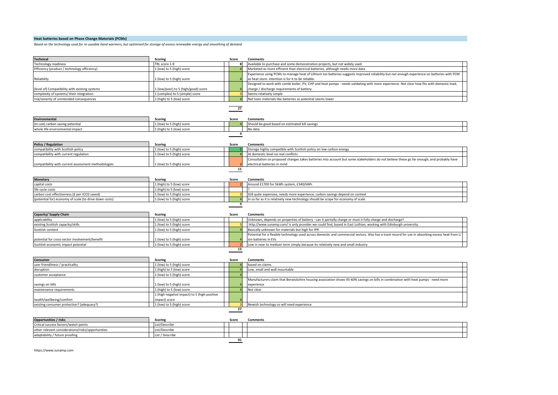# **Heat batteries based on Phase Change Materials (PCMs)**

Based on the technology used for re-useable hand warmers, but optimised for storage of excess renewable energy and smoothing of demand

| <b>Technical</b>                                       | <b>Scoring</b>                             | Score          | <b>Comments</b>                                                                                                                                   |
|--------------------------------------------------------|--------------------------------------------|----------------|---------------------------------------------------------------------------------------------------------------------------------------------------|
| <b>Technology readiness</b>                            | TRL score 1-9                              |                | Available to purchase and some demonstration projects, but not widely used                                                                        |
| Efficiency (product / technology efficiency)           | L (low) to 5 (high) score                  |                | Marketed as more efficient than electrical batteries, although needs more data                                                                    |
|                                                        |                                            |                | Experience using PCMs to manage heat of Lithium Ion batteries suggests improved reliability but not enough experience on batteries with PCM       |
| Reliability                                            | L (low) to 5 (high) score                  |                | as heat store. Intention is for it to be reliable.                                                                                                |
|                                                        |                                            |                | Designed to work with combi boiler, PV, CHP and heat pumps - needs validating with more experience. Not clear how fits with domestic load,        |
| (level of) Compatibility with existing systems         | L (low/poor) to 5 (high/good) score        |                | charge / discharge requirements of battery.                                                                                                       |
| complexity of systems/ their integration               | (complex) to 5 (simple) score              |                | Seems relatively simple                                                                                                                           |
| risk/severity of unintended consequences               | (high) to 5 (low) score                    |                | Not toxic materials like batteries so potential seems lower                                                                                       |
|                                                        |                                            |                |                                                                                                                                                   |
|                                                        |                                            | 27             |                                                                                                                                                   |
| Environmental                                          |                                            |                |                                                                                                                                                   |
|                                                        | <b>Scoring</b>                             | Score          | <b>Comments</b>                                                                                                                                   |
| (in-use) carbon saving potential                       | 1 (low) to 5 (high) score                  |                | Should be good based on estimated bill savings                                                                                                    |
| whole life environmental impact                        | L (high) to 5 (low) score                  | $\overline{a}$ | No data                                                                                                                                           |
|                                                        |                                            |                |                                                                                                                                                   |
| <b>Policy / Regulation</b>                             | <b>Scoring</b>                             | Score          | <b>Comments</b>                                                                                                                                   |
| compatibility with Scottish policy                     | L (low) to 5 (high) score                  |                | Storage highly compatible with Scottish policy on low carbon energy                                                                               |
| compatibility with current regulation                  | (low) to 5 (high) score                    |                | At domestic level no real conflicts                                                                                                               |
|                                                        |                                            |                | Consultation on proposed changes takes batteries into account but some stakeholders do not believe these go far enough, and probably have         |
| compatibility with current assessment methodologies    | L (low) to 5 (high) score                  |                | electrical batteries in mind                                                                                                                      |
|                                                        |                                            | 11             |                                                                                                                                                   |
|                                                        |                                            |                |                                                                                                                                                   |
| <b>Monetary</b>                                        | <b>Scoring</b>                             | Score          | <b>Comments</b>                                                                                                                                   |
| capital costs                                          | 1 (high) to 5 (low) score                  |                | Around £1700 for 5kWh system, £340/kWh                                                                                                            |
| life cycle costs                                       | 1 (high) to 5 (low) score                  |                |                                                                                                                                                   |
| carbon cost effectiveness (£ per tCO2 saved)           | (low) to 5 (high) score                    |                | Still quite expensive, needs more experience, carbon savings depend on context                                                                    |
| (potential for) economy of scale (to drive down costs) | L (low) to 5 (high) score                  |                | In so far as it is relatively new technology should be scope for economy of scale                                                                 |
|                                                        |                                            | 9              |                                                                                                                                                   |
|                                                        |                                            |                |                                                                                                                                                   |
| Capacity/ Supply Chain                                 | <b>Scoring</b>                             | Score          | <b>Comments</b>                                                                                                                                   |
| applicability                                          | (low) to 5 (high) score                    |                | Unknown, depends on properties of battery - can it partially charge or must it fully charge and discharge?                                        |
| existing Scottish capacity/skills                      | (low) to 5 (high) score                    |                | http://www.sunamp.com/ is only provider we could find, based in East Lothian, working with Edinburgh university.                                  |
| Scottish content                                       | (low) to 5 (high) score                    |                | Basically unknown for materials but high for IPR                                                                                                  |
|                                                        |                                            |                | Potential for a flexible technology used across domestic and commercial sectors. Also has a track record for use in absorbing excess heat from Li |
| potential for cross-sector involvement/benefit         | (low) to 5 (high) score                    |                | ion batteries in EVs                                                                                                                              |
| Scottish economic impact potential                     | (low) to 5 (high) score                    |                | Low in near to medium term simply because its relatively new and small industry                                                                   |
|                                                        |                                            | 13             |                                                                                                                                                   |
|                                                        |                                            |                |                                                                                                                                                   |
| Consumer                                               | <b>Scoring</b>                             | Score          | <b>Comments</b>                                                                                                                                   |
| user friendliness / practicality                       | (low) to 5 (high) score                    |                | based on claims                                                                                                                                   |
| disruption                                             | L (high) to 5 (low) score                  |                | Low, small and wall mountable                                                                                                                     |
| customer acceptance                                    | (low) to 5 (high) score                    |                |                                                                                                                                                   |
|                                                        |                                            |                | Manufacturers claim that Berwickshire housing association shows 45-60% savings on bills in combination with heat pumps - need more                |
| savings on bills                                       | L (low) to 5 (high) score                  |                | experience                                                                                                                                        |
| maintenance requirements                               | L (high) to 5 (low) score                  |                | Not clear                                                                                                                                         |
|                                                        | (high negative impact) to 5 (high positive |                |                                                                                                                                                   |
| health/wellbeing/comfort                               | impact) score                              |                |                                                                                                                                                   |
| existing consumer protection? (adequacy?)              | 1 (low) to 5 (high) score                  | $\overline{3}$ | Newish technology so will need experience                                                                                                         |
|                                                        |                                            | 27             |                                                                                                                                                   |
|                                                        |                                            |                |                                                                                                                                                   |
| Opportunities / risks                                  | <b>Scoring</b>                             | Score          | <b>Comments</b>                                                                                                                                   |
| Critical success factors/watch points                  | List/Describe                              |                |                                                                                                                                                   |
| other relevant considerations/risks/opportunities      | List/Describe                              |                |                                                                                                                                                   |
| adaptability / future proofing                         | List / Describe                            |                |                                                                                                                                                   |
|                                                        |                                            | 91             |                                                                                                                                                   |

https://www.sunamp.com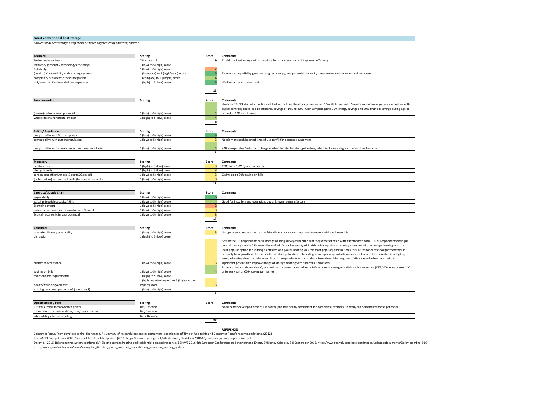#### **smart conventional heat storage**

*Conventional heat storage using bricks or water augmented by smart(er)* controls

| Technical                                              | <b>Scoring</b>                               | Score                   | <b>Comments</b>                                                                                                                                   |
|--------------------------------------------------------|----------------------------------------------|-------------------------|---------------------------------------------------------------------------------------------------------------------------------------------------|
| Technology readiness                                   | TRL score 1-9                                | $\mathbf{q}$            | Established technology with an update for smart controls and improved efficiency                                                                  |
| Efficiency (product / technology efficiency)           | 1 (low) to 5 (high) score                    |                         |                                                                                                                                                   |
| Reliability                                            | 1 (low) to 5 (high) score                    |                         |                                                                                                                                                   |
| level of) Compatibility with existing systems          | 1 (low/poor) to 5 (high/good) score          |                         | Excellent compatibility given existing technology, and potential to readily integrate into modern demand response                                 |
| complexity of systems/ their integration               | 1 (complex) to 5 (simple) score              |                         |                                                                                                                                                   |
| risk/severity of unintended consequences               | 1 (high) to 5 (low) score                    |                         | Well known and understood                                                                                                                         |
|                                                        |                                              |                         |                                                                                                                                                   |
|                                                        |                                              | 25                      |                                                                                                                                                   |
|                                                        |                                              |                         |                                                                                                                                                   |
| <b>Environmental</b>                                   | Scoring                                      | Score                   | <b>Comments</b>                                                                                                                                   |
|                                                        |                                              |                         | study by DNV KEMA, which estimated that retrofitting the storage heaters in ~14m EU homes with 'smart storage' (new generation heaters with       |
|                                                        |                                              |                         | digital controls) could lead to efficiency savings of around 20% . Glen Dimplex quote 15% energy savings and 30% financial savings during a pilot |
| (in-use) carbon saving potential                       | 1 (low) to 5 (high) score                    |                         | project in 140 Irish homes.                                                                                                                       |
| whole life environmental impact                        | 1 (high) to 5 (low) score                    |                         |                                                                                                                                                   |
|                                                        |                                              | 8                       |                                                                                                                                                   |
|                                                        |                                              |                         |                                                                                                                                                   |
| Policy / Regulation                                    | Scoring<br>1 (low) to 5 (high) score         | Score                   | <b>Comments</b>                                                                                                                                   |
| compatibility with Scottish policy                     |                                              |                         |                                                                                                                                                   |
| compatibility with current regulation                  | 1 (low) to 5 (high) score                    |                         | Needs more sophisticated time of use tariffs for domestic customers                                                                               |
| compatibility with current assessment methodologies    | 1 (low) to 5 (high) score                    |                         | SAP incorporates 'automatic charge control' for electric storage heaters, which includes a degree of smart functionality.                         |
|                                                        |                                              | 12                      |                                                                                                                                                   |
|                                                        |                                              |                         |                                                                                                                                                   |
| <b>Monetary</b>                                        | <b>Scoring</b>                               | Score                   | <b>Comments</b>                                                                                                                                   |
| capital costs                                          | 1 (high) to 5 (low) score                    |                         | £800 for a 1kW Quantum heater.                                                                                                                    |
| life cycle costs                                       | 1 (high) to 5 (low) score                    |                         |                                                                                                                                                   |
| carbon cost effectiveness (£ per tCO2 saved)           | 1 (low) to 5 (high) score                    | $\overline{\mathbf{3}}$ | Claims up to 30% saving on bills                                                                                                                  |
| (potential for) economy of scale (to drive down costs) | 1 (low) to 5 (high) score                    |                         |                                                                                                                                                   |
|                                                        |                                              | 12                      |                                                                                                                                                   |
|                                                        |                                              |                         |                                                                                                                                                   |
| Capacity/ Supply Chain                                 | Scoring                                      | Score                   | <b>Comments</b>                                                                                                                                   |
| applicability                                          | 1 (low) to 5 (high) score                    |                         |                                                                                                                                                   |
| existing Scottish capacity/skills                      | 1 (low) to 5 (high) score                    |                         | Good for installers and operation, but unknown re manufacture                                                                                     |
| Scottish content                                       | 1 (low) to 5 (high) score                    |                         |                                                                                                                                                   |
| potential for cross-sector involvement/benefit         | 1 (low) to 5 (high) score                    | $\overline{3}$          |                                                                                                                                                   |
| Scottish economic impact potential                     | 1 (low) to 5 (high) score                    | $\overline{\mathbf{3}}$ |                                                                                                                                                   |
|                                                        |                                              | 17                      |                                                                                                                                                   |
|                                                        |                                              |                         |                                                                                                                                                   |
| Consumer                                               | Scoring                                      | Score                   | <b>Comments</b>                                                                                                                                   |
| user friendliness / practicality                       | 1 (low) to 5 (high) score                    |                         | Not got a good reputation on user friendliness but modern updates have potential to change this.                                                  |
| disruption                                             | 1 (high) to 5 (low) score                    |                         |                                                                                                                                                   |
|                                                        |                                              |                         | 68% of the GB respondents with storage heating surveyed in 2012 said they were satisfied with it (compared with 91% of respondents with gas       |
|                                                        |                                              |                         | central heating), while 25% were dissatisfied. An earlier survey of British public opinion on energy issues found that storage heating was the    |
|                                                        |                                              |                         | least popular option for shifting electricity load (water heating was the most popular) and that only 35% of respondents thought there would      |
|                                                        |                                              |                         | probably be a growth in the use of electric storage heaters. Interestingly, younger respondents were more likely to be interested in adopting     |
|                                                        |                                              |                         | storage heating than the older ones. Scottish respondents - that is, those from the coldest regions of GB - were the least enthusiastic. -        |
| customer acceptance                                    | 1 (low) to 5 (high) score                    |                         | significant potential to improve image of storage heating with smarter alternatives.                                                              |
|                                                        |                                              |                         | Project in Ireland shown that Quantum has the potential to deliver a 30% economic saving to individual homeowners (€37,000 saving across 140      |
| savings on bills                                       | 1 (low) to 5 (high) score                    |                         | units per year or €264 saving per home)                                                                                                           |
| maintenance requirements                               | 1 (high) to 5 (low) score                    |                         |                                                                                                                                                   |
|                                                        | 1 (high negative impact) to 5 (high positive |                         |                                                                                                                                                   |
| health/wellbeing/comfort                               | mpact) score                                 |                         |                                                                                                                                                   |
| existing consumer protection? (adequacy?)              | 1 (low) to 5 (high) score                    |                         |                                                                                                                                                   |
|                                                        |                                              | 13                      |                                                                                                                                                   |
|                                                        |                                              |                         |                                                                                                                                                   |
|                                                        |                                              |                         |                                                                                                                                                   |

| <b>Opportunities / risks</b>                      | Scorine         | Score | <b>Comments</b>                                                                                                                       |  |
|---------------------------------------------------|-----------------|-------|---------------------------------------------------------------------------------------------------------------------------------------|--|
| Critical success factors/watch points             | List/Describe   |       | Need better developed time of use tariffs (and half hourly settlement for domestic customers) to really tap demand response potential |  |
| other relevant considerations/risks/opportunities | List/Describe   |       |                                                                                                                                       |  |
| adaptability / future proofing                    | List / Describe |       |                                                                                                                                       |  |
|                                                   |                 |       |                                                                                                                                       |  |

**REFERENCES**

Consumer Focus. From devotees to the disengaged. A summary of research into energy consumers' experiences of Time of Use tariffs and Consumer Focus's recommendations. (2012)

lpsosMORI Energy Issues 2009. Survey of British public opinion. (2010) https://www.ofgem.gov.uk/sites/default/files/docs/2010/06/mori-energyissuesreport- final.pdf<br>Darby, SJ, 2016. Balancing the system comfortably? Electri

http://www.glendimplex.com/news/view/glen\_dimplex\_group\_launches\_revolutionary\_quantum\_heating\_system